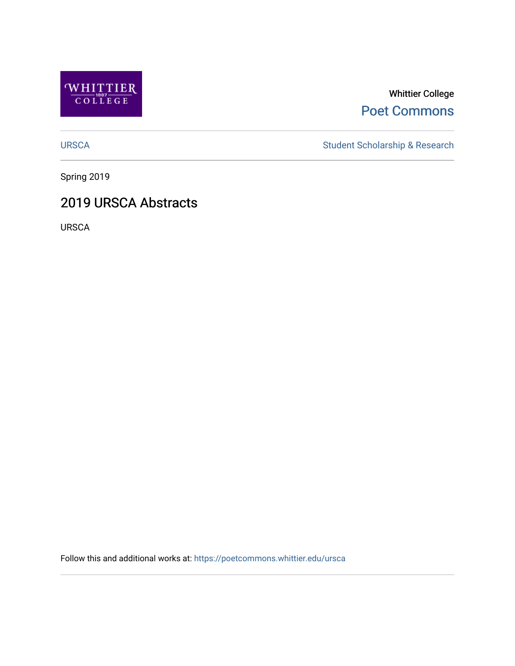

Whittier College [Poet Commons](https://poetcommons.whittier.edu/) 

[URSCA](https://poetcommons.whittier.edu/ursca) Student Scholarship & Research

Spring 2019

## 2019 URSCA Abstracts

URSCA

Follow this and additional works at: [https://poetcommons.whittier.edu/ursca](https://poetcommons.whittier.edu/ursca?utm_source=poetcommons.whittier.edu%2Fursca%2F6&utm_medium=PDF&utm_campaign=PDFCoverPages)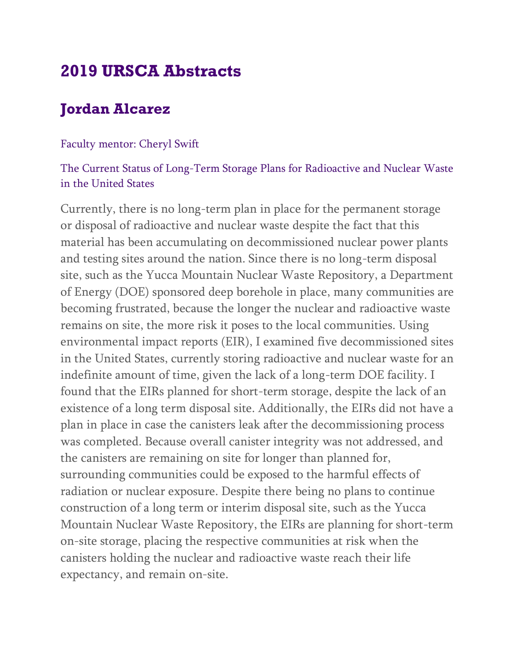# **2019 URSCA Abstracts**

# **Jordan Alcarez**

### Faculty mentor: Cheryl Swift

### The Current Status of Long-Term Storage Plans for Radioactive and Nuclear Waste in the United States

Currently, there is no long-term plan in place for the permanent storage or disposal of radioactive and nuclear waste despite the fact that this material has been accumulating on decommissioned nuclear power plants and testing sites around the nation. Since there is no long-term disposal site, such as the Yucca Mountain Nuclear Waste Repository, a Department of Energy (DOE) sponsored deep borehole in place, many communities are becoming frustrated, because the longer the nuclear and radioactive waste remains on site, the more risk it poses to the local communities. Using environmental impact reports (EIR), I examined five decommissioned sites in the United States, currently storing radioactive and nuclear waste for an indefinite amount of time, given the lack of a long-term DOE facility. I found that the EIRs planned for short-term storage, despite the lack of an existence of a long term disposal site. Additionally, the EIRs did not have a plan in place in case the canisters leak after the decommissioning process was completed. Because overall canister integrity was not addressed, and the canisters are remaining on site for longer than planned for, surrounding communities could be exposed to the harmful effects of radiation or nuclear exposure. Despite there being no plans to continue construction of a long term or interim disposal site, such as the Yucca Mountain Nuclear Waste Repository, the EIRs are planning for short-term on-site storage, placing the respective communities at risk when the canisters holding the nuclear and radioactive waste reach their life expectancy, and remain on-site.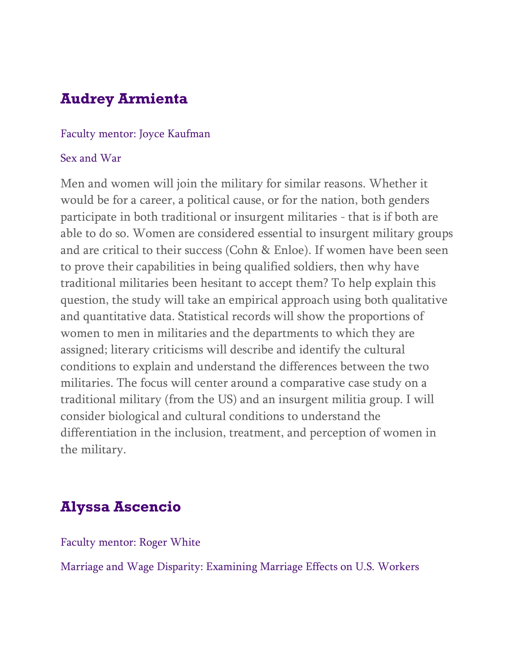# **Audrey Armienta**

### Faculty mentor: Joyce Kaufman

### Sex and War

Men and women will join the military for similar reasons. Whether it would be for a career, a political cause, or for the nation, both genders participate in both traditional or insurgent militaries - that is if both are able to do so. Women are considered essential to insurgent military groups and are critical to their success (Cohn & Enloe). If women have been seen to prove their capabilities in being qualified soldiers, then why have traditional militaries been hesitant to accept them? To help explain this question, the study will take an empirical approach using both qualitative and quantitative data. Statistical records will show the proportions of women to men in militaries and the departments to which they are assigned; literary criticisms will describe and identify the cultural conditions to explain and understand the differences between the two militaries. The focus will center around a comparative case study on a traditional military (from the US) and an insurgent militia group. I will consider biological and cultural conditions to understand the differentiation in the inclusion, treatment, and perception of women in the military.

## **Alyssa Ascencio**

Faculty mentor: Roger White

Marriage and Wage Disparity: Examining Marriage Effects on U.S. Workers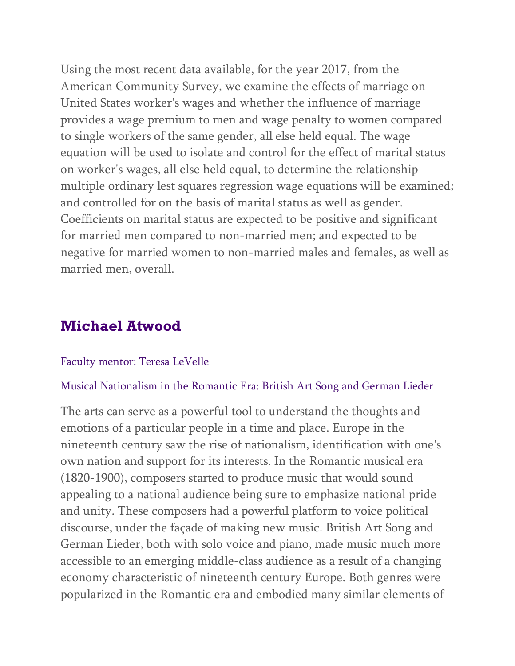Using the most recent data available, for the year 2017, from the American Community Survey, we examine the effects of marriage on United States worker's wages and whether the influence of marriage provides a wage premium to men and wage penalty to women compared to single workers of the same gender, all else held equal. The wage equation will be used to isolate and control for the effect of marital status on worker's wages, all else held equal, to determine the relationship multiple ordinary lest squares regression wage equations will be examined; and controlled for on the basis of marital status as well as gender. Coefficients on marital status are expected to be positive and significant for married men compared to non-married men; and expected to be negative for married women to non-married males and females, as well as married men, overall.

## **Michael Atwood**

### Faculty mentor: Teresa LeVelle

#### Musical Nationalism in the Romantic Era: British Art Song and German Lieder

The arts can serve as a powerful tool to understand the thoughts and emotions of a particular people in a time and place. Europe in the nineteenth century saw the rise of nationalism, identification with one's own nation and support for its interests. In the Romantic musical era (1820-1900), composers started to produce music that would sound appealing to a national audience being sure to emphasize national pride and unity. These composers had a powerful platform to voice political discourse, under the façade of making new music. British Art Song and German Lieder, both with solo voice and piano, made music much more accessible to an emerging middle-class audience as a result of a changing economy characteristic of nineteenth century Europe. Both genres were popularized in the Romantic era and embodied many similar elements of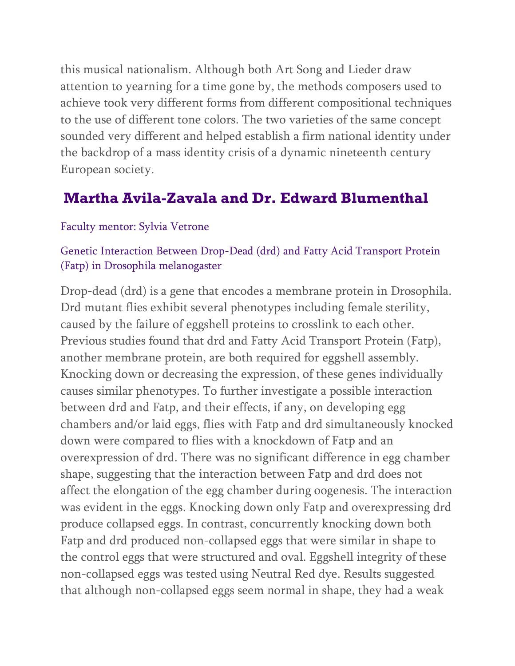this musical nationalism. Although both Art Song and Lieder draw attention to yearning for a time gone by, the methods composers used to achieve took very different forms from different compositional techniques to the use of different tone colors. The two varieties of the same concept sounded very different and helped establish a firm national identity under the backdrop of a mass identity crisis of a dynamic nineteenth century European society.

## **Martha Avila-Zavala and Dr. Edward Blumenthal**

### Faculty mentor: Sylvia Vetrone

### Genetic Interaction Between Drop-Dead (drd) and Fatty Acid Transport Protein (Fatp) in Drosophila melanogaster

Drop-dead (drd) is a gene that encodes a membrane protein in Drosophila. Drd mutant flies exhibit several phenotypes including female sterility, caused by the failure of eggshell proteins to crosslink to each other. Previous studies found that drd and Fatty Acid Transport Protein (Fatp), another membrane protein, are both required for eggshell assembly. Knocking down or decreasing the expression, of these genes individually causes similar phenotypes. To further investigate a possible interaction between drd and Fatp, and their effects, if any, on developing egg chambers and/or laid eggs, flies with Fatp and drd simultaneously knocked down were compared to flies with a knockdown of Fatp and an overexpression of drd. There was no significant difference in egg chamber shape, suggesting that the interaction between Fatp and drd does not affect the elongation of the egg chamber during oogenesis. The interaction was evident in the eggs. Knocking down only Fatp and overexpressing drd produce collapsed eggs. In contrast, concurrently knocking down both Fatp and drd produced non-collapsed eggs that were similar in shape to the control eggs that were structured and oval. Eggshell integrity of these non-collapsed eggs was tested using Neutral Red dye. Results suggested that although non-collapsed eggs seem normal in shape, they had a weak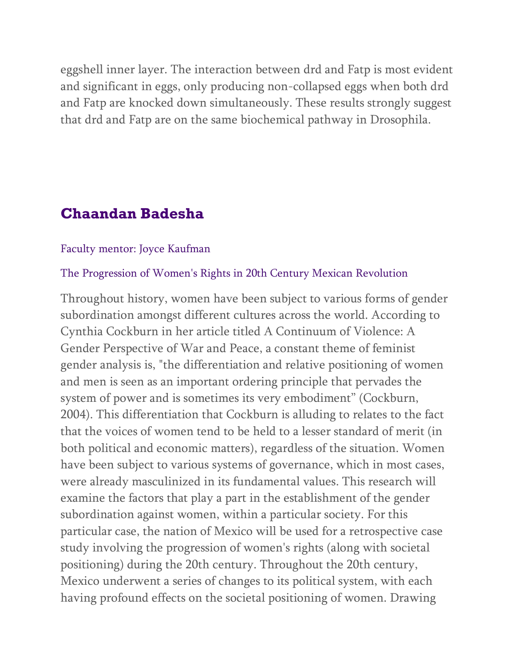eggshell inner layer. The interaction between drd and Fatp is most evident and significant in eggs, only producing non-collapsed eggs when both drd and Fatp are knocked down simultaneously. These results strongly suggest that drd and Fatp are on the same biochemical pathway in Drosophila.

## **Chaandan Badesha**

### Faculty mentor: Joyce Kaufman

#### The Progression of Women's Rights in 20th Century Mexican Revolution

Throughout history, women have been subject to various forms of gender subordination amongst different cultures across the world. According to Cynthia Cockburn in her article titled A Continuum of Violence: A Gender Perspective of War and Peace, a constant theme of feminist gender analysis is, "the differentiation and relative positioning of women and men is seen as an important ordering principle that pervades the system of power and is sometimes its very embodiment" (Cockburn, 2004). This differentiation that Cockburn is alluding to relates to the fact that the voices of women tend to be held to a lesser standard of merit (in both political and economic matters), regardless of the situation. Women have been subject to various systems of governance, which in most cases, were already masculinized in its fundamental values. This research will examine the factors that play a part in the establishment of the gender subordination against women, within a particular society. For this particular case, the nation of Mexico will be used for a retrospective case study involving the progression of women's rights (along with societal positioning) during the 20th century. Throughout the 20th century, Mexico underwent a series of changes to its political system, with each having profound effects on the societal positioning of women. Drawing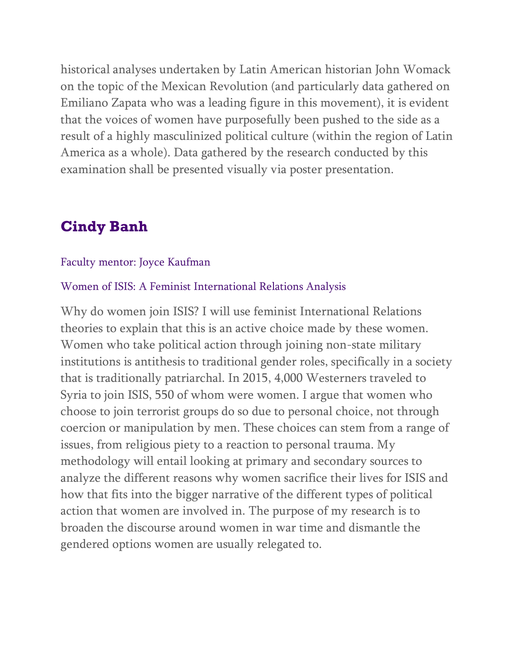historical analyses undertaken by Latin American historian John Womack on the topic of the Mexican Revolution (and particularly data gathered on Emiliano Zapata who was a leading figure in this movement), it is evident that the voices of women have purposefully been pushed to the side as a result of a highly masculinized political culture (within the region of Latin America as a whole). Data gathered by the research conducted by this examination shall be presented visually via poster presentation.

## **Cindy Banh**

#### Faculty mentor: Joyce Kaufman

#### Women of ISIS: A Feminist International Relations Analysis

Why do women join ISIS? I will use feminist International Relations theories to explain that this is an active choice made by these women. Women who take political action through joining non-state military institutions is antithesis to traditional gender roles, specifically in a society that is traditionally patriarchal. In 2015, 4,000 Westerners traveled to Syria to join ISIS, 550 of whom were women. I argue that women who choose to join terrorist groups do so due to personal choice, not through coercion or manipulation by men. These choices can stem from a range of issues, from religious piety to a reaction to personal trauma. My methodology will entail looking at primary and secondary sources to analyze the different reasons why women sacrifice their lives for ISIS and how that fits into the bigger narrative of the different types of political action that women are involved in. The purpose of my research is to broaden the discourse around women in war time and dismantle the gendered options women are usually relegated to.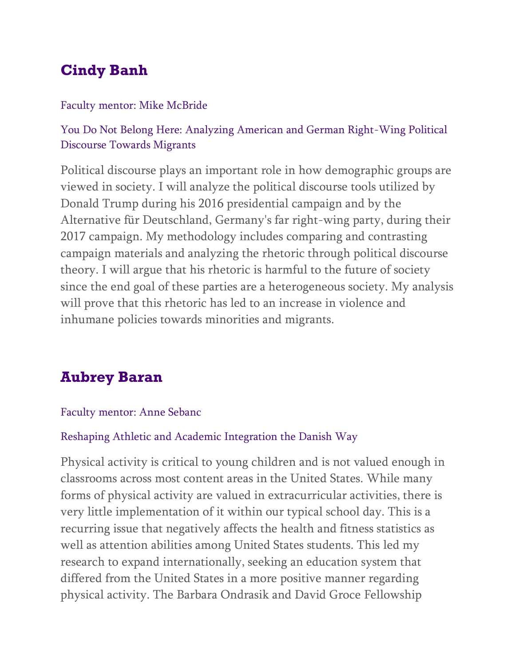# **Cindy Banh**

### Faculty mentor: Mike McBride

## You Do Not Belong Here: Analyzing American and German Right-Wing Political Discourse Towards Migrants

Political discourse plays an important role in how demographic groups are viewed in society. I will analyze the political discourse tools utilized by Donald Trump during his 2016 presidential campaign and by the Alternative für Deutschland, Germany's far right-wing party, during their 2017 campaign. My methodology includes comparing and contrasting campaign materials and analyzing the rhetoric through political discourse theory. I will argue that his rhetoric is harmful to the future of society since the end goal of these parties are a heterogeneous society. My analysis will prove that this rhetoric has led to an increase in violence and inhumane policies towards minorities and migrants.

# **Aubrey Baran**

### Faculty mentor: Anne Sebanc

### Reshaping Athletic and Academic Integration the Danish Way

Physical activity is critical to young children and is not valued enough in classrooms across most content areas in the United States. While many forms of physical activity are valued in extracurricular activities, there is very little implementation of it within our typical school day. This is a recurring issue that negatively affects the health and fitness statistics as well as attention abilities among United States students. This led my research to expand internationally, seeking an education system that differed from the United States in a more positive manner regarding physical activity. The Barbara Ondrasik and David Groce Fellowship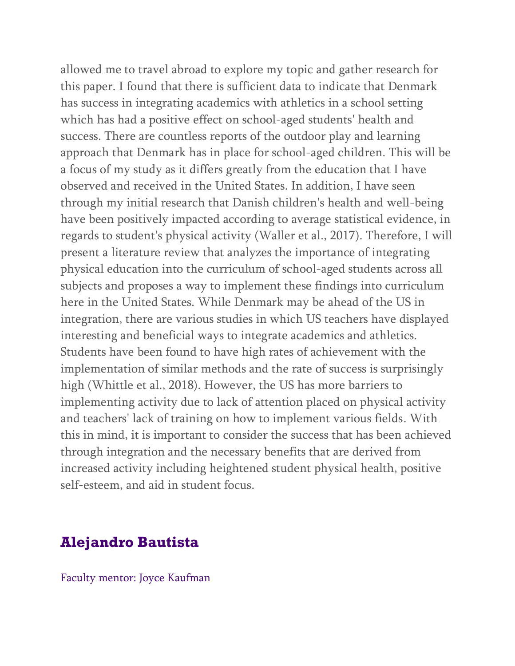allowed me to travel abroad to explore my topic and gather research for this paper. I found that there is sufficient data to indicate that Denmark has success in integrating academics with athletics in a school setting which has had a positive effect on school-aged students' health and success. There are countless reports of the outdoor play and learning approach that Denmark has in place for school-aged children. This will be a focus of my study as it differs greatly from the education that I have observed and received in the United States. In addition, I have seen through my initial research that Danish children's health and well-being have been positively impacted according to average statistical evidence, in regards to student's physical activity (Waller et al., 2017). Therefore, I will present a literature review that analyzes the importance of integrating physical education into the curriculum of school-aged students across all subjects and proposes a way to implement these findings into curriculum here in the United States. While Denmark may be ahead of the US in integration, there are various studies in which US teachers have displayed interesting and beneficial ways to integrate academics and athletics. Students have been found to have high rates of achievement with the implementation of similar methods and the rate of success is surprisingly high (Whittle et al., 2018). However, the US has more barriers to implementing activity due to lack of attention placed on physical activity and teachers' lack of training on how to implement various fields. With this in mind, it is important to consider the success that has been achieved through integration and the necessary benefits that are derived from increased activity including heightened student physical health, positive self-esteem, and aid in student focus.

## **Alejandro Bautista**

Faculty mentor: Joyce Kaufman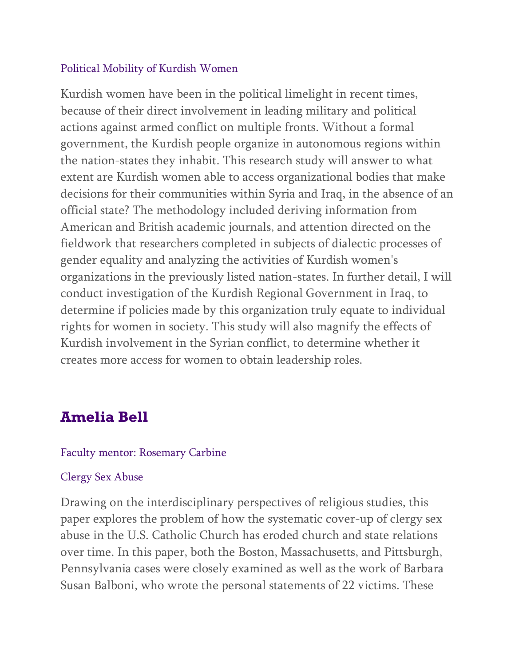### Political Mobility of Kurdish Women

Kurdish women have been in the political limelight in recent times, because of their direct involvement in leading military and political actions against armed conflict on multiple fronts. Without a formal government, the Kurdish people organize in autonomous regions within the nation-states they inhabit. This research study will answer to what extent are Kurdish women able to access organizational bodies that make decisions for their communities within Syria and Iraq, in the absence of an official state? The methodology included deriving information from American and British academic journals, and attention directed on the fieldwork that researchers completed in subjects of dialectic processes of gender equality and analyzing the activities of Kurdish women's organizations in the previously listed nation-states. In further detail, I will conduct investigation of the Kurdish Regional Government in Iraq, to determine if policies made by this organization truly equate to individual rights for women in society. This study will also magnify the effects of Kurdish involvement in the Syrian conflict, to determine whether it creates more access for women to obtain leadership roles.

## **Amelia Bell**

### Faculty mentor: Rosemary Carbine

### Clergy Sex Abuse

Drawing on the interdisciplinary perspectives of religious studies, this paper explores the problem of how the systematic cover-up of clergy sex abuse in the U.S. Catholic Church has eroded church and state relations over time. In this paper, both the Boston, Massachusetts, and Pittsburgh, Pennsylvania cases were closely examined as well as the work of Barbara Susan Balboni, who wrote the personal statements of 22 victims. These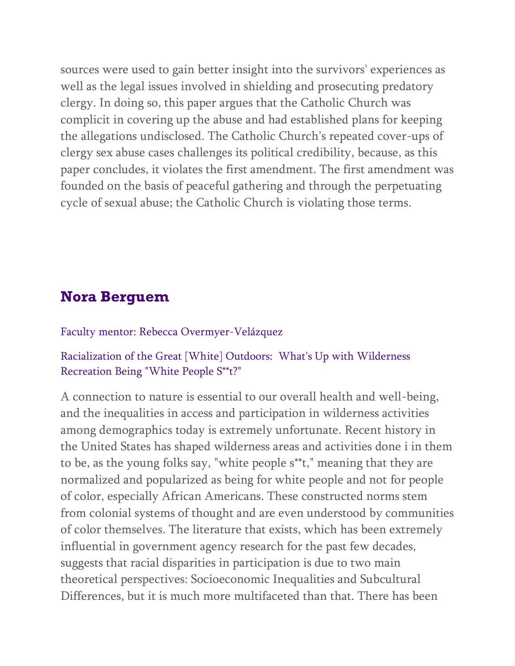sources were used to gain better insight into the survivors' experiences as well as the legal issues involved in shielding and prosecuting predatory clergy. In doing so, this paper argues that the Catholic Church was complicit in covering up the abuse and had established plans for keeping the allegations undisclosed. The Catholic Church's repeated cover-ups of clergy sex abuse cases challenges its political credibility, because, as this paper concludes, it violates the first amendment. The first amendment was founded on the basis of peaceful gathering and through the perpetuating cycle of sexual abuse; the Catholic Church is violating those terms.

## **Nora Berguem**

### Faculty mentor: Rebecca Overmyer-Velázquez

### Racialization of the Great [White] Outdoors: What's Up with Wilderness Recreation Being "White People S\*\*t?"

A connection to nature is essential to our overall health and well-being, and the inequalities in access and participation in wilderness activities among demographics today is extremely unfortunate. Recent history in the United States has shaped wilderness areas and activities done i in them to be, as the young folks say, "white people s\*\*t," meaning that they are normalized and popularized as being for white people and not for people of color, especially African Americans. These constructed norms stem from colonial systems of thought and are even understood by communities of color themselves. The literature that exists, which has been extremely influential in government agency research for the past few decades, suggests that racial disparities in participation is due to two main theoretical perspectives: Socioeconomic Inequalities and Subcultural Differences, but it is much more multifaceted than that. There has been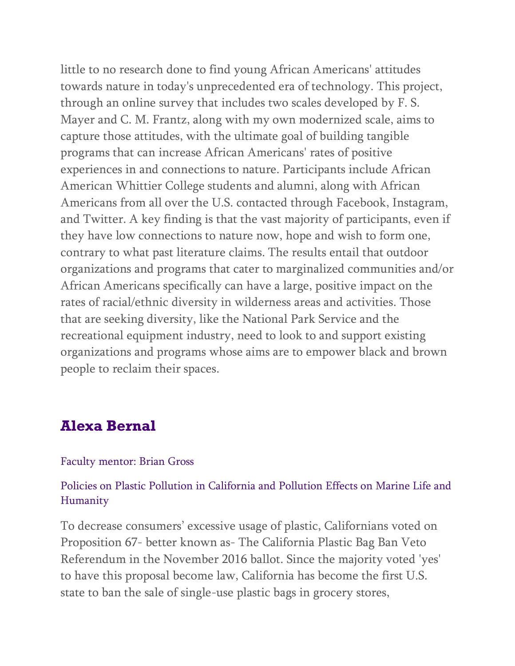little to no research done to find young African Americans' attitudes towards nature in today's unprecedented era of technology. This project, through an online survey that includes two scales developed by F. S. Mayer and C. M. Frantz, along with my own modernized scale, aims to capture those attitudes, with the ultimate goal of building tangible programs that can increase African Americans' rates of positive experiences in and connections to nature. Participants include African American Whittier College students and alumni, along with African Americans from all over the U.S. contacted through Facebook, Instagram, and Twitter. A key finding is that the vast majority of participants, even if they have low connections to nature now, hope and wish to form one, contrary to what past literature claims. The results entail that outdoor organizations and programs that cater to marginalized communities and/or African Americans specifically can have a large, positive impact on the rates of racial/ethnic diversity in wilderness areas and activities. Those that are seeking diversity, like the National Park Service and the recreational equipment industry, need to look to and support existing organizations and programs whose aims are to empower black and brown people to reclaim their spaces.

## **Alexa Bernal**

#### Faculty mentor: Brian Gross

### Policies on Plastic Pollution in California and Pollution Effects on Marine Life and Humanity

To decrease consumers' excessive usage of plastic, Californians voted on Proposition 67- better known as- The California Plastic Bag Ban Veto Referendum in the November 2016 ballot. Since the majority voted 'yes' to have this proposal become law, California has become the first U.S. state to ban the sale of single-use plastic bags in grocery stores,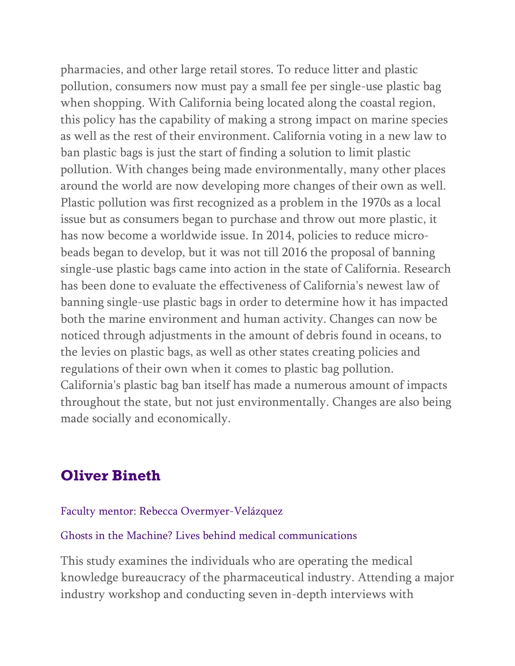pharmacies, and other large retail stores. To reduce litter and plastic pollution, consumers now must pay a small fee per single-use plastic bag when shopping. With California being located along the coastal region, this policy has the capability of making a strong impact on marine species as well as the rest of their environment. California voting in a new law to ban plastic bags is just the start of finding a solution to limit plastic pollution. With changes being made environmentally, many other places around the world are now developing more changes of their own as well. Plastic pollution was first recognized as a problem in the 1970s as a local issue but as consumers began to purchase and throw out more plastic, it has now become a worldwide issue. In 2014, policies to reduce microbeads began to develop, but it was not till 2016 the proposal of banning single-use plastic bags came into action in the state of California. Research has been done to evaluate the effectiveness of California's newest law of banning single-use plastic bags in order to determine how it has impacted both the marine environment and human activity. Changes can now be noticed through adjustments in the amount of debris found in oceans, to the levies on plastic bags, as well as other states creating policies and regulations of their own when it comes to plastic bag pollution. California's plastic bag ban itself has made a numerous amount of impacts throughout the state, but not just environmentally. Changes are also being made socially and economically.

## **Oliver Bineth**

### Faculty mentor: Rebecca Overmyer-Velázquez

### Ghosts in the Machine? Lives behind medical communications

This study examines the individuals who are operating the medical knowledge bureaucracy of the pharmaceutical industry. Attending a major industry workshop and conducting seven in-depth interviews with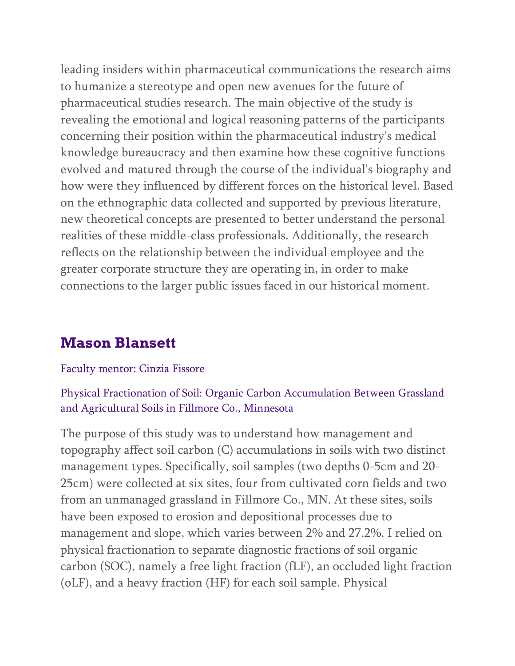leading insiders within pharmaceutical communications the research aims to humanize a stereotype and open new avenues for the future of pharmaceutical studies research. The main objective of the study is revealing the emotional and logical reasoning patterns of the participants concerning their position within the pharmaceutical industry's medical knowledge bureaucracy and then examine how these cognitive functions evolved and matured through the course of the individual's biography and how were they influenced by different forces on the historical level. Based on the ethnographic data collected and supported by previous literature, new theoretical concepts are presented to better understand the personal realities of these middle-class professionals. Additionally, the research reflects on the relationship between the individual employee and the greater corporate structure they are operating in, in order to make connections to the larger public issues faced in our historical moment.

# **Mason Blansett**

### Faculty mentor: Cinzia Fissore

### Physical Fractionation of Soil: Organic Carbon Accumulation Between Grassland and Agricultural Soils in Fillmore Co., Minnesota

The purpose of this study was to understand how management and topography affect soil carbon (C) accumulations in soils with two distinct management types. Specifically, soil samples (two depths 0-5cm and 20- 25cm) were collected at six sites, four from cultivated corn fields and two from an unmanaged grassland in Fillmore Co., MN. At these sites, soils have been exposed to erosion and depositional processes due to management and slope, which varies between 2% and 27.2%. I relied on physical fractionation to separate diagnostic fractions of soil organic carbon (SOC), namely a free light fraction (fLF), an occluded light fraction (oLF), and a heavy fraction (HF) for each soil sample. Physical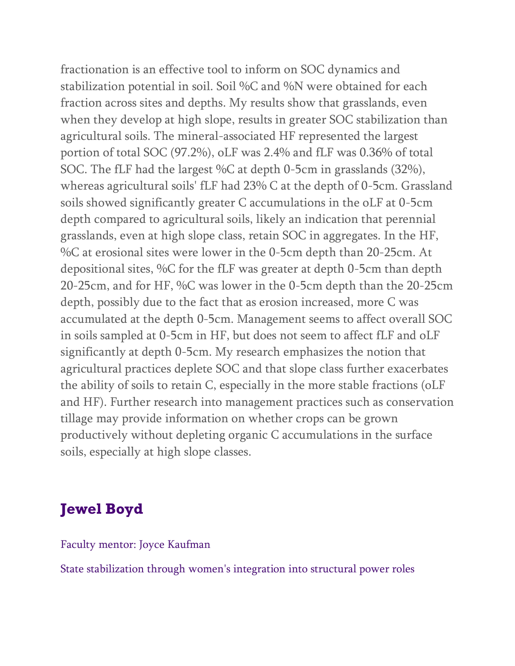fractionation is an effective tool to inform on SOC dynamics and stabilization potential in soil. Soil %C and %N were obtained for each fraction across sites and depths. My results show that grasslands, even when they develop at high slope, results in greater SOC stabilization than agricultural soils. The mineral-associated HF represented the largest portion of total SOC (97.2%), oLF was 2.4% and fLF was 0.36% of total SOC. The fLF had the largest %C at depth 0-5cm in grasslands (32%), whereas agricultural soils' fLF had 23% C at the depth of 0-5cm. Grassland soils showed significantly greater C accumulations in the oLF at 0-5cm depth compared to agricultural soils, likely an indication that perennial grasslands, even at high slope class, retain SOC in aggregates. In the HF, %C at erosional sites were lower in the 0-5cm depth than 20-25cm. At depositional sites, %C for the fLF was greater at depth 0-5cm than depth 20-25cm, and for HF, %C was lower in the 0-5cm depth than the 20-25cm depth, possibly due to the fact that as erosion increased, more C was accumulated at the depth 0-5cm. Management seems to affect overall SOC in soils sampled at 0-5cm in HF, but does not seem to affect fLF and oLF significantly at depth 0-5cm. My research emphasizes the notion that agricultural practices deplete SOC and that slope class further exacerbates the ability of soils to retain C, especially in the more stable fractions (oLF and HF). Further research into management practices such as conservation tillage may provide information on whether crops can be grown productively without depleting organic C accumulations in the surface soils, especially at high slope classes.

# **Jewel Boyd**

Faculty mentor: Joyce Kaufman

State stabilization through women's integration into structural power roles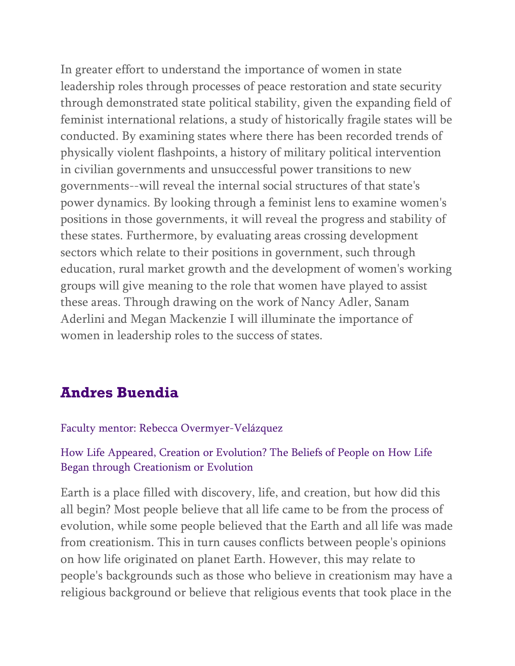In greater effort to understand the importance of women in state leadership roles through processes of peace restoration and state security through demonstrated state political stability, given the expanding field of feminist international relations, a study of historically fragile states will be conducted. By examining states where there has been recorded trends of physically violent flashpoints, a history of military political intervention in civilian governments and unsuccessful power transitions to new governments--will reveal the internal social structures of that state's power dynamics. By looking through a feminist lens to examine women's positions in those governments, it will reveal the progress and stability of these states. Furthermore, by evaluating areas crossing development sectors which relate to their positions in government, such through education, rural market growth and the development of women's working groups will give meaning to the role that women have played to assist these areas. Through drawing on the work of Nancy Adler, Sanam Aderlini and Megan Mackenzie I will illuminate the importance of women in leadership roles to the success of states.

# **Andres Buendia**

### Faculty mentor: Rebecca Overmyer-Velázquez

### How Life Appeared, Creation or Evolution? The Beliefs of People on How Life Began through Creationism or Evolution

Earth is a place filled with discovery, life, and creation, but how did this all begin? Most people believe that all life came to be from the process of evolution, while some people believed that the Earth and all life was made from creationism. This in turn causes conflicts between people's opinions on how life originated on planet Earth. However, this may relate to people's backgrounds such as those who believe in creationism may have a religious background or believe that religious events that took place in the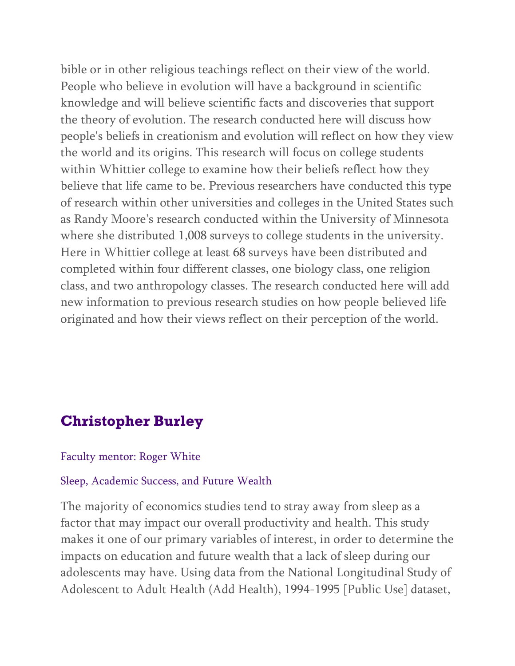bible or in other religious teachings reflect on their view of the world. People who believe in evolution will have a background in scientific knowledge and will believe scientific facts and discoveries that support the theory of evolution. The research conducted here will discuss how people's beliefs in creationism and evolution will reflect on how they view the world and its origins. This research will focus on college students within Whittier college to examine how their beliefs reflect how they believe that life came to be. Previous researchers have conducted this type of research within other universities and colleges in the United States such as Randy Moore's research conducted within the University of Minnesota where she distributed 1,008 surveys to college students in the university. Here in Whittier college at least 68 surveys have been distributed and completed within four different classes, one biology class, one religion class, and two anthropology classes. The research conducted here will add new information to previous research studies on how people believed life originated and how their views reflect on their perception of the world.

## **Christopher Burley**

#### Faculty mentor: Roger White

#### Sleep, Academic Success, and Future Wealth

The majority of economics studies tend to stray away from sleep as a factor that may impact our overall productivity and health. This study makes it one of our primary variables of interest, in order to determine the impacts on education and future wealth that a lack of sleep during our adolescents may have. Using data from the National Longitudinal Study of Adolescent to Adult Health (Add Health), 1994-1995 [Public Use] dataset,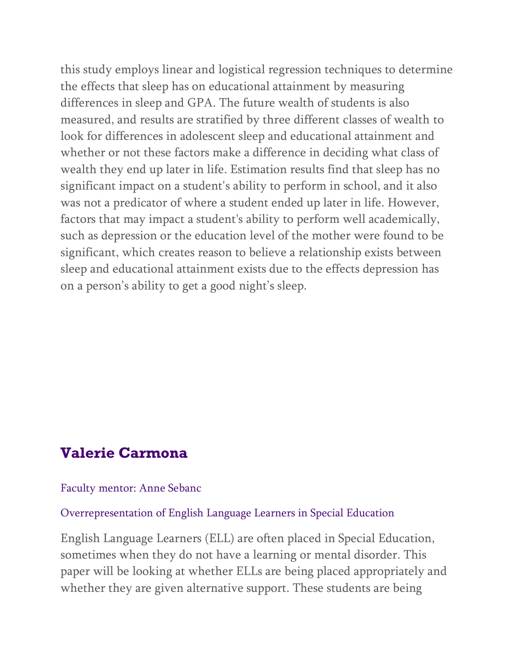this study employs linear and logistical regression techniques to determine the effects that sleep has on educational attainment by measuring differences in sleep and GPA. The future wealth of students is also measured, and results are stratified by three different classes of wealth to look for differences in adolescent sleep and educational attainment and whether or not these factors make a difference in deciding what class of wealth they end up later in life. Estimation results find that sleep has no significant impact on a student's ability to perform in school, and it also was not a predicator of where a student ended up later in life. However, factors that may impact a student's ability to perform well academically, such as depression or the education level of the mother were found to be significant, which creates reason to believe a relationship exists between sleep and educational attainment exists due to the effects depression has on a person's ability to get a good night's sleep.

## **Valerie Carmona**

#### Faculty mentor: Anne Sebanc

### Overrepresentation of English Language Learners in Special Education

English Language Learners (ELL) are often placed in Special Education, sometimes when they do not have a learning or mental disorder. This paper will be looking at whether ELLs are being placed appropriately and whether they are given alternative support. These students are being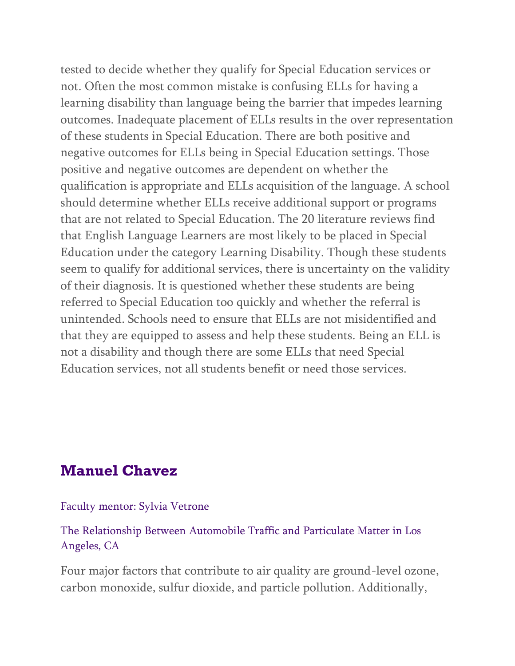tested to decide whether they qualify for Special Education services or not. Often the most common mistake is confusing ELLs for having a learning disability than language being the barrier that impedes learning outcomes. Inadequate placement of ELLs results in the over representation of these students in Special Education. There are both positive and negative outcomes for ELLs being in Special Education settings. Those positive and negative outcomes are dependent on whether the qualification is appropriate and ELLs acquisition of the language. A school should determine whether ELLs receive additional support or programs that are not related to Special Education. The 20 literature reviews find that English Language Learners are most likely to be placed in Special Education under the category Learning Disability. Though these students seem to qualify for additional services, there is uncertainty on the validity of their diagnosis. It is questioned whether these students are being referred to Special Education too quickly and whether the referral is unintended. Schools need to ensure that ELLs are not misidentified and that they are equipped to assess and help these students. Being an ELL is not a disability and though there are some ELLs that need Special Education services, not all students benefit or need those services.

## **Manuel Chavez**

### Faculty mentor: Sylvia Vetrone

### The Relationship Between Automobile Traffic and Particulate Matter in Los Angeles, CA

Four major factors that contribute to air quality are ground-level ozone, carbon monoxide, sulfur dioxide, and particle pollution. Additionally,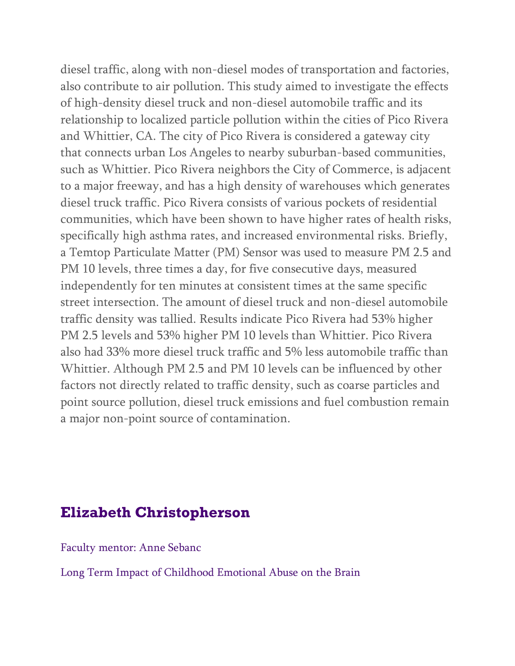diesel traffic, along with non-diesel modes of transportation and factories, also contribute to air pollution. This study aimed to investigate the effects of high-density diesel truck and non-diesel automobile traffic and its relationship to localized particle pollution within the cities of Pico Rivera and Whittier, CA. The city of Pico Rivera is considered a gateway city that connects urban Los Angeles to nearby suburban-based communities, such as Whittier. Pico Rivera neighbors the City of Commerce, is adjacent to a major freeway, and has a high density of warehouses which generates diesel truck traffic. Pico Rivera consists of various pockets of residential communities, which have been shown to have higher rates of health risks, specifically high asthma rates, and increased environmental risks. Briefly, a Temtop Particulate Matter (PM) Sensor was used to measure PM 2.5 and PM 10 levels, three times a day, for five consecutive days, measured independently for ten minutes at consistent times at the same specific street intersection. The amount of diesel truck and non-diesel automobile traffic density was tallied. Results indicate Pico Rivera had 53% higher PM 2.5 levels and 53% higher PM 10 levels than Whittier. Pico Rivera also had 33% more diesel truck traffic and 5% less automobile traffic than Whittier. Although PM 2.5 and PM 10 levels can be influenced by other factors not directly related to traffic density, such as coarse particles and point source pollution, diesel truck emissions and fuel combustion remain a major non-point source of contamination.

## **Elizabeth Christopherson**

Faculty mentor: Anne Sebanc

Long Term Impact of Childhood Emotional Abuse on the Brain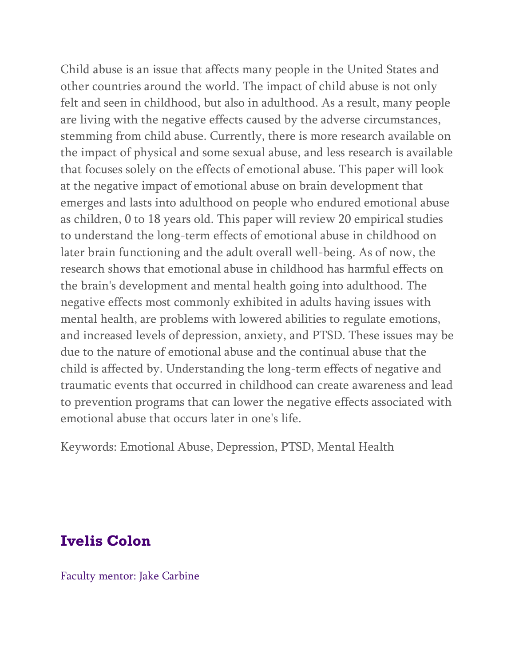Child abuse is an issue that affects many people in the United States and other countries around the world. The impact of child abuse is not only felt and seen in childhood, but also in adulthood. As a result, many people are living with the negative effects caused by the adverse circumstances, stemming from child abuse. Currently, there is more research available on the impact of physical and some sexual abuse, and less research is available that focuses solely on the effects of emotional abuse. This paper will look at the negative impact of emotional abuse on brain development that emerges and lasts into adulthood on people who endured emotional abuse as children, 0 to 18 years old. This paper will review 20 empirical studies to understand the long-term effects of emotional abuse in childhood on later brain functioning and the adult overall well-being. As of now, the research shows that emotional abuse in childhood has harmful effects on the brain's development and mental health going into adulthood. The negative effects most commonly exhibited in adults having issues with mental health, are problems with lowered abilities to regulate emotions, and increased levels of depression, anxiety, and PTSD. These issues may be due to the nature of emotional abuse and the continual abuse that the child is affected by. Understanding the long-term effects of negative and traumatic events that occurred in childhood can create awareness and lead to prevention programs that can lower the negative effects associated with emotional abuse that occurs later in one's life.

Keywords: Emotional Abuse, Depression, PTSD, Mental Health

# **Ivelis Colon**

Faculty mentor: Jake Carbine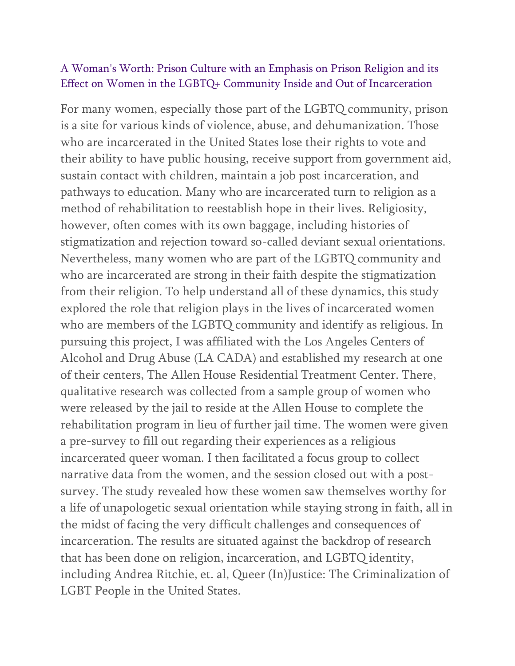### A Woman's Worth: Prison Culture with an Emphasis on Prison Religion and its Effect on Women in the LGBTQ+ Community Inside and Out of Incarceration

For many women, especially those part of the LGBTQ community, prison is a site for various kinds of violence, abuse, and dehumanization. Those who are incarcerated in the United States lose their rights to vote and their ability to have public housing, receive support from government aid, sustain contact with children, maintain a job post incarceration, and pathways to education. Many who are incarcerated turn to religion as a method of rehabilitation to reestablish hope in their lives. Religiosity, however, often comes with its own baggage, including histories of stigmatization and rejection toward so-called deviant sexual orientations. Nevertheless, many women who are part of the LGBTQ community and who are incarcerated are strong in their faith despite the stigmatization from their religion. To help understand all of these dynamics, this study explored the role that religion plays in the lives of incarcerated women who are members of the LGBTQ community and identify as religious. In pursuing this project, I was affiliated with the Los Angeles Centers of Alcohol and Drug Abuse (LA CADA) and established my research at one of their centers, The Allen House Residential Treatment Center. There, qualitative research was collected from a sample group of women who were released by the jail to reside at the Allen House to complete the rehabilitation program in lieu of further jail time. The women were given a pre-survey to fill out regarding their experiences as a religious incarcerated queer woman. I then facilitated a focus group to collect narrative data from the women, and the session closed out with a postsurvey. The study revealed how these women saw themselves worthy for a life of unapologetic sexual orientation while staying strong in faith, all in the midst of facing the very difficult challenges and consequences of incarceration. The results are situated against the backdrop of research that has been done on religion, incarceration, and LGBTQ identity, including Andrea Ritchie, et. al, Queer (In)Justice: The Criminalization of LGBT People in the United States.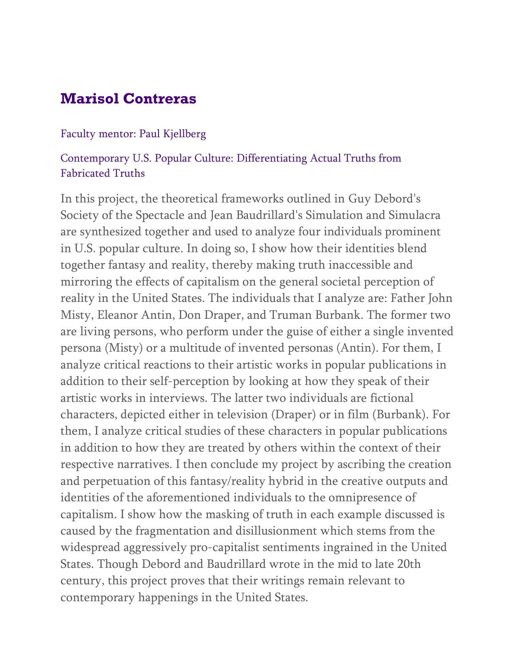## **Marisol Contreras**

### Faculty mentor: Paul Kjellberg

### Contemporary U.S. Popular Culture: Differentiating Actual Truths from Fabricated Truths

In this project, the theoretical frameworks outlined in Guy Debord's Society of the Spectacle and Jean Baudrillard's Simulation and Simulacra are synthesized together and used to analyze four individuals prominent in U.S. popular culture. In doing so, I show how their identities blend together fantasy and reality, thereby making truth inaccessible and mirroring the effects of capitalism on the general societal perception of reality in the United States. The individuals that I analyze are: Father John Misty, Eleanor Antin, Don Draper, and Truman Burbank. The former two are living persons, who perform under the guise of either a single invented persona (Misty) or a multitude of invented personas (Antin). For them, I analyze critical reactions to their artistic works in popular publications in addition to their self-perception by looking at how they speak of their artistic works in interviews. The latter two individuals are fictional characters, depicted either in television (Draper) or in film (Burbank). For them, I analyze critical studies of these characters in popular publications in addition to how they are treated by others within the context of their respective narratives. I then conclude my project by ascribing the creation and perpetuation of this fantasy/reality hybrid in the creative outputs and identities of the aforementioned individuals to the omnipresence of capitalism. I show how the masking of truth in each example discussed is caused by the fragmentation and disillusionment which stems from the widespread aggressively pro-capitalist sentiments ingrained in the United States. Though Debord and Baudrillard wrote in the mid to late 20th century, this project proves that their writings remain relevant to contemporary happenings in the United States.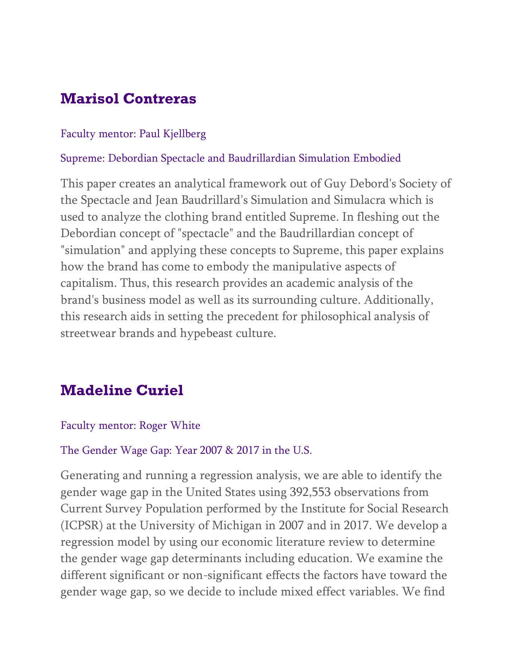# **Marisol Contreras**

### Faculty mentor: Paul Kjellberg

### Supreme: Debordian Spectacle and Baudrillardian Simulation Embodied

This paper creates an analytical framework out of Guy Debord's Society of the Spectacle and Jean Baudrillard's Simulation and Simulacra which is used to analyze the clothing brand entitled Supreme. In fleshing out the Debordian concept of "spectacle" and the Baudrillardian concept of "simulation" and applying these concepts to Supreme, this paper explains how the brand has come to embody the manipulative aspects of capitalism. Thus, this research provides an academic analysis of the brand's business model as well as its surrounding culture. Additionally, this research aids in setting the precedent for philosophical analysis of streetwear brands and hypebeast culture.

# **Madeline Curiel**

### Faculty mentor: Roger White

### The Gender Wage Gap: Year 2007 & 2017 in the U.S.

Generating and running a regression analysis, we are able to identify the gender wage gap in the United States using 392,553 observations from Current Survey Population performed by the Institute for Social Research (ICPSR) at the University of Michigan in 2007 and in 2017. We develop a regression model by using our economic literature review to determine the gender wage gap determinants including education. We examine the different significant or non-significant effects the factors have toward the gender wage gap, so we decide to include mixed effect variables. We find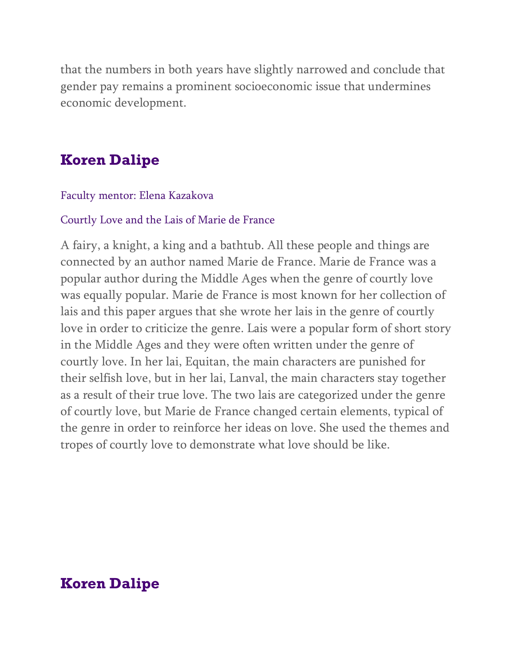that the numbers in both years have slightly narrowed and conclude that gender pay remains a prominent socioeconomic issue that undermines economic development.

## **Koren Dalipe**

### Faculty mentor: Elena Kazakova

#### Courtly Love and the Lais of Marie de France

A fairy, a knight, a king and a bathtub. All these people and things are connected by an author named Marie de France. Marie de France was a popular author during the Middle Ages when the genre of courtly love was equally popular. Marie de France is most known for her collection of lais and this paper argues that she wrote her lais in the genre of courtly love in order to criticize the genre. Lais were a popular form of short story in the Middle Ages and they were often written under the genre of courtly love. In her lai, Equitan, the main characters are punished for their selfish love, but in her lai, Lanval, the main characters stay together as a result of their true love. The two lais are categorized under the genre of courtly love, but Marie de France changed certain elements, typical of the genre in order to reinforce her ideas on love. She used the themes and tropes of courtly love to demonstrate what love should be like.

## **Koren Dalipe**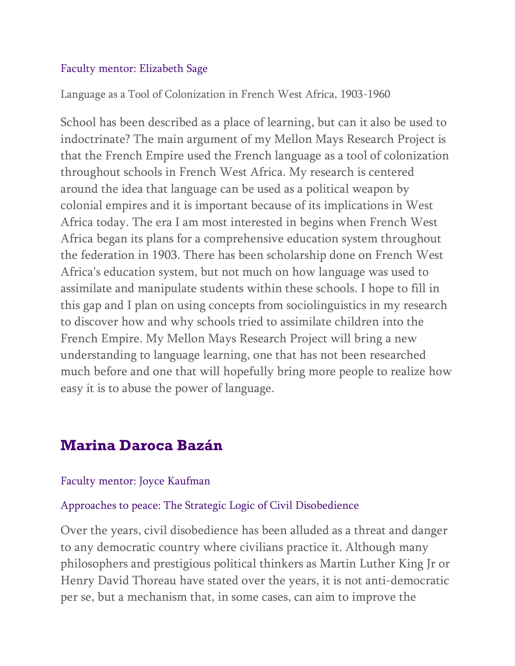### Faculty mentor: Elizabeth Sage

Language as a Tool of Colonization in French West Africa, 1903-1960

School has been described as a place of learning, but can it also be used to indoctrinate? The main argument of my Mellon Mays Research Project is that the French Empire used the French language as a tool of colonization throughout schools in French West Africa. My research is centered around the idea that language can be used as a political weapon by colonial empires and it is important because of its implications in West Africa today. The era I am most interested in begins when French West Africa began its plans for a comprehensive education system throughout the federation in 1903. There has been scholarship done on French West Africa's education system, but not much on how language was used to assimilate and manipulate students within these schools. I hope to fill in this gap and I plan on using concepts from sociolinguistics in my research to discover how and why schools tried to assimilate children into the French Empire. My Mellon Mays Research Project will bring a new understanding to language learning, one that has not been researched much before and one that will hopefully bring more people to realize how easy it is to abuse the power of language.

## **Marina Daroca Bazán**

### Faculty mentor: Joyce Kaufman

### Approaches to peace: The Strategic Logic of Civil Disobedience

Over the years, civil disobedience has been alluded as a threat and danger to any democratic country where civilians practice it. Although many philosophers and prestigious political thinkers as Martin Luther King Jr or Henry David Thoreau have stated over the years, it is not anti-democratic per se, but a mechanism that, in some cases, can aim to improve the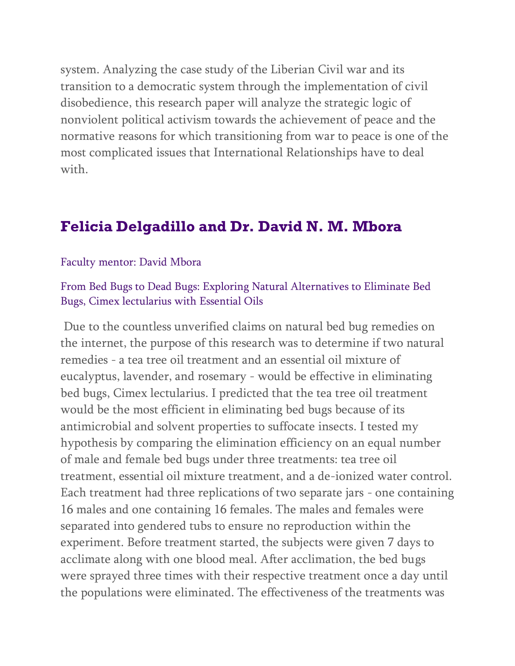system. Analyzing the case study of the Liberian Civil war and its transition to a democratic system through the implementation of civil disobedience, this research paper will analyze the strategic logic of nonviolent political activism towards the achievement of peace and the normative reasons for which transitioning from war to peace is one of the most complicated issues that International Relationships have to deal with.

## **Felicia Delgadillo and Dr. David N. M. Mbora**

#### Faculty mentor: David Mbora

### From Bed Bugs to Dead Bugs: Exploring Natural Alternatives to Eliminate Bed Bugs, Cimex lectularius with Essential Oils

Due to the countless unverified claims on natural bed bug remedies on the internet, the purpose of this research was to determine if two natural remedies - a tea tree oil treatment and an essential oil mixture of eucalyptus, lavender, and rosemary - would be effective in eliminating bed bugs, Cimex lectularius. I predicted that the tea tree oil treatment would be the most efficient in eliminating bed bugs because of its antimicrobial and solvent properties to suffocate insects. I tested my hypothesis by comparing the elimination efficiency on an equal number of male and female bed bugs under three treatments: tea tree oil treatment, essential oil mixture treatment, and a de-ionized water control. Each treatment had three replications of two separate jars - one containing 16 males and one containing 16 females. The males and females were separated into gendered tubs to ensure no reproduction within the experiment. Before treatment started, the subjects were given 7 days to acclimate along with one blood meal. After acclimation, the bed bugs were sprayed three times with their respective treatment once a day until the populations were eliminated. The effectiveness of the treatments was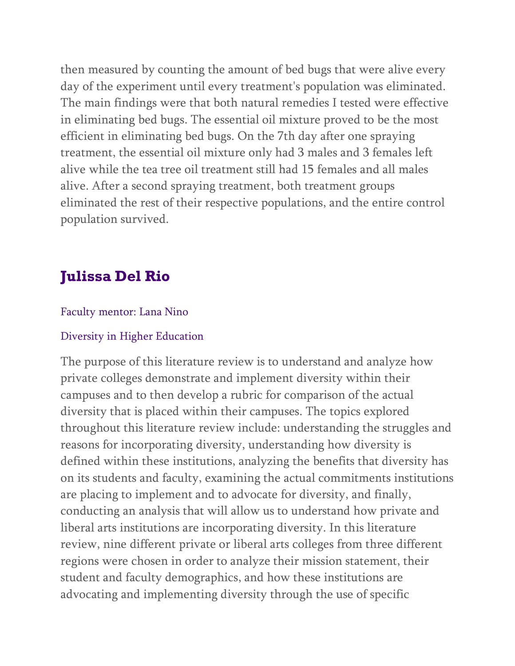then measured by counting the amount of bed bugs that were alive every day of the experiment until every treatment's population was eliminated. The main findings were that both natural remedies I tested were effective in eliminating bed bugs. The essential oil mixture proved to be the most efficient in eliminating bed bugs. On the 7th day after one spraying treatment, the essential oil mixture only had 3 males and 3 females left alive while the tea tree oil treatment still had 15 females and all males alive. After a second spraying treatment, both treatment groups eliminated the rest of their respective populations, and the entire control population survived.

# **Julissa Del Rio**

### Faculty mentor: Lana Nino

#### Diversity in Higher Education

The purpose of this literature review is to understand and analyze how private colleges demonstrate and implement diversity within their campuses and to then develop a rubric for comparison of the actual diversity that is placed within their campuses. The topics explored throughout this literature review include: understanding the struggles and reasons for incorporating diversity, understanding how diversity is defined within these institutions, analyzing the benefits that diversity has on its students and faculty, examining the actual commitments institutions are placing to implement and to advocate for diversity, and finally, conducting an analysis that will allow us to understand how private and liberal arts institutions are incorporating diversity. In this literature review, nine different private or liberal arts colleges from three different regions were chosen in order to analyze their mission statement, their student and faculty demographics, and how these institutions are advocating and implementing diversity through the use of specific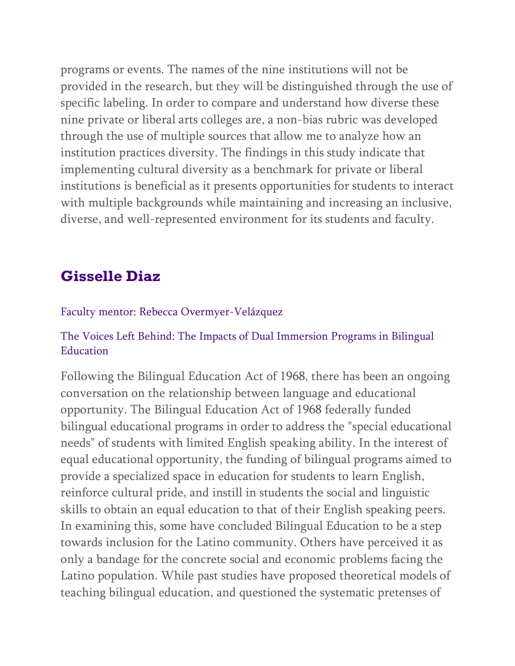programs or events. The names of the nine institutions will not be provided in the research, but they will be distinguished through the use of specific labeling. In order to compare and understand how diverse these nine private or liberal arts colleges are, a non-bias rubric was developed through the use of multiple sources that allow me to analyze how an institution practices diversity. The findings in this study indicate that implementing cultural diversity as a benchmark for private or liberal institutions is beneficial as it presents opportunities for students to interact with multiple backgrounds while maintaining and increasing an inclusive, diverse, and well-represented environment for its students and faculty.

# **Gisselle Diaz**

### Faculty mentor: Rebecca Overmyer-Velázquez

### The Voices Left Behind: The Impacts of Dual Immersion Programs in Bilingual Education

Following the Bilingual Education Act of 1968, there has been an ongoing conversation on the relationship between language and educational opportunity. The Bilingual Education Act of 1968 federally funded bilingual educational programs in order to address the "special educational needs" of students with limited English speaking ability. In the interest of equal educational opportunity, the funding of bilingual programs aimed to provide a specialized space in education for students to learn English, reinforce cultural pride, and instill in students the social and linguistic skills to obtain an equal education to that of their English speaking peers. In examining this, some have concluded Bilingual Education to be a step towards inclusion for the Latino community. Others have perceived it as only a bandage for the concrete social and economic problems facing the Latino population. While past studies have proposed theoretical models of teaching bilingual education, and questioned the systematic pretenses of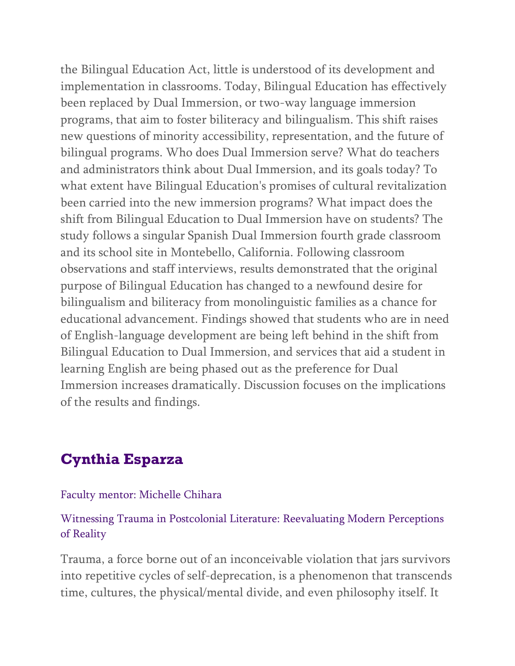the Bilingual Education Act, little is understood of its development and implementation in classrooms. Today, Bilingual Education has effectively been replaced by Dual Immersion, or two-way language immersion programs, that aim to foster biliteracy and bilingualism. This shift raises new questions of minority accessibility, representation, and the future of bilingual programs. Who does Dual Immersion serve? What do teachers and administrators think about Dual Immersion, and its goals today? To what extent have Bilingual Education's promises of cultural revitalization been carried into the new immersion programs? What impact does the shift from Bilingual Education to Dual Immersion have on students? The study follows a singular Spanish Dual Immersion fourth grade classroom and its school site in Montebello, California. Following classroom observations and staff interviews, results demonstrated that the original purpose of Bilingual Education has changed to a newfound desire for bilingualism and biliteracy from monolinguistic families as a chance for educational advancement. Findings showed that students who are in need of English-language development are being left behind in the shift from Bilingual Education to Dual Immersion, and services that aid a student in learning English are being phased out as the preference for Dual Immersion increases dramatically. Discussion focuses on the implications of the results and findings.

## **Cynthia Esparza**

#### Faculty mentor: Michelle Chihara

### Witnessing Trauma in Postcolonial Literature: Reevaluating Modern Perceptions of Reality

Trauma, a force borne out of an inconceivable violation that jars survivors into repetitive cycles of self-deprecation, is a phenomenon that transcends time, cultures, the physical/mental divide, and even philosophy itself. It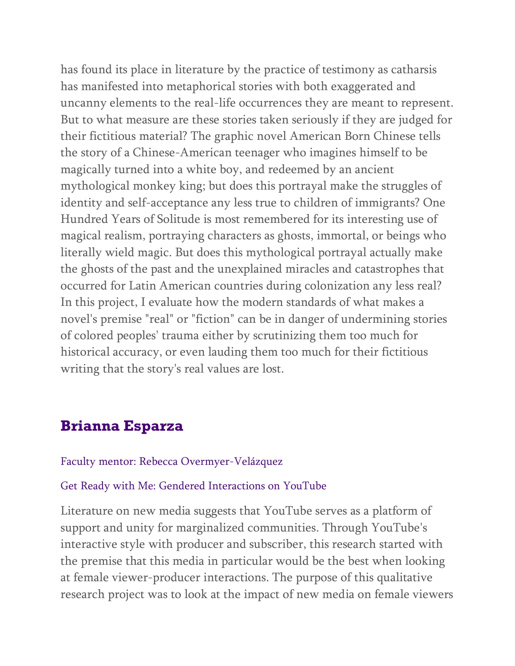has found its place in literature by the practice of testimony as catharsis has manifested into metaphorical stories with both exaggerated and uncanny elements to the real-life occurrences they are meant to represent. But to what measure are these stories taken seriously if they are judged for their fictitious material? The graphic novel American Born Chinese tells the story of a Chinese-American teenager who imagines himself to be magically turned into a white boy, and redeemed by an ancient mythological monkey king; but does this portrayal make the struggles of identity and self-acceptance any less true to children of immigrants? One Hundred Years of Solitude is most remembered for its interesting use of magical realism, portraying characters as ghosts, immortal, or beings who literally wield magic. But does this mythological portrayal actually make the ghosts of the past and the unexplained miracles and catastrophes that occurred for Latin American countries during colonization any less real? In this project, I evaluate how the modern standards of what makes a novel's premise "real" or "fiction" can be in danger of undermining stories of colored peoples' trauma either by scrutinizing them too much for historical accuracy, or even lauding them too much for their fictitious writing that the story's real values are lost.

## **Brianna Esparza**

#### Faculty mentor: Rebecca Overmyer-Velázquez

### Get Ready with Me: Gendered Interactions on YouTube

Literature on new media suggests that YouTube serves as a platform of support and unity for marginalized communities. Through YouTube's interactive style with producer and subscriber, this research started with the premise that this media in particular would be the best when looking at female viewer-producer interactions. The purpose of this qualitative research project was to look at the impact of new media on female viewers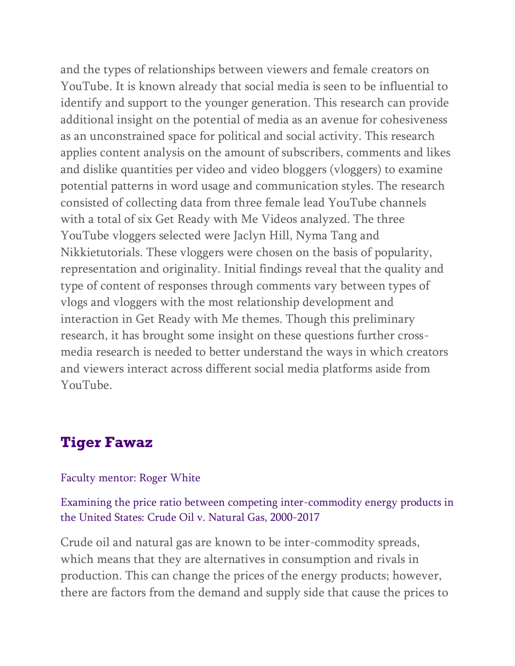and the types of relationships between viewers and female creators on YouTube. It is known already that social media is seen to be influential to identify and support to the younger generation. This research can provide additional insight on the potential of media as an avenue for cohesiveness as an unconstrained space for political and social activity. This research applies content analysis on the amount of subscribers, comments and likes and dislike quantities per video and video bloggers (vloggers) to examine potential patterns in word usage and communication styles. The research consisted of collecting data from three female lead YouTube channels with a total of six Get Ready with Me Videos analyzed. The three YouTube vloggers selected were Jaclyn Hill, Nyma Tang and Nikkietutorials. These vloggers were chosen on the basis of popularity, representation and originality. Initial findings reveal that the quality and type of content of responses through comments vary between types of vlogs and vloggers with the most relationship development and interaction in Get Ready with Me themes. Though this preliminary research, it has brought some insight on these questions further crossmedia research is needed to better understand the ways in which creators and viewers interact across different social media platforms aside from YouTube.

## **Tiger Fawaz**

#### Faculty mentor: Roger White

Examining the price ratio between competing inter-commodity energy products in the United States: Crude Oil v. Natural Gas, 2000-2017

Crude oil and natural gas are known to be inter-commodity spreads, which means that they are alternatives in consumption and rivals in production. This can change the prices of the energy products; however, there are factors from the demand and supply side that cause the prices to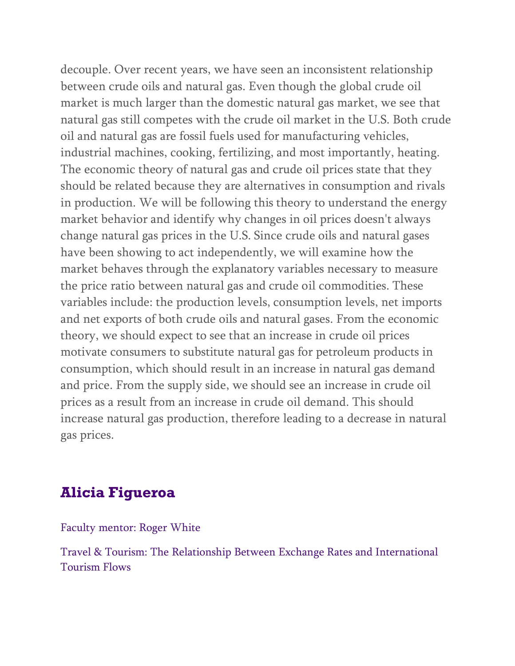decouple. Over recent years, we have seen an inconsistent relationship between crude oils and natural gas. Even though the global crude oil market is much larger than the domestic natural gas market, we see that natural gas still competes with the crude oil market in the U.S. Both crude oil and natural gas are fossil fuels used for manufacturing vehicles, industrial machines, cooking, fertilizing, and most importantly, heating. The economic theory of natural gas and crude oil prices state that they should be related because they are alternatives in consumption and rivals in production. We will be following this theory to understand the energy market behavior and identify why changes in oil prices doesn't always change natural gas prices in the U.S. Since crude oils and natural gases have been showing to act independently, we will examine how the market behaves through the explanatory variables necessary to measure the price ratio between natural gas and crude oil commodities. These variables include: the production levels, consumption levels, net imports and net exports of both crude oils and natural gases. From the economic theory, we should expect to see that an increase in crude oil prices motivate consumers to substitute natural gas for petroleum products in consumption, which should result in an increase in natural gas demand and price. From the supply side, we should see an increase in crude oil prices as a result from an increase in crude oil demand. This should increase natural gas production, therefore leading to a decrease in natural gas prices.

## **Alicia Figueroa**

Faculty mentor: Roger White

Travel & Tourism: The Relationship Between Exchange Rates and International Tourism Flows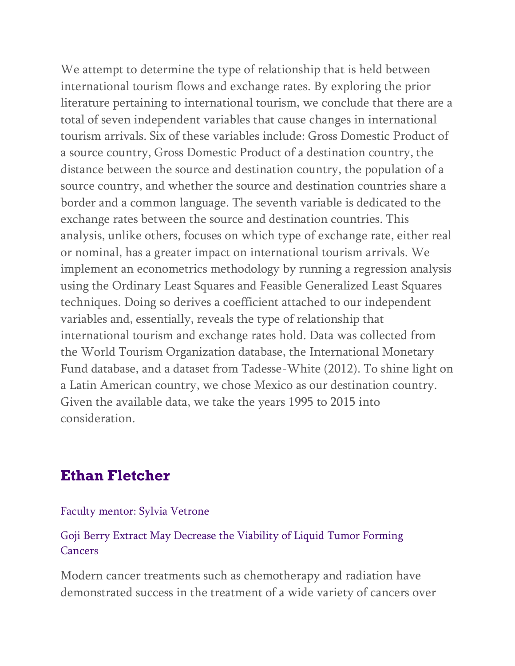We attempt to determine the type of relationship that is held between international tourism flows and exchange rates. By exploring the prior literature pertaining to international tourism, we conclude that there are a total of seven independent variables that cause changes in international tourism arrivals. Six of these variables include: Gross Domestic Product of a source country, Gross Domestic Product of a destination country, the distance between the source and destination country, the population of a source country, and whether the source and destination countries share a border and a common language. The seventh variable is dedicated to the exchange rates between the source and destination countries. This analysis, unlike others, focuses on which type of exchange rate, either real or nominal, has a greater impact on international tourism arrivals. We implement an econometrics methodology by running a regression analysis using the Ordinary Least Squares and Feasible Generalized Least Squares techniques. Doing so derives a coefficient attached to our independent variables and, essentially, reveals the type of relationship that international tourism and exchange rates hold. Data was collected from the World Tourism Organization database, the International Monetary Fund database, and a dataset from Tadesse-White (2012). To shine light on a Latin American country, we chose Mexico as our destination country. Given the available data, we take the years 1995 to 2015 into consideration.

## **Ethan Fletcher**

### Faculty mentor: Sylvia Vetrone

### Goji Berry Extract May Decrease the Viability of Liquid Tumor Forming Cancers

Modern cancer treatments such as chemotherapy and radiation have demonstrated success in the treatment of a wide variety of cancers over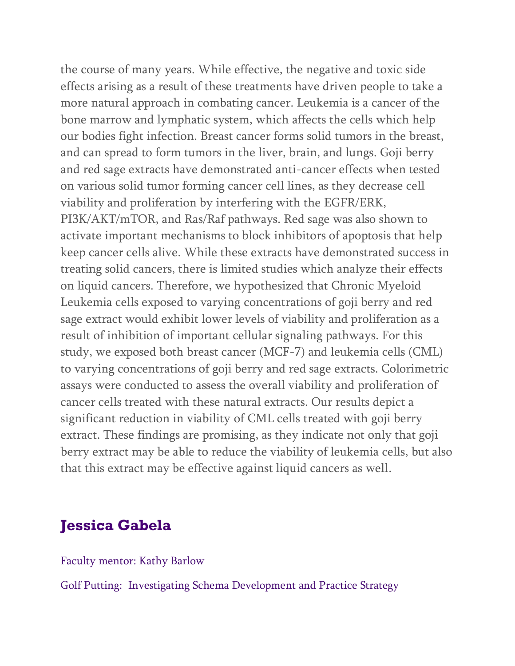the course of many years. While effective, the negative and toxic side effects arising as a result of these treatments have driven people to take a more natural approach in combating cancer. Leukemia is a cancer of the bone marrow and lymphatic system, which affects the cells which help our bodies fight infection. Breast cancer forms solid tumors in the breast, and can spread to form tumors in the liver, brain, and lungs. Goji berry and red sage extracts have demonstrated anti-cancer effects when tested on various solid tumor forming cancer cell lines, as they decrease cell viability and proliferation by interfering with the EGFR/ERK, PI3K/AKT/mTOR, and Ras/Raf pathways. Red sage was also shown to activate important mechanisms to block inhibitors of apoptosis that help keep cancer cells alive. While these extracts have demonstrated success in treating solid cancers, there is limited studies which analyze their effects on liquid cancers. Therefore, we hypothesized that Chronic Myeloid Leukemia cells exposed to varying concentrations of goji berry and red sage extract would exhibit lower levels of viability and proliferation as a result of inhibition of important cellular signaling pathways. For this study, we exposed both breast cancer (MCF-7) and leukemia cells (CML) to varying concentrations of goji berry and red sage extracts. Colorimetric assays were conducted to assess the overall viability and proliferation of cancer cells treated with these natural extracts. Our results depict a significant reduction in viability of CML cells treated with goji berry extract. These findings are promising, as they indicate not only that goji berry extract may be able to reduce the viability of leukemia cells, but also that this extract may be effective against liquid cancers as well.

## **Jessica Gabela**

Faculty mentor: Kathy Barlow

Golf Putting: Investigating Schema Development and Practice Strategy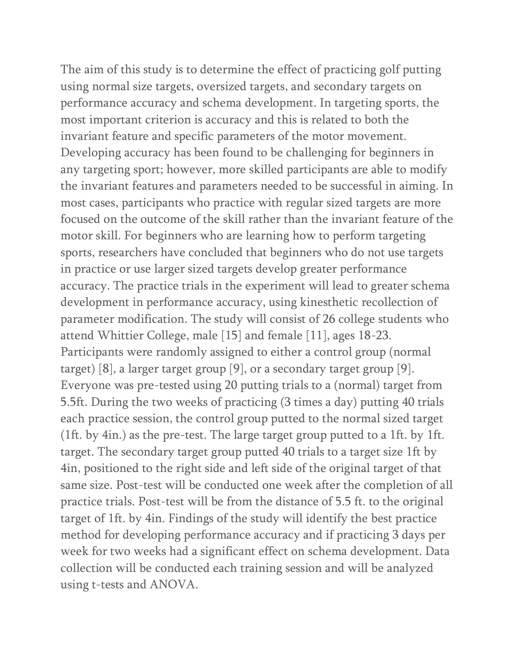The aim of this study is to determine the effect of practicing golf putting using normal size targets, oversized targets, and secondary targets on performance accuracy and schema development. In targeting sports, the most important criterion is accuracy and this is related to both the invariant feature and specific parameters of the motor movement. Developing accuracy has been found to be challenging for beginners in any targeting sport; however, more skilled participants are able to modify the invariant features and parameters needed to be successful in aiming. In most cases, participants who practice with regular sized targets are more focused on the outcome of the skill rather than the invariant feature of the motor skill. For beginners who are learning how to perform targeting sports, researchers have concluded that beginners who do not use targets in practice or use larger sized targets develop greater performance accuracy. The practice trials in the experiment will lead to greater schema development in performance accuracy, using kinesthetic recollection of parameter modification. The study will consist of 26 college students who attend Whittier College, male [15] and female [11], ages 18-23. Participants were randomly assigned to either a control group (normal target) [8], a larger target group [9], or a secondary target group [9]. Everyone was pre-tested using 20 putting trials to a (normal) target from 5.5ft. During the two weeks of practicing (3 times a day) putting 40 trials each practice session, the control group putted to the normal sized target (1ft. by 4in.) as the pre-test. The large target group putted to a 1ft. by 1ft. target. The secondary target group putted 40 trials to a target size 1ft by 4in, positioned to the right side and left side of the original target of that same size. Post-test will be conducted one week after the completion of all practice trials. Post-test will be from the distance of 5.5 ft. to the original target of 1ft. by 4in. Findings of the study will identify the best practice method for developing performance accuracy and if practicing 3 days per week for two weeks had a significant effect on schema development. Data collection will be conducted each training session and will be analyzed using t-tests and ANOVA.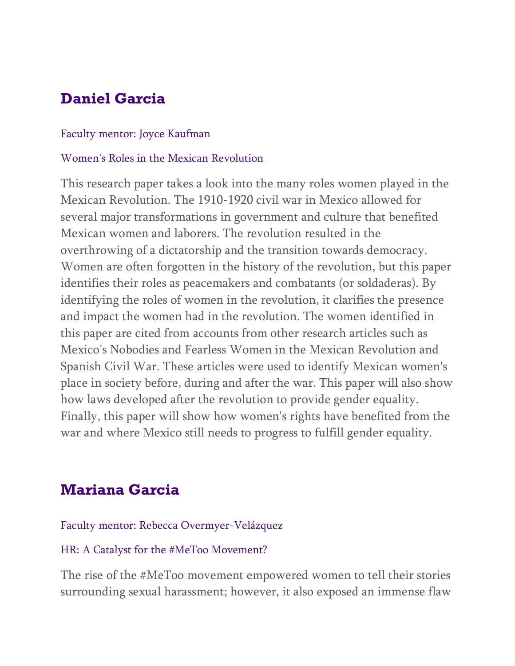# **Daniel Garcia**

### Faculty mentor: Joyce Kaufman

### Women's Roles in the Mexican Revolution

This research paper takes a look into the many roles women played in the Mexican Revolution. The 1910-1920 civil war in Mexico allowed for several major transformations in government and culture that benefited Mexican women and laborers. The revolution resulted in the overthrowing of a dictatorship and the transition towards democracy. Women are often forgotten in the history of the revolution, but this paper identifies their roles as peacemakers and combatants (or soldaderas). By identifying the roles of women in the revolution, it clarifies the presence and impact the women had in the revolution. The women identified in this paper are cited from accounts from other research articles such as Mexico's Nobodies and Fearless Women in the Mexican Revolution and Spanish Civil War. These articles were used to identify Mexican women's place in society before, during and after the war. This paper will also show how laws developed after the revolution to provide gender equality. Finally, this paper will show how women's rights have benefited from the war and where Mexico still needs to progress to fulfill gender equality.

# **Mariana Garcia**

Faculty mentor: Rebecca Overmyer-Velázquez

### HR: A Catalyst for the #MeToo Movement?

The rise of the #MeToo movement empowered women to tell their stories surrounding sexual harassment; however, it also exposed an immense flaw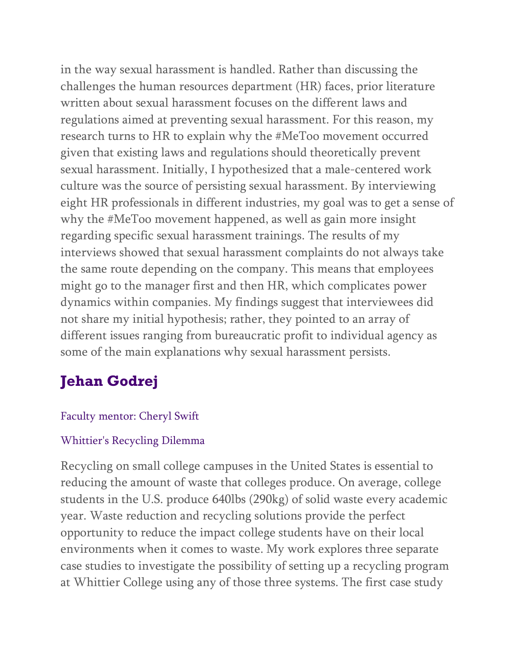in the way sexual harassment is handled. Rather than discussing the challenges the human resources department (HR) faces, prior literature written about sexual harassment focuses on the different laws and regulations aimed at preventing sexual harassment. For this reason, my research turns to HR to explain why the #MeToo movement occurred given that existing laws and regulations should theoretically prevent sexual harassment. Initially, I hypothesized that a male-centered work culture was the source of persisting sexual harassment. By interviewing eight HR professionals in different industries, my goal was to get a sense of why the #MeToo movement happened, as well as gain more insight regarding specific sexual harassment trainings. The results of my interviews showed that sexual harassment complaints do not always take the same route depending on the company. This means that employees might go to the manager first and then HR, which complicates power dynamics within companies. My findings suggest that interviewees did not share my initial hypothesis; rather, they pointed to an array of different issues ranging from bureaucratic profit to individual agency as some of the main explanations why sexual harassment persists.

# **Jehan Godrej**

## Faculty mentor: Cheryl Swift

## Whittier's Recycling Dilemma

Recycling on small college campuses in the United States is essential to reducing the amount of waste that colleges produce. On average, college students in the U.S. produce 640lbs (290kg) of solid waste every academic year. Waste reduction and recycling solutions provide the perfect opportunity to reduce the impact college students have on their local environments when it comes to waste. My work explores three separate case studies to investigate the possibility of setting up a recycling program at Whittier College using any of those three systems. The first case study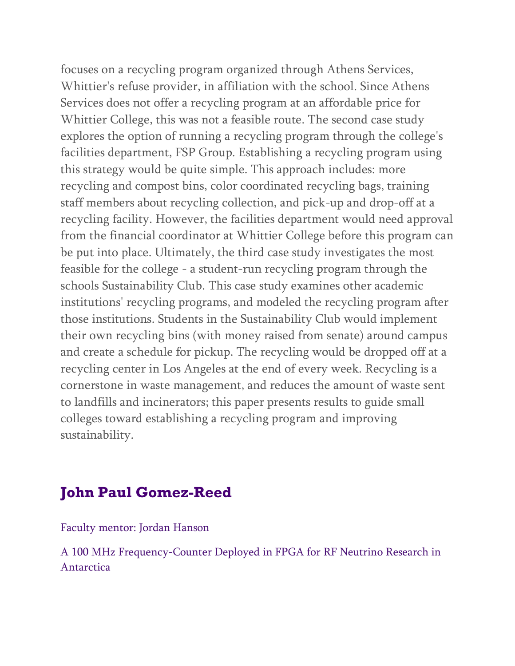focuses on a recycling program organized through Athens Services, Whittier's refuse provider, in affiliation with the school. Since Athens Services does not offer a recycling program at an affordable price for Whittier College, this was not a feasible route. The second case study explores the option of running a recycling program through the college's facilities department, FSP Group. Establishing a recycling program using this strategy would be quite simple. This approach includes: more recycling and compost bins, color coordinated recycling bags, training staff members about recycling collection, and pick-up and drop-off at a recycling facility. However, the facilities department would need approval from the financial coordinator at Whittier College before this program can be put into place. Ultimately, the third case study investigates the most feasible for the college - a student-run recycling program through the schools Sustainability Club. This case study examines other academic institutions' recycling programs, and modeled the recycling program after those institutions. Students in the Sustainability Club would implement their own recycling bins (with money raised from senate) around campus and create a schedule for pickup. The recycling would be dropped off at a recycling center in Los Angeles at the end of every week. Recycling is a cornerstone in waste management, and reduces the amount of waste sent to landfills and incinerators; this paper presents results to guide small colleges toward establishing a recycling program and improving sustainability.

# **John Paul Gomez-Reed**

Faculty mentor: Jordan Hanson

A 100 MHz Frequency-Counter Deployed in FPGA for RF Neutrino Research in Antarctica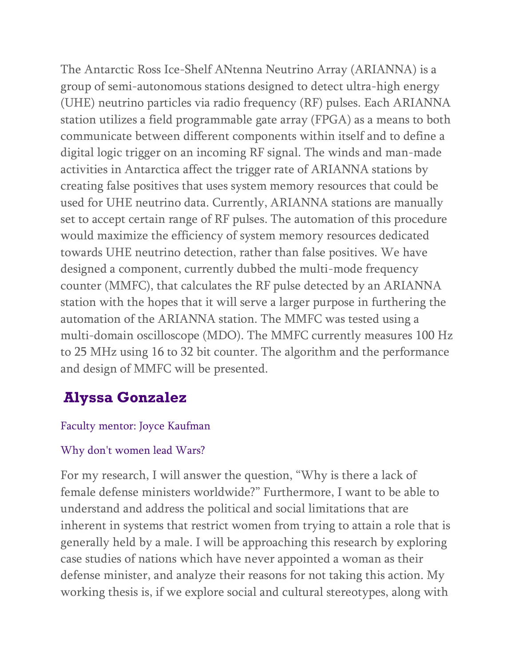The Antarctic Ross Ice-Shelf ANtenna Neutrino Array (ARIANNA) is a group of semi-autonomous stations designed to detect ultra-high energy (UHE) neutrino particles via radio frequency (RF) pulses. Each ARIANNA station utilizes a field programmable gate array (FPGA) as a means to both communicate between different components within itself and to define a digital logic trigger on an incoming RF signal. The winds and man-made activities in Antarctica affect the trigger rate of ARIANNA stations by creating false positives that uses system memory resources that could be used for UHE neutrino data. Currently, ARIANNA stations are manually set to accept certain range of RF pulses. The automation of this procedure would maximize the efficiency of system memory resources dedicated towards UHE neutrino detection, rather than false positives. We have designed a component, currently dubbed the multi-mode frequency counter (MMFC), that calculates the RF pulse detected by an ARIANNA station with the hopes that it will serve a larger purpose in furthering the automation of the ARIANNA station. The MMFC was tested using a multi-domain oscilloscope (MDO). The MMFC currently measures 100 Hz to 25 MHz using 16 to 32 bit counter. The algorithm and the performance and design of MMFC will be presented.

# **Alyssa Gonzalez**

## Faculty mentor: Joyce Kaufman

### Why don't women lead Wars?

For my research, I will answer the question, "Why is there a lack of female defense ministers worldwide?" Furthermore, I want to be able to understand and address the political and social limitations that are inherent in systems that restrict women from trying to attain a role that is generally held by a male. I will be approaching this research by exploring case studies of nations which have never appointed a woman as their defense minister, and analyze their reasons for not taking this action. My working thesis is, if we explore social and cultural stereotypes, along with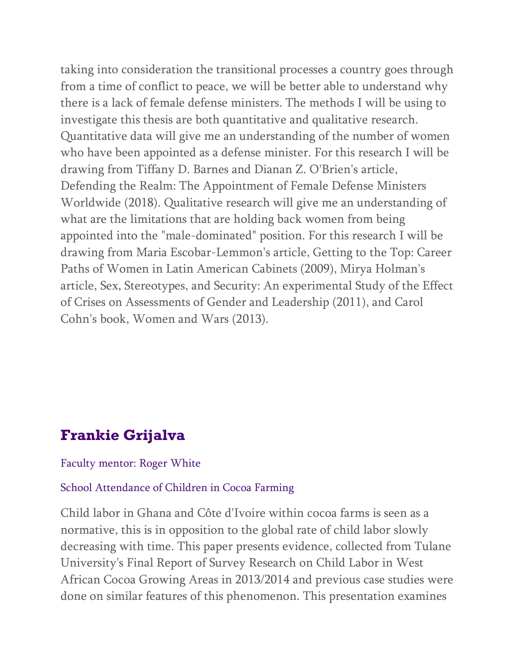taking into consideration the transitional processes a country goes through from a time of conflict to peace, we will be better able to understand why there is a lack of female defense ministers. The methods I will be using to investigate this thesis are both quantitative and qualitative research. Quantitative data will give me an understanding of the number of women who have been appointed as a defense minister. For this research I will be drawing from Tiffany D. Barnes and Dianan Z. O'Brien's article, Defending the Realm: The Appointment of Female Defense Ministers Worldwide (2018). Qualitative research will give me an understanding of what are the limitations that are holding back women from being appointed into the "male-dominated" position. For this research I will be drawing from Maria Escobar-Lemmon's article, Getting to the Top: Career Paths of Women in Latin American Cabinets (2009), Mirya Holman's article, Sex, Stereotypes, and Security: An experimental Study of the Effect of Crises on Assessments of Gender and Leadership (2011), and Carol Cohn's book, Women and Wars (2013).

# **Frankie Grijalva**

#### Faculty mentor: Roger White

#### School Attendance of Children in Cocoa Farming

Child labor in Ghana and Côte d'Ivoire within cocoa farms is seen as a normative, this is in opposition to the global rate of child labor slowly decreasing with time. This paper presents evidence, collected from Tulane University's Final Report of Survey Research on Child Labor in West African Cocoa Growing Areas in 2013/2014 and previous case studies were done on similar features of this phenomenon. This presentation examines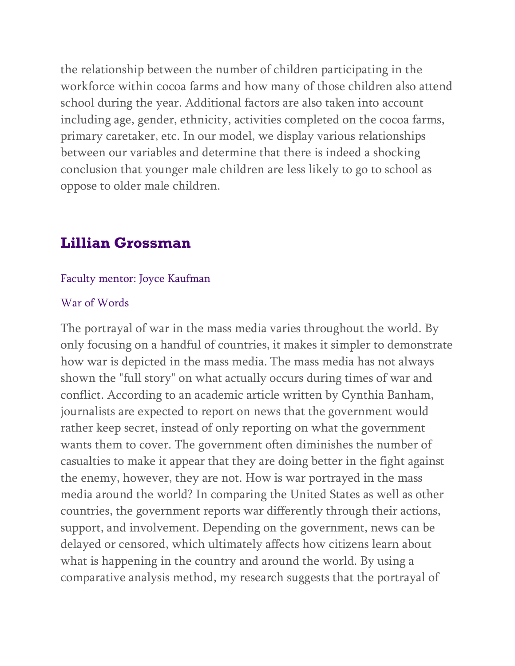the relationship between the number of children participating in the workforce within cocoa farms and how many of those children also attend school during the year. Additional factors are also taken into account including age, gender, ethnicity, activities completed on the cocoa farms, primary caretaker, etc. In our model, we display various relationships between our variables and determine that there is indeed a shocking conclusion that younger male children are less likely to go to school as oppose to older male children.

## **Lillian Grossman**

#### Faculty mentor: Joyce Kaufman

#### War of Words

The portrayal of war in the mass media varies throughout the world. By only focusing on a handful of countries, it makes it simpler to demonstrate how war is depicted in the mass media. The mass media has not always shown the "full story" on what actually occurs during times of war and conflict. According to an academic article written by Cynthia Banham, journalists are expected to report on news that the government would rather keep secret, instead of only reporting on what the government wants them to cover. The government often diminishes the number of casualties to make it appear that they are doing better in the fight against the enemy, however, they are not. How is war portrayed in the mass media around the world? In comparing the United States as well as other countries, the government reports war differently through their actions, support, and involvement. Depending on the government, news can be delayed or censored, which ultimately affects how citizens learn about what is happening in the country and around the world. By using a comparative analysis method, my research suggests that the portrayal of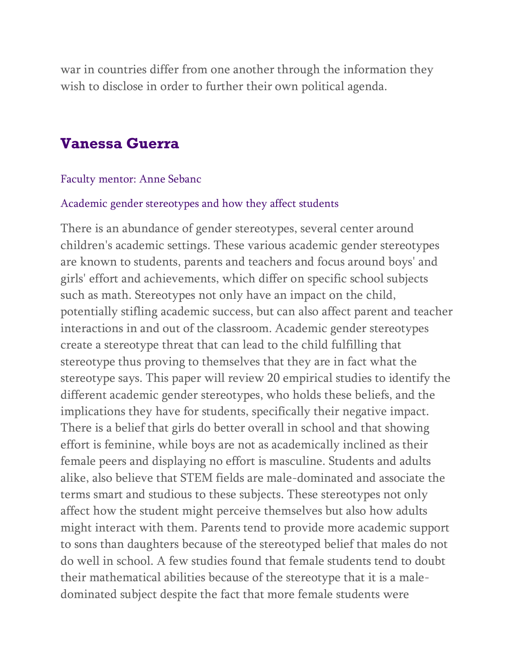war in countries differ from one another through the information they wish to disclose in order to further their own political agenda.

## **Vanessa Guerra**

#### Faculty mentor: Anne Sebanc

#### Academic gender stereotypes and how they affect students

There is an abundance of gender stereotypes, several center around children's academic settings. These various academic gender stereotypes are known to students, parents and teachers and focus around boys' and girls' effort and achievements, which differ on specific school subjects such as math. Stereotypes not only have an impact on the child, potentially stifling academic success, but can also affect parent and teacher interactions in and out of the classroom. Academic gender stereotypes create a stereotype threat that can lead to the child fulfilling that stereotype thus proving to themselves that they are in fact what the stereotype says. This paper will review 20 empirical studies to identify the different academic gender stereotypes, who holds these beliefs, and the implications they have for students, specifically their negative impact. There is a belief that girls do better overall in school and that showing effort is feminine, while boys are not as academically inclined as their female peers and displaying no effort is masculine. Students and adults alike, also believe that STEM fields are male-dominated and associate the terms smart and studious to these subjects. These stereotypes not only affect how the student might perceive themselves but also how adults might interact with them. Parents tend to provide more academic support to sons than daughters because of the stereotyped belief that males do not do well in school. A few studies found that female students tend to doubt their mathematical abilities because of the stereotype that it is a maledominated subject despite the fact that more female students were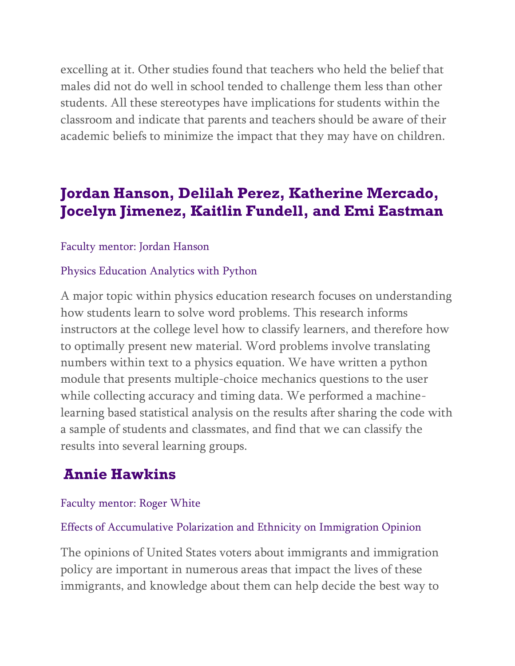excelling at it. Other studies found that teachers who held the belief that males did not do well in school tended to challenge them less than other students. All these stereotypes have implications for students within the classroom and indicate that parents and teachers should be aware of their academic beliefs to minimize the impact that they may have on children.

# **Jordan Hanson, Delilah Perez, Katherine Mercado, Jocelyn Jimenez, Kaitlin Fundell, and Emi Eastman**

### Faculty mentor: Jordan Hanson

### Physics Education Analytics with Python

A major topic within physics education research focuses on understanding how students learn to solve word problems. This research informs instructors at the college level how to classify learners, and therefore how to optimally present new material. Word problems involve translating numbers within text to a physics equation. We have written a python module that presents multiple-choice mechanics questions to the user while collecting accuracy and timing data. We performed a machinelearning based statistical analysis on the results after sharing the code with a sample of students and classmates, and find that we can classify the results into several learning groups.

# **Annie Hawkins**

### Faculty mentor: Roger White

### Effects of Accumulative Polarization and Ethnicity on Immigration Opinion

The opinions of United States voters about immigrants and immigration policy are important in numerous areas that impact the lives of these immigrants, and knowledge about them can help decide the best way to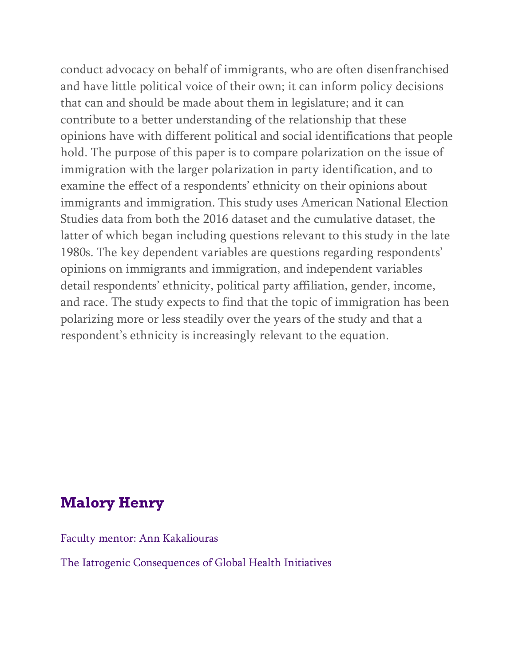conduct advocacy on behalf of immigrants, who are often disenfranchised and have little political voice of their own; it can inform policy decisions that can and should be made about them in legislature; and it can contribute to a better understanding of the relationship that these opinions have with different political and social identifications that people hold. The purpose of this paper is to compare polarization on the issue of immigration with the larger polarization in party identification, and to examine the effect of a respondents' ethnicity on their opinions about immigrants and immigration. This study uses American National Election Studies data from both the 2016 dataset and the cumulative dataset, the latter of which began including questions relevant to this study in the late 1980s. The key dependent variables are questions regarding respondents' opinions on immigrants and immigration, and independent variables detail respondents' ethnicity, political party affiliation, gender, income, and race. The study expects to find that the topic of immigration has been polarizing more or less steadily over the years of the study and that a respondent's ethnicity is increasingly relevant to the equation.

## **Malory Henry**

Faculty mentor: Ann Kakaliouras

The Iatrogenic Consequences of Global Health Initiatives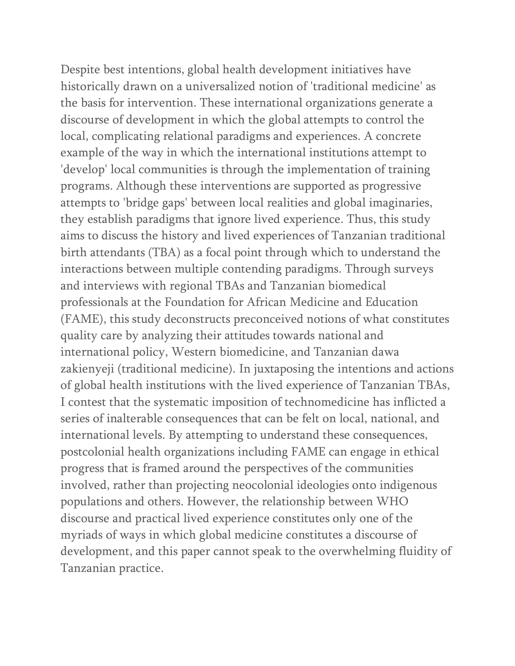Despite best intentions, global health development initiatives have historically drawn on a universalized notion of 'traditional medicine' as the basis for intervention. These international organizations generate a discourse of development in which the global attempts to control the local, complicating relational paradigms and experiences. A concrete example of the way in which the international institutions attempt to 'develop' local communities is through the implementation of training programs. Although these interventions are supported as progressive attempts to 'bridge gaps' between local realities and global imaginaries, they establish paradigms that ignore lived experience. Thus, this study aims to discuss the history and lived experiences of Tanzanian traditional birth attendants (TBA) as a focal point through which to understand the interactions between multiple contending paradigms. Through surveys and interviews with regional TBAs and Tanzanian biomedical professionals at the Foundation for African Medicine and Education (FAME), this study deconstructs preconceived notions of what constitutes quality care by analyzing their attitudes towards national and international policy, Western biomedicine, and Tanzanian dawa zakienyeji (traditional medicine). In juxtaposing the intentions and actions of global health institutions with the lived experience of Tanzanian TBAs, I contest that the systematic imposition of technomedicine has inflicted a series of inalterable consequences that can be felt on local, national, and international levels. By attempting to understand these consequences, postcolonial health organizations including FAME can engage in ethical progress that is framed around the perspectives of the communities involved, rather than projecting neocolonial ideologies onto indigenous populations and others. However, the relationship between WHO discourse and practical lived experience constitutes only one of the myriads of ways in which global medicine constitutes a discourse of development, and this paper cannot speak to the overwhelming fluidity of Tanzanian practice.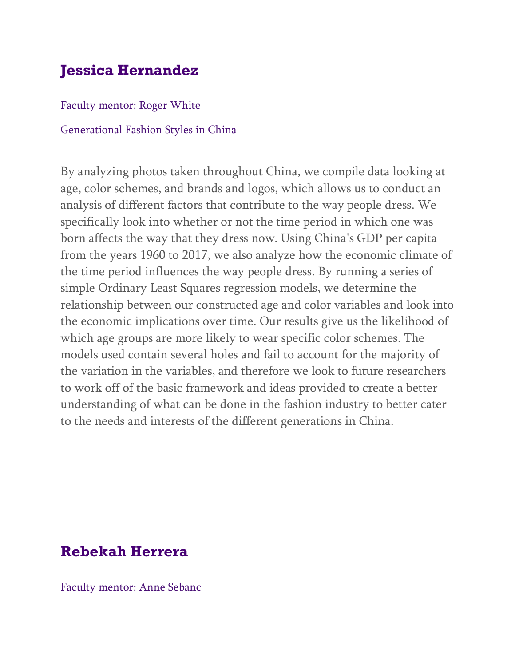# **Jessica Hernandez**

Faculty mentor: Roger White

#### Generational Fashion Styles in China

By analyzing photos taken throughout China, we compile data looking at age, color schemes, and brands and logos, which allows us to conduct an analysis of different factors that contribute to the way people dress. We specifically look into whether or not the time period in which one was born affects the way that they dress now. Using China's GDP per capita from the years 1960 to 2017, we also analyze how the economic climate of the time period influences the way people dress. By running a series of simple Ordinary Least Squares regression models, we determine the relationship between our constructed age and color variables and look into the economic implications over time. Our results give us the likelihood of which age groups are more likely to wear specific color schemes. The models used contain several holes and fail to account for the majority of the variation in the variables, and therefore we look to future researchers to work off of the basic framework and ideas provided to create a better understanding of what can be done in the fashion industry to better cater to the needs and interests of the different generations in China.

## **Rebekah Herrera**

Faculty mentor: Anne Sebanc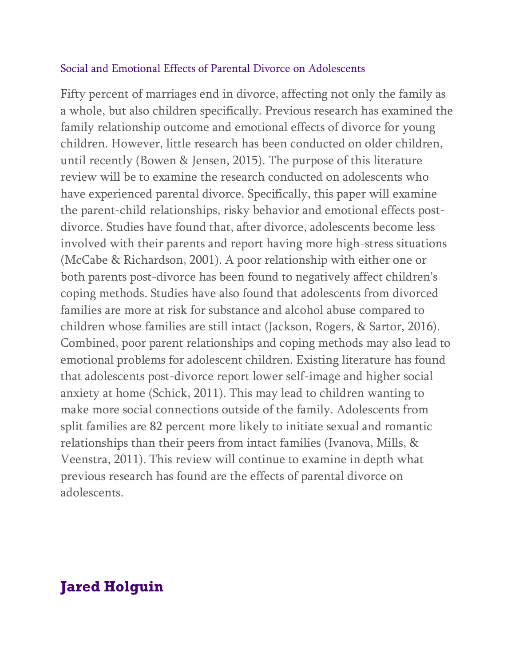### Social and Emotional Effects of Parental Divorce on Adolescents

Fifty percent of marriages end in divorce, affecting not only the family as a whole, but also children specifically. Previous research has examined the family relationship outcome and emotional effects of divorce for young children. However, little research has been conducted on older children, until recently (Bowen & Jensen, 2015). The purpose of this literature review will be to examine the research conducted on adolescents who have experienced parental divorce. Specifically, this paper will examine the parent-child relationships, risky behavior and emotional effects postdivorce. Studies have found that, after divorce, adolescents become less involved with their parents and report having more high-stress situations (McCabe & Richardson, 2001). A poor relationship with either one or both parents post-divorce has been found to negatively affect children's coping methods. Studies have also found that adolescents from divorced families are more at risk for substance and alcohol abuse compared to children whose families are still intact (Jackson, Rogers, & Sartor, 2016). Combined, poor parent relationships and coping methods may also lead to emotional problems for adolescent children. Existing literature has found that adolescents post-divorce report lower self-image and higher social anxiety at home (Schick, 2011). This may lead to children wanting to make more social connections outside of the family. Adolescents from split families are 82 percent more likely to initiate sexual and romantic relationships than their peers from intact families (Ivanova, Mills, & Veenstra, 2011). This review will continue to examine in depth what previous research has found are the effects of parental divorce on adolescents.

## **Jared Holguin**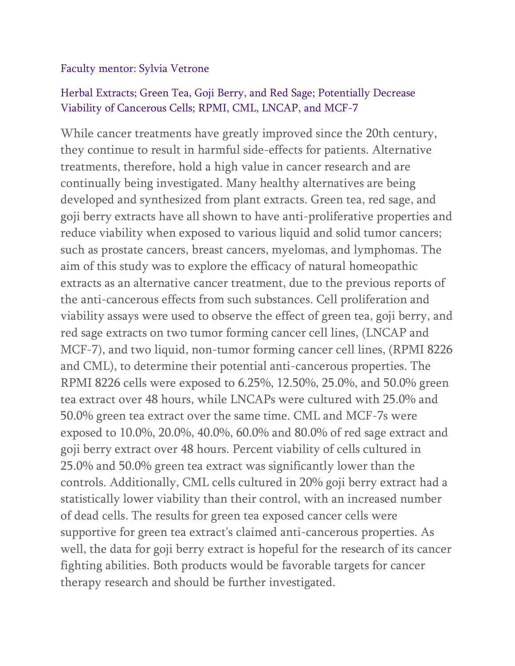### Faculty mentor: Sylvia Vetrone

### Herbal Extracts; Green Tea, Goji Berry, and Red Sage; Potentially Decrease Viability of Cancerous Cells; RPMI, CML, LNCAP, and MCF-7

While cancer treatments have greatly improved since the 20th century, they continue to result in harmful side-effects for patients. Alternative treatments, therefore, hold a high value in cancer research and are continually being investigated. Many healthy alternatives are being developed and synthesized from plant extracts. Green tea, red sage, and goji berry extracts have all shown to have anti-proliferative properties and reduce viability when exposed to various liquid and solid tumor cancers; such as prostate cancers, breast cancers, myelomas, and lymphomas. The aim of this study was to explore the efficacy of natural homeopathic extracts as an alternative cancer treatment, due to the previous reports of the anti-cancerous effects from such substances. Cell proliferation and viability assays were used to observe the effect of green tea, goji berry, and red sage extracts on two tumor forming cancer cell lines, (LNCAP and MCF-7), and two liquid, non-tumor forming cancer cell lines, (RPMI 8226 and CML), to determine their potential anti-cancerous properties. The RPMI 8226 cells were exposed to 6.25%, 12.50%, 25.0%, and 50.0% green tea extract over 48 hours, while LNCAPs were cultured with 25.0% and 50.0% green tea extract over the same time. CML and MCF-7s were exposed to 10.0%, 20.0%, 40.0%, 60.0% and 80.0% of red sage extract and goji berry extract over 48 hours. Percent viability of cells cultured in 25.0% and 50.0% green tea extract was significantly lower than the controls. Additionally, CML cells cultured in 20% goji berry extract had a statistically lower viability than their control, with an increased number of dead cells. The results for green tea exposed cancer cells were supportive for green tea extract's claimed anti-cancerous properties. As well, the data for goji berry extract is hopeful for the research of its cancer fighting abilities. Both products would be favorable targets for cancer therapy research and should be further investigated.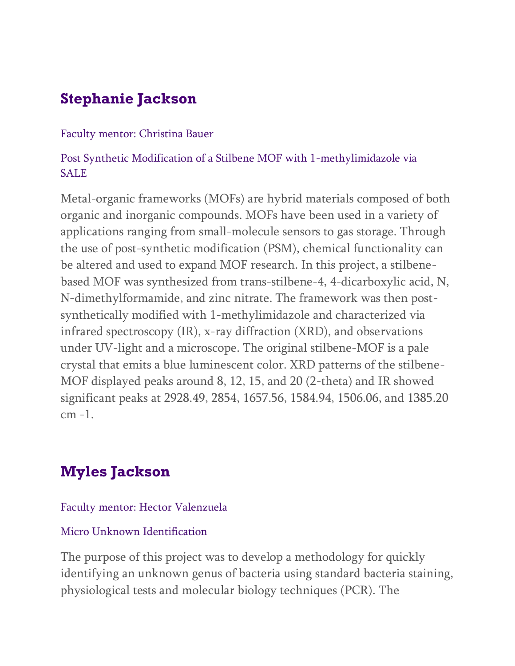# **Stephanie Jackson**

### Faculty mentor: Christina Bauer

## Post Synthetic Modification of a Stilbene MOF with 1-methylimidazole via **SALE**

Metal-organic frameworks (MOFs) are hybrid materials composed of both organic and inorganic compounds. MOFs have been used in a variety of applications ranging from small-molecule sensors to gas storage. Through the use of post-synthetic modification (PSM), chemical functionality can be altered and used to expand MOF research. In this project, a stilbenebased MOF was synthesized from trans-stilbene-4, 4-dicarboxylic acid, N, N-dimethylformamide, and zinc nitrate. The framework was then postsynthetically modified with 1-methylimidazole and characterized via infrared spectroscopy (IR), x-ray diffraction (XRD), and observations under UV-light and a microscope. The original stilbene-MOF is a pale crystal that emits a blue luminescent color. XRD patterns of the stilbene-MOF displayed peaks around 8, 12, 15, and 20 (2-theta) and IR showed significant peaks at 2928.49, 2854, 1657.56, 1584.94, 1506.06, and 1385.20 cm -1.

# **Myles Jackson**

### Faculty mentor: Hector Valenzuela

## Micro Unknown Identification

The purpose of this project was to develop a methodology for quickly identifying an unknown genus of bacteria using standard bacteria staining, physiological tests and molecular biology techniques (PCR). The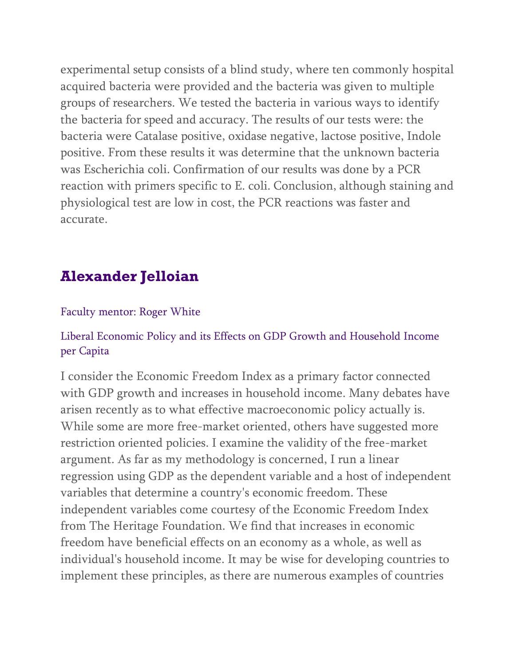experimental setup consists of a blind study, where ten commonly hospital acquired bacteria were provided and the bacteria was given to multiple groups of researchers. We tested the bacteria in various ways to identify the bacteria for speed and accuracy. The results of our tests were: the bacteria were Catalase positive, oxidase negative, lactose positive, Indole positive. From these results it was determine that the unknown bacteria was Escherichia coli. Confirmation of our results was done by a PCR reaction with primers specific to E. coli. Conclusion, although staining and physiological test are low in cost, the PCR reactions was faster and accurate.

# **Alexander Jelloian**

### Faculty mentor: Roger White

## Liberal Economic Policy and its Effects on GDP Growth and Household Income per Capita

I consider the Economic Freedom Index as a primary factor connected with GDP growth and increases in household income. Many debates have arisen recently as to what effective macroeconomic policy actually is. While some are more free-market oriented, others have suggested more restriction oriented policies. I examine the validity of the free-market argument. As far as my methodology is concerned, I run a linear regression using GDP as the dependent variable and a host of independent variables that determine a country's economic freedom. These independent variables come courtesy of the Economic Freedom Index from The Heritage Foundation. We find that increases in economic freedom have beneficial effects on an economy as a whole, as well as individual's household income. It may be wise for developing countries to implement these principles, as there are numerous examples of countries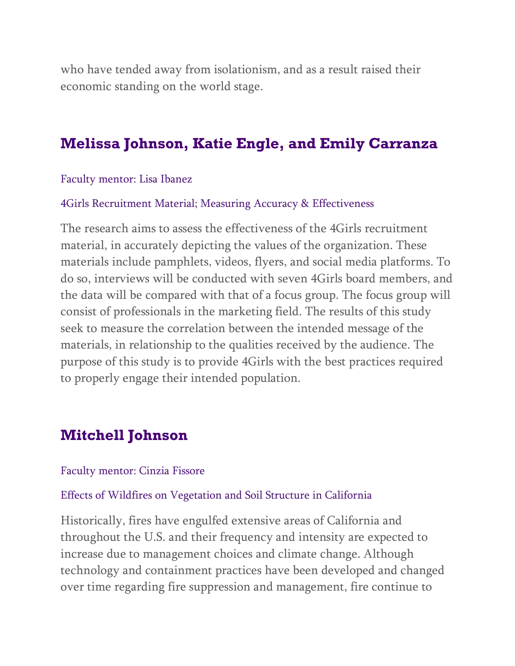who have tended away from isolationism, and as a result raised their economic standing on the world stage.

## **Melissa Johnson, Katie Engle, and Emily Carranza**

Faculty mentor: Lisa Ibanez

#### 4Girls Recruitment Material; Measuring Accuracy & Effectiveness

The research aims to assess the effectiveness of the 4Girls recruitment material, in accurately depicting the values of the organization. These materials include pamphlets, videos, flyers, and social media platforms. To do so, interviews will be conducted with seven 4Girls board members, and the data will be compared with that of a focus group. The focus group will consist of professionals in the marketing field. The results of this study seek to measure the correlation between the intended message of the materials, in relationship to the qualities received by the audience. The purpose of this study is to provide 4Girls with the best practices required to properly engage their intended population.

## **Mitchell Johnson**

#### Faculty mentor: Cinzia Fissore

#### Effects of Wildfires on Vegetation and Soil Structure in California

Historically, fires have engulfed extensive areas of California and throughout the U.S. and their frequency and intensity are expected to increase due to management choices and climate change. Although technology and containment practices have been developed and changed over time regarding fire suppression and management, fire continue to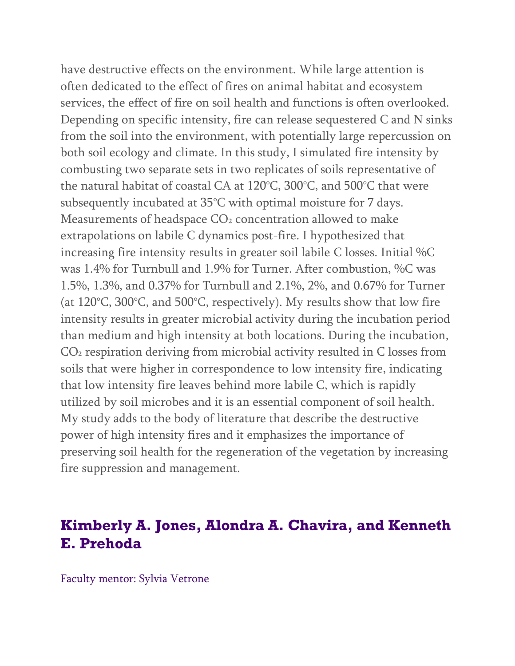have destructive effects on the environment. While large attention is often dedicated to the effect of fires on animal habitat and ecosystem services, the effect of fire on soil health and functions is often overlooked. Depending on specific intensity, fire can release sequestered C and N sinks from the soil into the environment, with potentially large repercussion on both soil ecology and climate. In this study, I simulated fire intensity by combusting two separate sets in two replicates of soils representative of the natural habitat of coastal CA at 120°C, 300°C, and 500°C that were subsequently incubated at 35°C with optimal moisture for 7 days. Measurements of headspace CO<sub>2</sub> concentration allowed to make extrapolations on labile C dynamics post-fire. I hypothesized that increasing fire intensity results in greater soil labile C losses. Initial %C was 1.4% for Turnbull and 1.9% for Turner. After combustion, %C was 1.5%, 1.3%, and 0.37% for Turnbull and 2.1%, 2%, and 0.67% for Turner (at 120°C, 300°C, and 500°C, respectively). My results show that low fire intensity results in greater microbial activity during the incubation period than medium and high intensity at both locations. During the incubation, CO<sub>2</sub> respiration deriving from microbial activity resulted in C losses from soils that were higher in correspondence to low intensity fire, indicating that low intensity fire leaves behind more labile C, which is rapidly utilized by soil microbes and it is an essential component of soil health. My study adds to the body of literature that describe the destructive power of high intensity fires and it emphasizes the importance of preserving soil health for the regeneration of the vegetation by increasing fire suppression and management.

# **Kimberly A. Jones, Alondra A. Chavira, and Kenneth E. Prehoda**

Faculty mentor: Sylvia Vetrone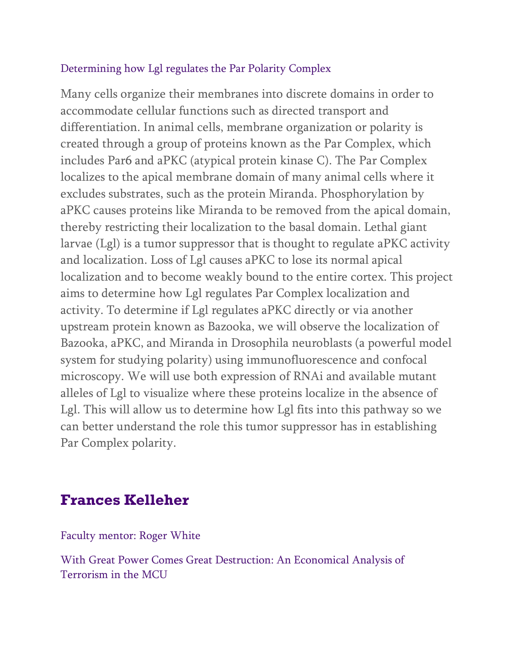### Determining how Lgl regulates the Par Polarity Complex

Many cells organize their membranes into discrete domains in order to accommodate cellular functions such as directed transport and differentiation. In animal cells, membrane organization or polarity is created through a group of proteins known as the Par Complex, which includes Par6 and aPKC (atypical protein kinase C). The Par Complex localizes to the apical membrane domain of many animal cells where it excludes substrates, such as the protein Miranda. Phosphorylation by aPKC causes proteins like Miranda to be removed from the apical domain, thereby restricting their localization to the basal domain. Lethal giant larvae (Lgl) is a tumor suppressor that is thought to regulate aPKC activity and localization. Loss of Lgl causes aPKC to lose its normal apical localization and to become weakly bound to the entire cortex. This project aims to determine how Lgl regulates Par Complex localization and activity. To determine if Lgl regulates aPKC directly or via another upstream protein known as Bazooka, we will observe the localization of Bazooka, aPKC, and Miranda in Drosophila neuroblasts (a powerful model system for studying polarity) using immunofluorescence and confocal microscopy. We will use both expression of RNAi and available mutant alleles of Lgl to visualize where these proteins localize in the absence of Lgl. This will allow us to determine how Lgl fits into this pathway so we can better understand the role this tumor suppressor has in establishing Par Complex polarity.

## **Frances Kelleher**

Faculty mentor: Roger White

With Great Power Comes Great Destruction: An Economical Analysis of Terrorism in the MCU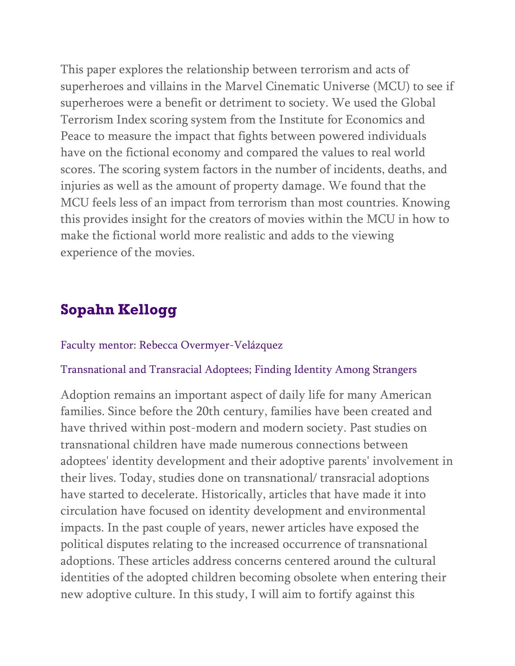This paper explores the relationship between terrorism and acts of superheroes and villains in the Marvel Cinematic Universe (MCU) to see if superheroes were a benefit or detriment to society. We used the Global Terrorism Index scoring system from the Institute for Economics and Peace to measure the impact that fights between powered individuals have on the fictional economy and compared the values to real world scores. The scoring system factors in the number of incidents, deaths, and injuries as well as the amount of property damage. We found that the MCU feels less of an impact from terrorism than most countries. Knowing this provides insight for the creators of movies within the MCU in how to make the fictional world more realistic and adds to the viewing experience of the movies.

# **Sopahn Kellogg**

### Faculty mentor: Rebecca Overmyer-Velázquez

#### Transnational and Transracial Adoptees; Finding Identity Among Strangers

Adoption remains an important aspect of daily life for many American families. Since before the 20th century, families have been created and have thrived within post-modern and modern society. Past studies on transnational children have made numerous connections between adoptees' identity development and their adoptive parents' involvement in their lives. Today, studies done on transnational/ transracial adoptions have started to decelerate. Historically, articles that have made it into circulation have focused on identity development and environmental impacts. In the past couple of years, newer articles have exposed the political disputes relating to the increased occurrence of transnational adoptions. These articles address concerns centered around the cultural identities of the adopted children becoming obsolete when entering their new adoptive culture. In this study, I will aim to fortify against this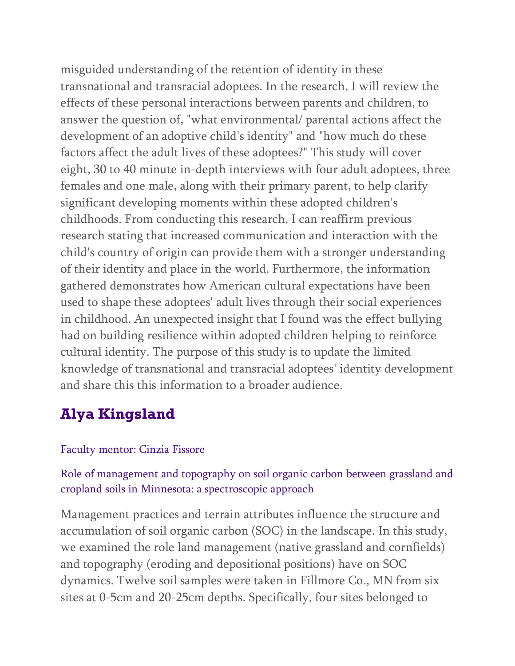misguided understanding of the retention of identity in these transnational and transracial adoptees. In the research, I will review the effects of these personal interactions between parents and children, to answer the question of, "what environmental/ parental actions affect the development of an adoptive child's identity" and "how much do these factors affect the adult lives of these adoptees?" This study will cover eight, 30 to 40 minute in-depth interviews with four adult adoptees, three females and one male, along with their primary parent, to help clarify significant developing moments within these adopted children's childhoods. From conducting this research, I can reaffirm previous research stating that increased communication and interaction with the child's country of origin can provide them with a stronger understanding of their identity and place in the world. Furthermore, the information gathered demonstrates how American cultural expectations have been used to shape these adoptees' adult lives through their social experiences in childhood. An unexpected insight that I found was the effect bullying had on building resilience within adopted children helping to reinforce cultural identity. The purpose of this study is to update the limited knowledge of transnational and transracial adoptees' identity development and share this this information to a broader audience.

# **Alya Kingsland**

### Faculty mentor: Cinzia Fissore

## Role of management and topography on soil organic carbon between grassland and cropland soils in Minnesota: a spectroscopic approach

Management practices and terrain attributes influence the structure and accumulation of soil organic carbon (SOC) in the landscape. In this study, we examined the role land management (native grassland and cornfields) and topography (eroding and depositional positions) have on SOC dynamics. Twelve soil samples were taken in Fillmore Co., MN from six sites at 0-5cm and 20-25cm depths. Specifically, four sites belonged to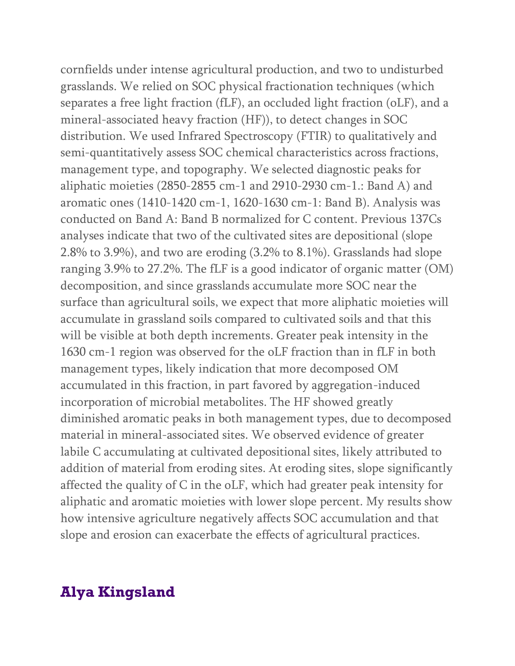cornfields under intense agricultural production, and two to undisturbed grasslands. We relied on SOC physical fractionation techniques (which separates a free light fraction (fLF), an occluded light fraction (oLF), and a mineral-associated heavy fraction (HF)), to detect changes in SOC distribution. We used Infrared Spectroscopy (FTIR) to qualitatively and semi-quantitatively assess SOC chemical characteristics across fractions, management type, and topography. We selected diagnostic peaks for aliphatic moieties (2850-2855 cm-1 and 2910-2930 cm-1.: Band A) and aromatic ones (1410-1420 cm-1, 1620-1630 cm-1: Band B). Analysis was conducted on Band A: Band B normalized for C content. Previous 137Cs analyses indicate that two of the cultivated sites are depositional (slope 2.8% to 3.9%), and two are eroding (3.2% to 8.1%). Grasslands had slope ranging 3.9% to 27.2%. The fLF is a good indicator of organic matter (OM) decomposition, and since grasslands accumulate more SOC near the surface than agricultural soils, we expect that more aliphatic moieties will accumulate in grassland soils compared to cultivated soils and that this will be visible at both depth increments. Greater peak intensity in the 1630 cm-1 region was observed for the oLF fraction than in fLF in both management types, likely indication that more decomposed OM accumulated in this fraction, in part favored by aggregation-induced incorporation of microbial metabolites. The HF showed greatly diminished aromatic peaks in both management types, due to decomposed material in mineral-associated sites. We observed evidence of greater labile C accumulating at cultivated depositional sites, likely attributed to addition of material from eroding sites. At eroding sites, slope significantly affected the quality of C in the oLF, which had greater peak intensity for aliphatic and aromatic moieties with lower slope percent. My results show how intensive agriculture negatively affects SOC accumulation and that slope and erosion can exacerbate the effects of agricultural practices.

# **Alya Kingsland**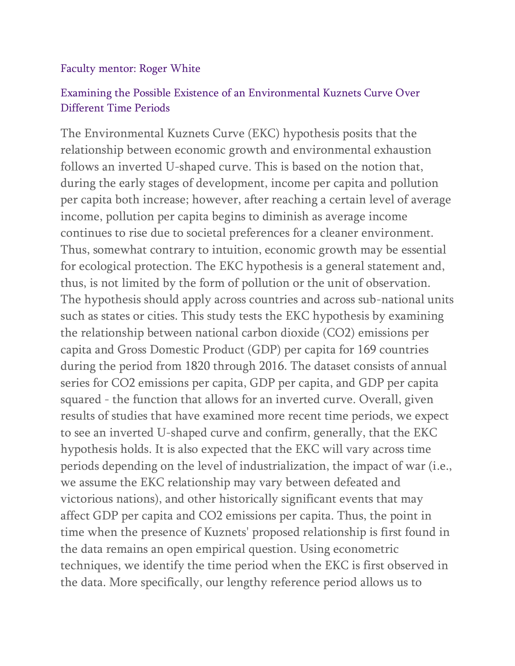### Faculty mentor: Roger White

### Examining the Possible Existence of an Environmental Kuznets Curve Over Different Time Periods

The Environmental Kuznets Curve (EKC) hypothesis posits that the relationship between economic growth and environmental exhaustion follows an inverted U-shaped curve. This is based on the notion that, during the early stages of development, income per capita and pollution per capita both increase; however, after reaching a certain level of average income, pollution per capita begins to diminish as average income continues to rise due to societal preferences for a cleaner environment. Thus, somewhat contrary to intuition, economic growth may be essential for ecological protection. The EKC hypothesis is a general statement and, thus, is not limited by the form of pollution or the unit of observation. The hypothesis should apply across countries and across sub-national units such as states or cities. This study tests the EKC hypothesis by examining the relationship between national carbon dioxide (CO2) emissions per capita and Gross Domestic Product (GDP) per capita for 169 countries during the period from 1820 through 2016. The dataset consists of annual series for CO2 emissions per capita, GDP per capita, and GDP per capita squared - the function that allows for an inverted curve. Overall, given results of studies that have examined more recent time periods, we expect to see an inverted U-shaped curve and confirm, generally, that the EKC hypothesis holds. It is also expected that the EKC will vary across time periods depending on the level of industrialization, the impact of war (i.e., we assume the EKC relationship may vary between defeated and victorious nations), and other historically significant events that may affect GDP per capita and CO2 emissions per capita. Thus, the point in time when the presence of Kuznets' proposed relationship is first found in the data remains an open empirical question. Using econometric techniques, we identify the time period when the EKC is first observed in the data. More specifically, our lengthy reference period allows us to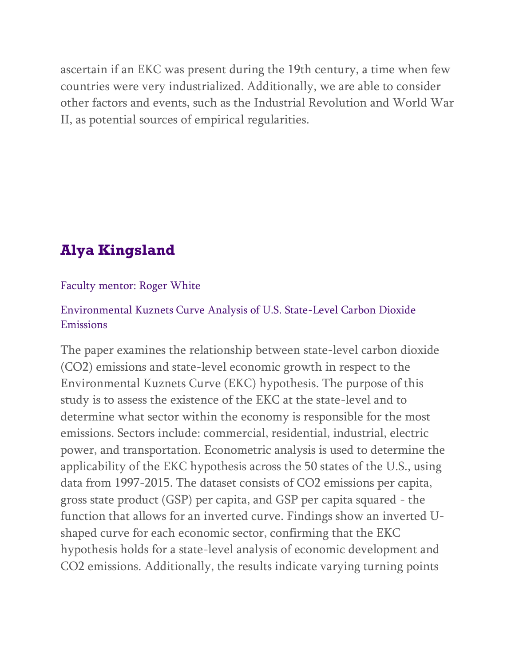ascertain if an EKC was present during the 19th century, a time when few countries were very industrialized. Additionally, we are able to consider other factors and events, such as the Industrial Revolution and World War II, as potential sources of empirical regularities.

# **Alya Kingsland**

### Faculty mentor: Roger White

## Environmental Kuznets Curve Analysis of U.S. State-Level Carbon Dioxide Emissions

The paper examines the relationship between state-level carbon dioxide (CO2) emissions and state-level economic growth in respect to the Environmental Kuznets Curve (EKC) hypothesis. The purpose of this study is to assess the existence of the EKC at the state-level and to determine what sector within the economy is responsible for the most emissions. Sectors include: commercial, residential, industrial, electric power, and transportation. Econometric analysis is used to determine the applicability of the EKC hypothesis across the 50 states of the U.S., using data from 1997-2015. The dataset consists of CO2 emissions per capita, gross state product (GSP) per capita, and GSP per capita squared - the function that allows for an inverted curve. Findings show an inverted Ushaped curve for each economic sector, confirming that the EKC hypothesis holds for a state-level analysis of economic development and CO2 emissions. Additionally, the results indicate varying turning points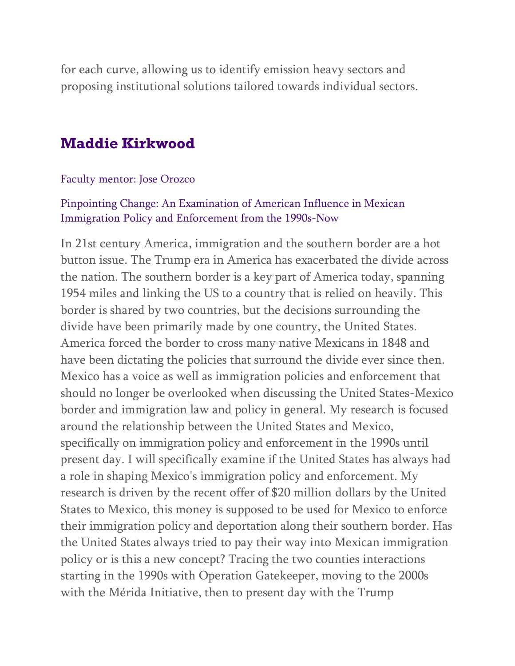for each curve, allowing us to identify emission heavy sectors and proposing institutional solutions tailored towards individual sectors.

## **Maddie Kirkwood**

#### Faculty mentor: Jose Orozco

### Pinpointing Change: An Examination of American Influence in Mexican Immigration Policy and Enforcement from the 1990s-Now

In 21st century America, immigration and the southern border are a hot button issue. The Trump era in America has exacerbated the divide across the nation. The southern border is a key part of America today, spanning 1954 miles and linking the US to a country that is relied on heavily. This border is shared by two countries, but the decisions surrounding the divide have been primarily made by one country, the United States. America forced the border to cross many native Mexicans in 1848 and have been dictating the policies that surround the divide ever since then. Mexico has a voice as well as immigration policies and enforcement that should no longer be overlooked when discussing the United States-Mexico border and immigration law and policy in general. My research is focused around the relationship between the United States and Mexico, specifically on immigration policy and enforcement in the 1990s until present day. I will specifically examine if the United States has always had a role in shaping Mexico's immigration policy and enforcement. My research is driven by the recent offer of \$20 million dollars by the United States to Mexico, this money is supposed to be used for Mexico to enforce their immigration policy and deportation along their southern border. Has the United States always tried to pay their way into Mexican immigration policy or is this a new concept? Tracing the two counties interactions starting in the 1990s with Operation Gatekeeper, moving to the 2000s with the Mérida Initiative, then to present day with the Trump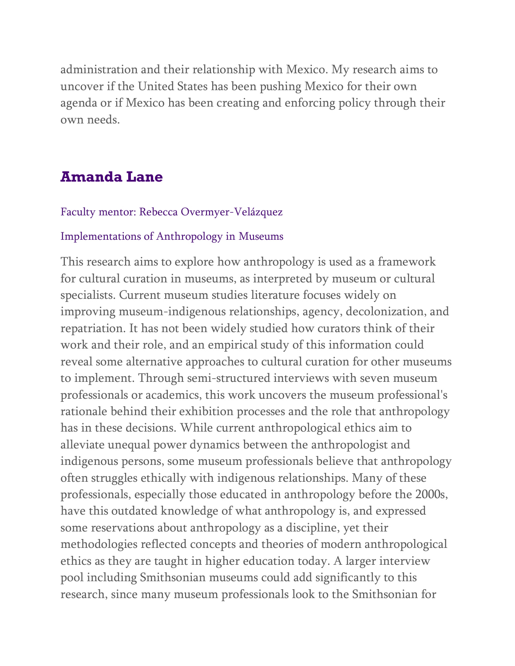administration and their relationship with Mexico. My research aims to uncover if the United States has been pushing Mexico for their own agenda or if Mexico has been creating and enforcing policy through their own needs.

# **Amanda Lane**

#### Faculty mentor: Rebecca Overmyer-Velázquez

#### Implementations of Anthropology in Museums

This research aims to explore how anthropology is used as a framework for cultural curation in museums, as interpreted by museum or cultural specialists. Current museum studies literature focuses widely on improving museum-indigenous relationships, agency, decolonization, and repatriation. It has not been widely studied how curators think of their work and their role, and an empirical study of this information could reveal some alternative approaches to cultural curation for other museums to implement. Through semi-structured interviews with seven museum professionals or academics, this work uncovers the museum professional's rationale behind their exhibition processes and the role that anthropology has in these decisions. While current anthropological ethics aim to alleviate unequal power dynamics between the anthropologist and indigenous persons, some museum professionals believe that anthropology often struggles ethically with indigenous relationships. Many of these professionals, especially those educated in anthropology before the 2000s, have this outdated knowledge of what anthropology is, and expressed some reservations about anthropology as a discipline, yet their methodologies reflected concepts and theories of modern anthropological ethics as they are taught in higher education today. A larger interview pool including Smithsonian museums could add significantly to this research, since many museum professionals look to the Smithsonian for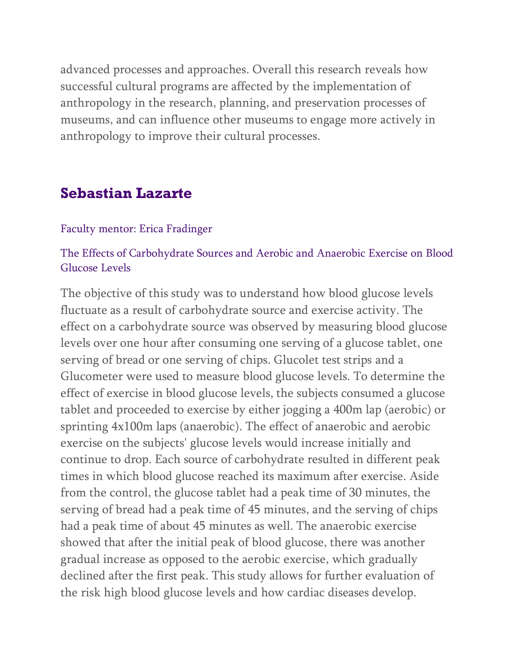advanced processes and approaches. Overall this research reveals how successful cultural programs are affected by the implementation of anthropology in the research, planning, and preservation processes of museums, and can influence other museums to engage more actively in anthropology to improve their cultural processes.

## **Sebastian Lazarte**

#### Faculty mentor: Erica Fradinger

### The Effects of Carbohydrate Sources and Aerobic and Anaerobic Exercise on Blood Glucose Levels

The objective of this study was to understand how blood glucose levels fluctuate as a result of carbohydrate source and exercise activity. The effect on a carbohydrate source was observed by measuring blood glucose levels over one hour after consuming one serving of a glucose tablet, one serving of bread or one serving of chips. Glucolet test strips and a Glucometer were used to measure blood glucose levels. To determine the effect of exercise in blood glucose levels, the subjects consumed a glucose tablet and proceeded to exercise by either jogging a 400m lap (aerobic) or sprinting 4x100m laps (anaerobic). The effect of anaerobic and aerobic exercise on the subjects' glucose levels would increase initially and continue to drop. Each source of carbohydrate resulted in different peak times in which blood glucose reached its maximum after exercise. Aside from the control, the glucose tablet had a peak time of 30 minutes, the serving of bread had a peak time of 45 minutes, and the serving of chips had a peak time of about 45 minutes as well. The anaerobic exercise showed that after the initial peak of blood glucose, there was another gradual increase as opposed to the aerobic exercise, which gradually declined after the first peak. This study allows for further evaluation of the risk high blood glucose levels and how cardiac diseases develop.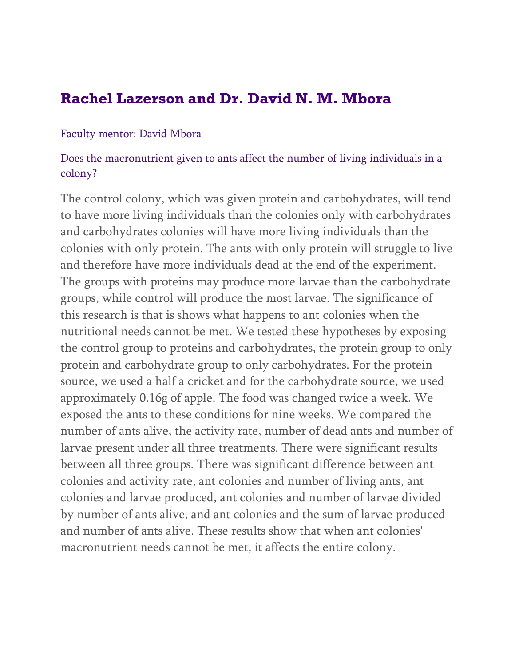## **Rachel Lazerson and Dr. David N. M. Mbora**

#### Faculty mentor: David Mbora

### Does the macronutrient given to ants affect the number of living individuals in a colony?

The control colony, which was given protein and carbohydrates, will tend to have more living individuals than the colonies only with carbohydrates and carbohydrates colonies will have more living individuals than the colonies with only protein. The ants with only protein will struggle to live and therefore have more individuals dead at the end of the experiment. The groups with proteins may produce more larvae than the carbohydrate groups, while control will produce the most larvae. The significance of this research is that is shows what happens to ant colonies when the nutritional needs cannot be met. We tested these hypotheses by exposing the control group to proteins and carbohydrates, the protein group to only protein and carbohydrate group to only carbohydrates. For the protein source, we used a half a cricket and for the carbohydrate source, we used approximately 0.16g of apple. The food was changed twice a week. We exposed the ants to these conditions for nine weeks. We compared the number of ants alive, the activity rate, number of dead ants and number of larvae present under all three treatments. There were significant results between all three groups. There was significant difference between ant colonies and activity rate, ant colonies and number of living ants, ant colonies and larvae produced, ant colonies and number of larvae divided by number of ants alive, and ant colonies and the sum of larvae produced and number of ants alive. These results show that when ant colonies' macronutrient needs cannot be met, it affects the entire colony.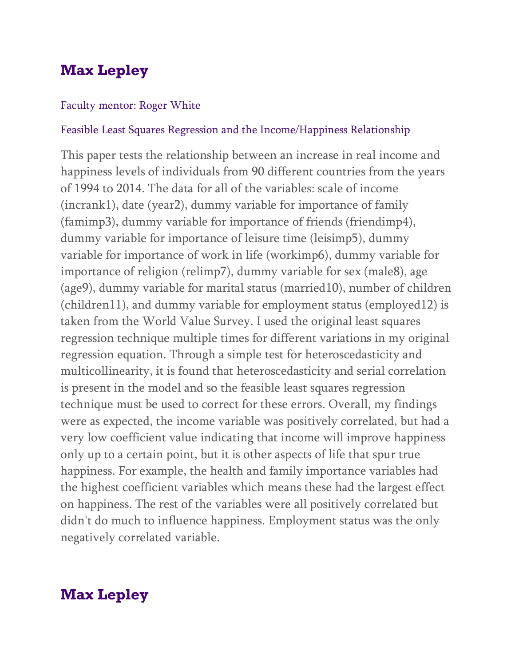# **Max Lepley**

#### Faculty mentor: Roger White

#### Feasible Least Squares Regression and the Income/Happiness Relationship

This paper tests the relationship between an increase in real income and happiness levels of individuals from 90 different countries from the years of 1994 to 2014. The data for all of the variables: scale of income (incrank1), date (year2), dummy variable for importance of family (famimp3), dummy variable for importance of friends (friendimp4), dummy variable for importance of leisure time (leisimp5), dummy variable for importance of work in life (workimp6), dummy variable for importance of religion (relimp7), dummy variable for sex (male8), age (age9), dummy variable for marital status (married10), number of children (children11), and dummy variable for employment status (employed12) is taken from the World Value Survey. I used the original least squares regression technique multiple times for different variations in my original regression equation. Through a simple test for heteroscedasticity and multicollinearity, it is found that heteroscedasticity and serial correlation is present in the model and so the feasible least squares regression technique must be used to correct for these errors. Overall, my findings were as expected, the income variable was positively correlated, but had a very low coefficient value indicating that income will improve happiness only up to a certain point, but it is other aspects of life that spur true happiness. For example, the health and family importance variables had the highest coefficient variables which means these had the largest effect on happiness. The rest of the variables were all positively correlated but didn't do much to influence happiness. Employment status was the only negatively correlated variable.

## **Max Lepley**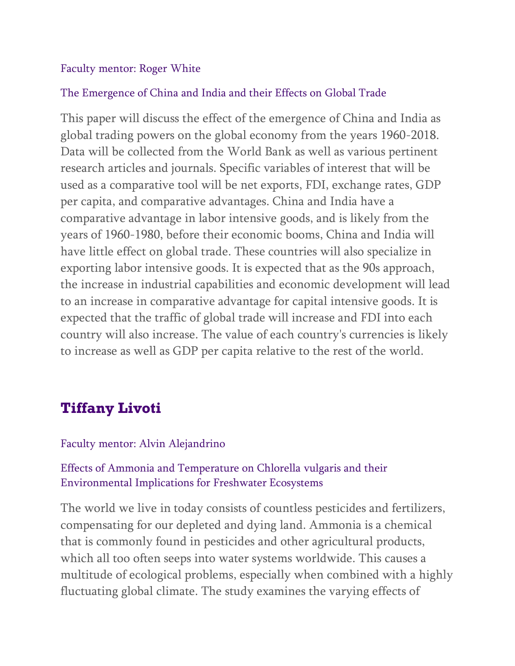### Faculty mentor: Roger White

### The Emergence of China and India and their Effects on Global Trade

This paper will discuss the effect of the emergence of China and India as global trading powers on the global economy from the years 1960-2018. Data will be collected from the World Bank as well as various pertinent research articles and journals. Specific variables of interest that will be used as a comparative tool will be net exports, FDI, exchange rates, GDP per capita, and comparative advantages. China and India have a comparative advantage in labor intensive goods, and is likely from the years of 1960-1980, before their economic booms, China and India will have little effect on global trade. These countries will also specialize in exporting labor intensive goods. It is expected that as the 90s approach, the increase in industrial capabilities and economic development will lead to an increase in comparative advantage for capital intensive goods. It is expected that the traffic of global trade will increase and FDI into each country will also increase. The value of each country's currencies is likely to increase as well as GDP per capita relative to the rest of the world.

# **Tiffany Livoti**

### Faculty mentor: Alvin Alejandrino

## Effects of Ammonia and Temperature on Chlorella vulgaris and their Environmental Implications for Freshwater Ecosystems

The world we live in today consists of countless pesticides and fertilizers, compensating for our depleted and dying land. Ammonia is a chemical that is commonly found in pesticides and other agricultural products, which all too often seeps into water systems worldwide. This causes a multitude of ecological problems, especially when combined with a highly fluctuating global climate. The study examines the varying effects of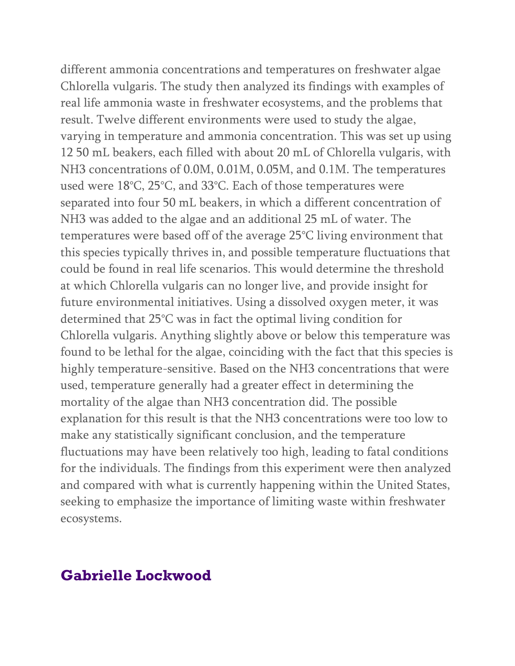different ammonia concentrations and temperatures on freshwater algae Chlorella vulgaris. The study then analyzed its findings with examples of real life ammonia waste in freshwater ecosystems, and the problems that result. Twelve different environments were used to study the algae, varying in temperature and ammonia concentration. This was set up using 12 50 mL beakers, each filled with about 20 mL of Chlorella vulgaris, with NH3 concentrations of 0.0M, 0.01M, 0.05M, and 0.1M. The temperatures used were 18°C, 25°C, and 33°C. Each of those temperatures were separated into four 50 mL beakers, in which a different concentration of NH3 was added to the algae and an additional 25 mL of water. The temperatures were based off of the average 25°C living environment that this species typically thrives in, and possible temperature fluctuations that could be found in real life scenarios. This would determine the threshold at which Chlorella vulgaris can no longer live, and provide insight for future environmental initiatives. Using a dissolved oxygen meter, it was determined that 25°C was in fact the optimal living condition for Chlorella vulgaris. Anything slightly above or below this temperature was found to be lethal for the algae, coinciding with the fact that this species is highly temperature-sensitive. Based on the NH3 concentrations that were used, temperature generally had a greater effect in determining the mortality of the algae than NH3 concentration did. The possible explanation for this result is that the NH3 concentrations were too low to make any statistically significant conclusion, and the temperature fluctuations may have been relatively too high, leading to fatal conditions for the individuals. The findings from this experiment were then analyzed and compared with what is currently happening within the United States, seeking to emphasize the importance of limiting waste within freshwater ecosystems.

## **Gabrielle Lockwood**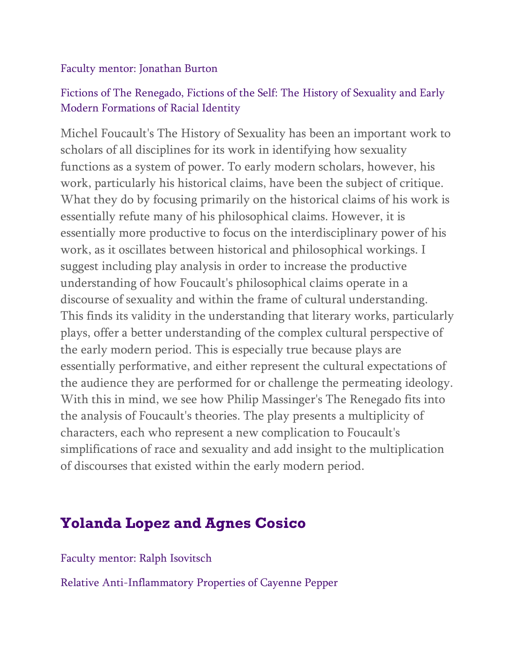### Faculty mentor: Jonathan Burton

## Fictions of The Renegado, Fictions of the Self: The History of Sexuality and Early Modern Formations of Racial Identity

Michel Foucault's The History of Sexuality has been an important work to scholars of all disciplines for its work in identifying how sexuality functions as a system of power. To early modern scholars, however, his work, particularly his historical claims, have been the subject of critique. What they do by focusing primarily on the historical claims of his work is essentially refute many of his philosophical claims. However, it is essentially more productive to focus on the interdisciplinary power of his work, as it oscillates between historical and philosophical workings. I suggest including play analysis in order to increase the productive understanding of how Foucault's philosophical claims operate in a discourse of sexuality and within the frame of cultural understanding. This finds its validity in the understanding that literary works, particularly plays, offer a better understanding of the complex cultural perspective of the early modern period. This is especially true because plays are essentially performative, and either represent the cultural expectations of the audience they are performed for or challenge the permeating ideology. With this in mind, we see how Philip Massinger's The Renegado fits into the analysis of Foucault's theories. The play presents a multiplicity of characters, each who represent a new complication to Foucault's simplifications of race and sexuality and add insight to the multiplication of discourses that existed within the early modern period.

# **Yolanda Lopez and Agnes Cosico**

Faculty mentor: Ralph Isovitsch

Relative Anti-Inflammatory Properties of Cayenne Pepper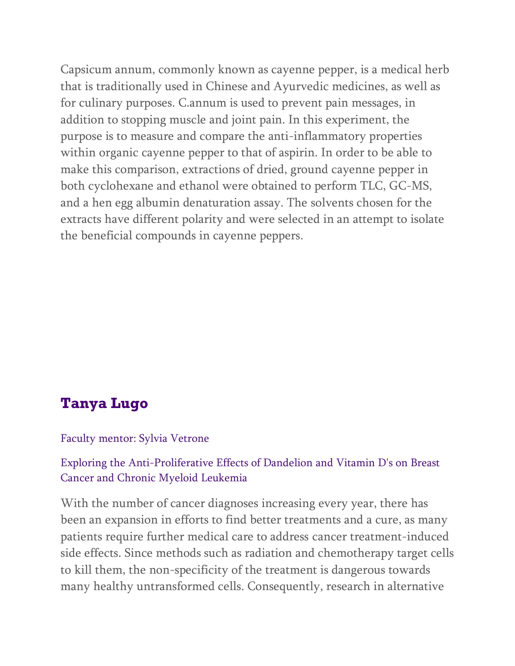Capsicum annum, commonly known as cayenne pepper, is a medical herb that is traditionally used in Chinese and Ayurvedic medicines, as well as for culinary purposes. C.annum is used to prevent pain messages, in addition to stopping muscle and joint pain. In this experiment, the purpose is to measure and compare the anti-inflammatory properties within organic cayenne pepper to that of aspirin. In order to be able to make this comparison, extractions of dried, ground cayenne pepper in both cyclohexane and ethanol were obtained to perform TLC, GC-MS, and a hen egg albumin denaturation assay. The solvents chosen for the extracts have different polarity and were selected in an attempt to isolate the beneficial compounds in cayenne peppers.

# **Tanya Lugo**

### Faculty mentor: Sylvia Vetrone

### Exploring the Anti-Proliferative Effects of Dandelion and Vitamin D's on Breast Cancer and Chronic Myeloid Leukemia

With the number of cancer diagnoses increasing every year, there has been an expansion in efforts to find better treatments and a cure, as many patients require further medical care to address cancer treatment-induced side effects. Since methods such as radiation and chemotherapy target cells to kill them, the non-specificity of the treatment is dangerous towards many healthy untransformed cells. Consequently, research in alternative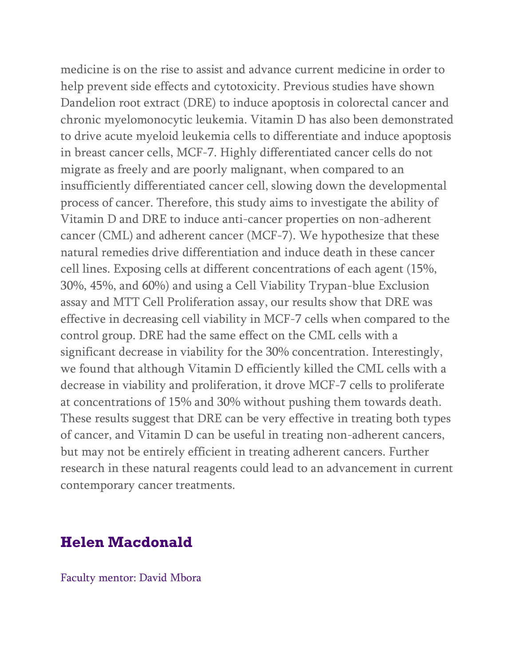medicine is on the rise to assist and advance current medicine in order to help prevent side effects and cytotoxicity. Previous studies have shown Dandelion root extract (DRE) to induce apoptosis in colorectal cancer and chronic myelomonocytic leukemia. Vitamin D has also been demonstrated to drive acute myeloid leukemia cells to differentiate and induce apoptosis in breast cancer cells, MCF-7. Highly differentiated cancer cells do not migrate as freely and are poorly malignant, when compared to an insufficiently differentiated cancer cell, slowing down the developmental process of cancer. Therefore, this study aims to investigate the ability of Vitamin D and DRE to induce anti-cancer properties on non-adherent cancer (CML) and adherent cancer (MCF-7). We hypothesize that these natural remedies drive differentiation and induce death in these cancer cell lines. Exposing cells at different concentrations of each agent (15%, 30%, 45%, and 60%) and using a Cell Viability Trypan-blue Exclusion assay and MTT Cell Proliferation assay, our results show that DRE was effective in decreasing cell viability in MCF-7 cells when compared to the control group. DRE had the same effect on the CML cells with a significant decrease in viability for the 30% concentration. Interestingly, we found that although Vitamin D efficiently killed the CML cells with a decrease in viability and proliferation, it drove MCF-7 cells to proliferate at concentrations of 15% and 30% without pushing them towards death. These results suggest that DRE can be very effective in treating both types of cancer, and Vitamin D can be useful in treating non-adherent cancers, but may not be entirely efficient in treating adherent cancers. Further research in these natural reagents could lead to an advancement in current contemporary cancer treatments.

## **Helen Macdonald**

Faculty mentor: David Mbora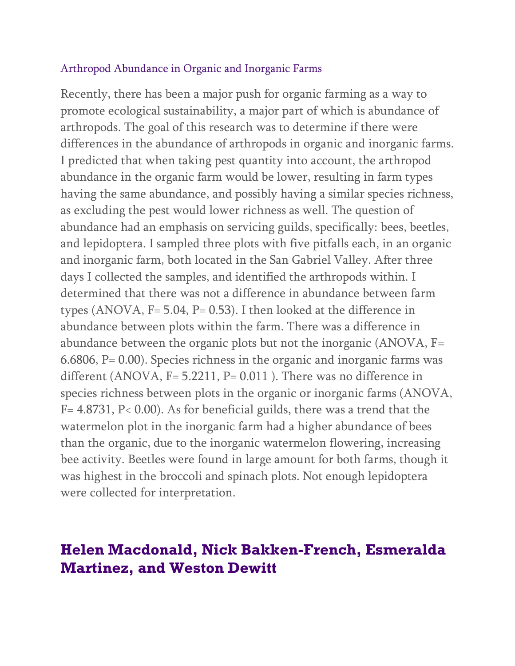#### Arthropod Abundance in Organic and Inorganic Farms

Recently, there has been a major push for organic farming as a way to promote ecological sustainability, a major part of which is abundance of arthropods. The goal of this research was to determine if there were differences in the abundance of arthropods in organic and inorganic farms. I predicted that when taking pest quantity into account, the arthropod abundance in the organic farm would be lower, resulting in farm types having the same abundance, and possibly having a similar species richness, as excluding the pest would lower richness as well. The question of abundance had an emphasis on servicing guilds, specifically: bees, beetles, and lepidoptera. I sampled three plots with five pitfalls each, in an organic and inorganic farm, both located in the San Gabriel Valley. After three days I collected the samples, and identified the arthropods within. I determined that there was not a difference in abundance between farm types (ANOVA,  $F = 5.04$ ,  $P = 0.53$ ). I then looked at the difference in abundance between plots within the farm. There was a difference in abundance between the organic plots but not the inorganic (ANOVA, F= 6.6806,  $P = 0.00$ ). Species richness in the organic and inorganic farms was different (ANOVA, F= 5.2211, P= 0.011). There was no difference in species richness between plots in the organic or inorganic farms (ANOVA, F= 4.8731, P< 0.00). As for beneficial guilds, there was a trend that the watermelon plot in the inorganic farm had a higher abundance of bees than the organic, due to the inorganic watermelon flowering, increasing bee activity. Beetles were found in large amount for both farms, though it was highest in the broccoli and spinach plots. Not enough lepidoptera were collected for interpretation.

## **Helen Macdonald, Nick Bakken-French, Esmeralda Martinez, and Weston Dewitt**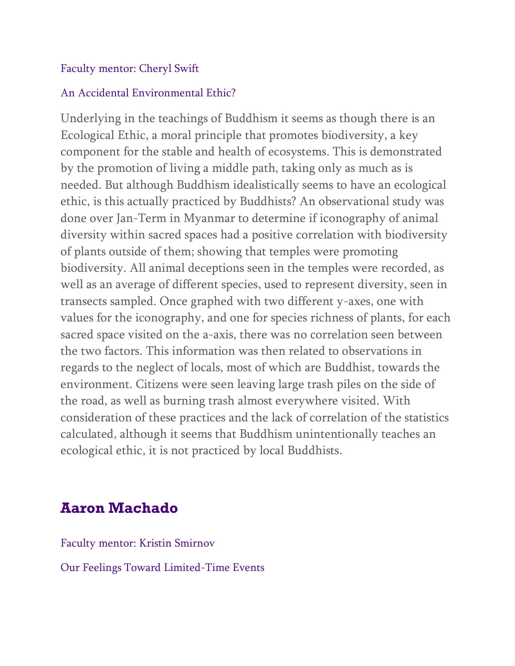### Faculty mentor: Cheryl Swift

### An Accidental Environmental Ethic?

Underlying in the teachings of Buddhism it seems as though there is an Ecological Ethic, a moral principle that promotes biodiversity, a key component for the stable and health of ecosystems. This is demonstrated by the promotion of living a middle path, taking only as much as is needed. But although Buddhism idealistically seems to have an ecological ethic, is this actually practiced by Buddhists? An observational study was done over Jan-Term in Myanmar to determine if iconography of animal diversity within sacred spaces had a positive correlation with biodiversity of plants outside of them; showing that temples were promoting biodiversity. All animal deceptions seen in the temples were recorded, as well as an average of different species, used to represent diversity, seen in transects sampled. Once graphed with two different y-axes, one with values for the iconography, and one for species richness of plants, for each sacred space visited on the a-axis, there was no correlation seen between the two factors. This information was then related to observations in regards to the neglect of locals, most of which are Buddhist, towards the environment. Citizens were seen leaving large trash piles on the side of the road, as well as burning trash almost everywhere visited. With consideration of these practices and the lack of correlation of the statistics calculated, although it seems that Buddhism unintentionally teaches an ecological ethic, it is not practiced by local Buddhists.

# **Aaron Machado**

Faculty mentor: Kristin Smirnov

Our Feelings Toward Limited-Time Events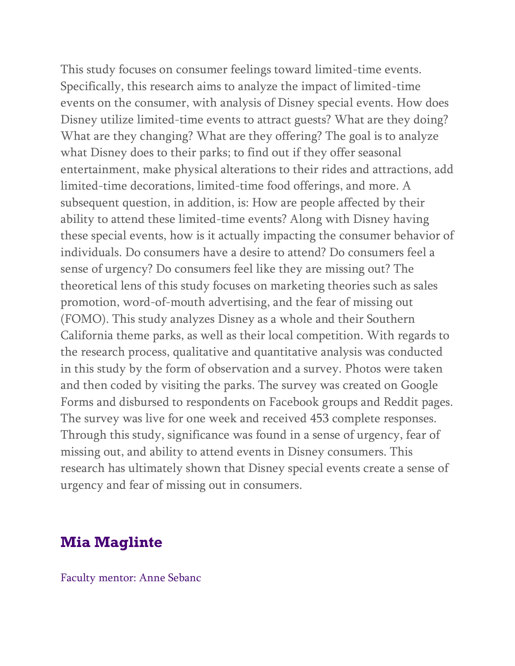This study focuses on consumer feelings toward limited-time events. Specifically, this research aims to analyze the impact of limited-time events on the consumer, with analysis of Disney special events. How does Disney utilize limited-time events to attract guests? What are they doing? What are they changing? What are they offering? The goal is to analyze what Disney does to their parks; to find out if they offer seasonal entertainment, make physical alterations to their rides and attractions, add limited-time decorations, limited-time food offerings, and more. A subsequent question, in addition, is: How are people affected by their ability to attend these limited-time events? Along with Disney having these special events, how is it actually impacting the consumer behavior of individuals. Do consumers have a desire to attend? Do consumers feel a sense of urgency? Do consumers feel like they are missing out? The theoretical lens of this study focuses on marketing theories such as sales promotion, word-of-mouth advertising, and the fear of missing out (FOMO). This study analyzes Disney as a whole and their Southern California theme parks, as well as their local competition. With regards to the research process, qualitative and quantitative analysis was conducted in this study by the form of observation and a survey. Photos were taken and then coded by visiting the parks. The survey was created on Google Forms and disbursed to respondents on Facebook groups and Reddit pages. The survey was live for one week and received 453 complete responses. Through this study, significance was found in a sense of urgency, fear of missing out, and ability to attend events in Disney consumers. This research has ultimately shown that Disney special events create a sense of urgency and fear of missing out in consumers.

# **Mia Maglinte**

Faculty mentor: Anne Sebanc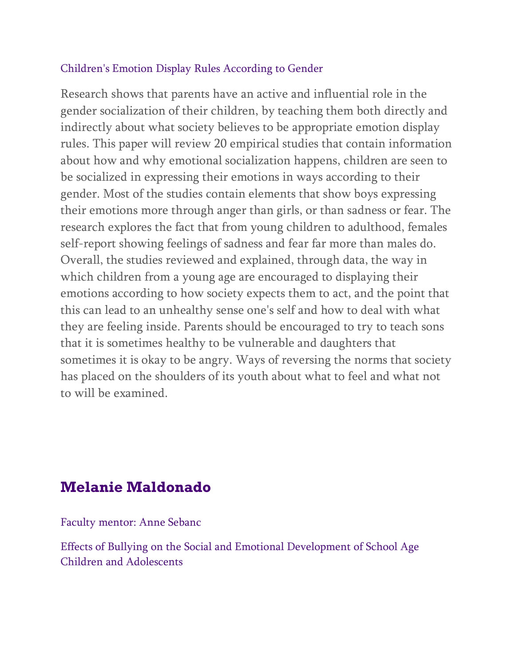### Children's Emotion Display Rules According to Gender

Research shows that parents have an active and influential role in the gender socialization of their children, by teaching them both directly and indirectly about what society believes to be appropriate emotion display rules. This paper will review 20 empirical studies that contain information about how and why emotional socialization happens, children are seen to be socialized in expressing their emotions in ways according to their gender. Most of the studies contain elements that show boys expressing their emotions more through anger than girls, or than sadness or fear. The research explores the fact that from young children to adulthood, females self-report showing feelings of sadness and fear far more than males do. Overall, the studies reviewed and explained, through data, the way in which children from a young age are encouraged to displaying their emotions according to how society expects them to act, and the point that this can lead to an unhealthy sense one's self and how to deal with what they are feeling inside. Parents should be encouraged to try to teach sons that it is sometimes healthy to be vulnerable and daughters that sometimes it is okay to be angry. Ways of reversing the norms that society has placed on the shoulders of its youth about what to feel and what not to will be examined.

# **Melanie Maldonado**

Faculty mentor: Anne Sebanc

Effects of Bullying on the Social and Emotional Development of School Age Children and Adolescents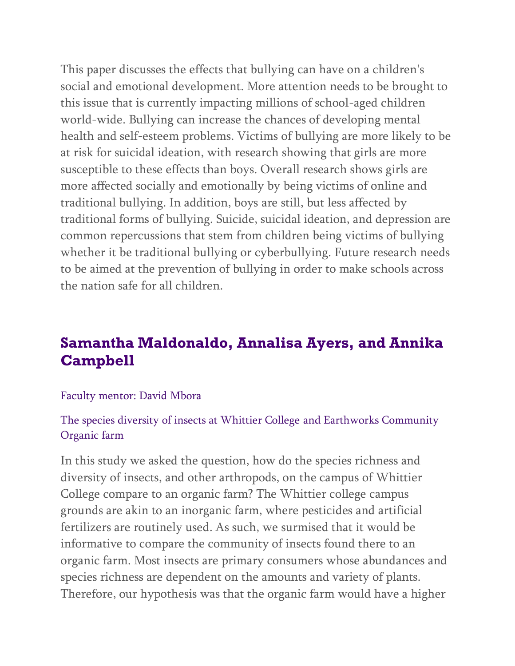This paper discusses the effects that bullying can have on a children's social and emotional development. More attention needs to be brought to this issue that is currently impacting millions of school-aged children world-wide. Bullying can increase the chances of developing mental health and self-esteem problems. Victims of bullying are more likely to be at risk for suicidal ideation, with research showing that girls are more susceptible to these effects than boys. Overall research shows girls are more affected socially and emotionally by being victims of online and traditional bullying. In addition, boys are still, but less affected by traditional forms of bullying. Suicide, suicidal ideation, and depression are common repercussions that stem from children being victims of bullying whether it be traditional bullying or cyberbullying. Future research needs to be aimed at the prevention of bullying in order to make schools across the nation safe for all children.

# **Samantha Maldonaldo, Annalisa Ayers, and Annika Campbell**

#### Faculty mentor: David Mbora

## The species diversity of insects at Whittier College and Earthworks Community Organic farm

In this study we asked the question, how do the species richness and diversity of insects, and other arthropods, on the campus of Whittier College compare to an organic farm? The Whittier college campus grounds are akin to an inorganic farm, where pesticides and artificial fertilizers are routinely used. As such, we surmised that it would be informative to compare the community of insects found there to an organic farm. Most insects are primary consumers whose abundances and species richness are dependent on the amounts and variety of plants. Therefore, our hypothesis was that the organic farm would have a higher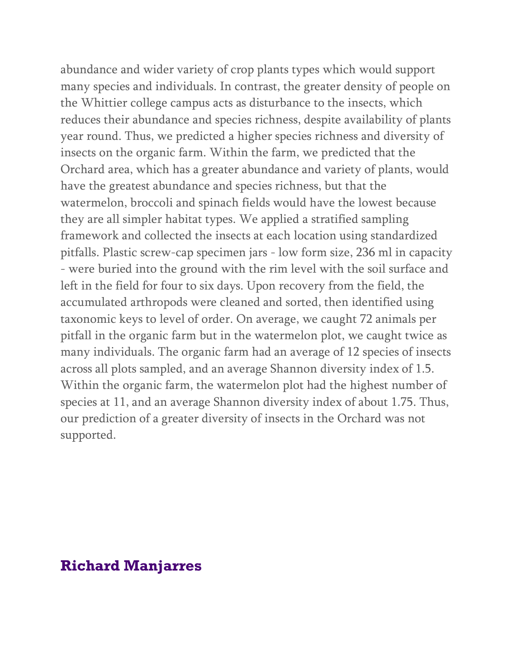abundance and wider variety of crop plants types which would support many species and individuals. In contrast, the greater density of people on the Whittier college campus acts as disturbance to the insects, which reduces their abundance and species richness, despite availability of plants year round. Thus, we predicted a higher species richness and diversity of insects on the organic farm. Within the farm, we predicted that the Orchard area, which has a greater abundance and variety of plants, would have the greatest abundance and species richness, but that the watermelon, broccoli and spinach fields would have the lowest because they are all simpler habitat types. We applied a stratified sampling framework and collected the insects at each location using standardized pitfalls. Plastic screw-cap specimen jars - low form size, 236 ml in capacity - were buried into the ground with the rim level with the soil surface and left in the field for four to six days. Upon recovery from the field, the accumulated arthropods were cleaned and sorted, then identified using taxonomic keys to level of order. On average, we caught 72 animals per pitfall in the organic farm but in the watermelon plot, we caught twice as many individuals. The organic farm had an average of 12 species of insects across all plots sampled, and an average Shannon diversity index of 1.5. Within the organic farm, the watermelon plot had the highest number of species at 11, and an average Shannon diversity index of about 1.75. Thus, our prediction of a greater diversity of insects in the Orchard was not supported.

## **Richard Manjarres**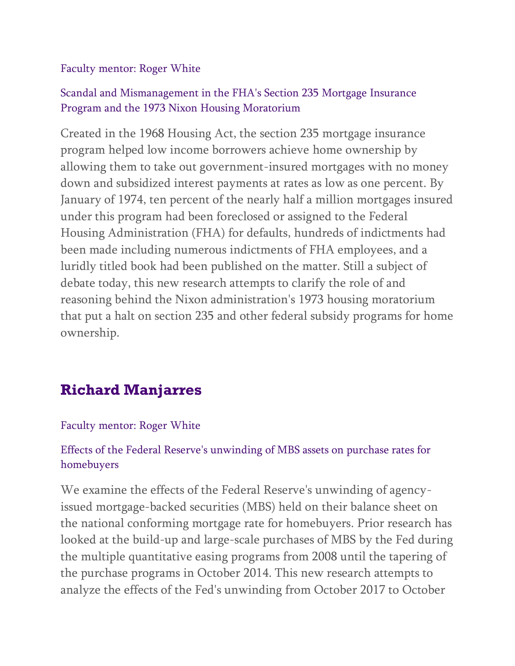### Faculty mentor: Roger White

## Scandal and Mismanagement in the FHA's Section 235 Mortgage Insurance Program and the 1973 Nixon Housing Moratorium

Created in the 1968 Housing Act, the section 235 mortgage insurance program helped low income borrowers achieve home ownership by allowing them to take out government-insured mortgages with no money down and subsidized interest payments at rates as low as one percent. By January of 1974, ten percent of the nearly half a million mortgages insured under this program had been foreclosed or assigned to the Federal Housing Administration (FHA) for defaults, hundreds of indictments had been made including numerous indictments of FHA employees, and a luridly titled book had been published on the matter. Still a subject of debate today, this new research attempts to clarify the role of and reasoning behind the Nixon administration's 1973 housing moratorium that put a halt on section 235 and other federal subsidy programs for home ownership.

# **Richard Manjarres**

### Faculty mentor: Roger White

## Effects of the Federal Reserve's unwinding of MBS assets on purchase rates for homebuyers

We examine the effects of the Federal Reserve's unwinding of agencyissued mortgage-backed securities (MBS) held on their balance sheet on the national conforming mortgage rate for homebuyers. Prior research has looked at the build-up and large-scale purchases of MBS by the Fed during the multiple quantitative easing programs from 2008 until the tapering of the purchase programs in October 2014. This new research attempts to analyze the effects of the Fed's unwinding from October 2017 to October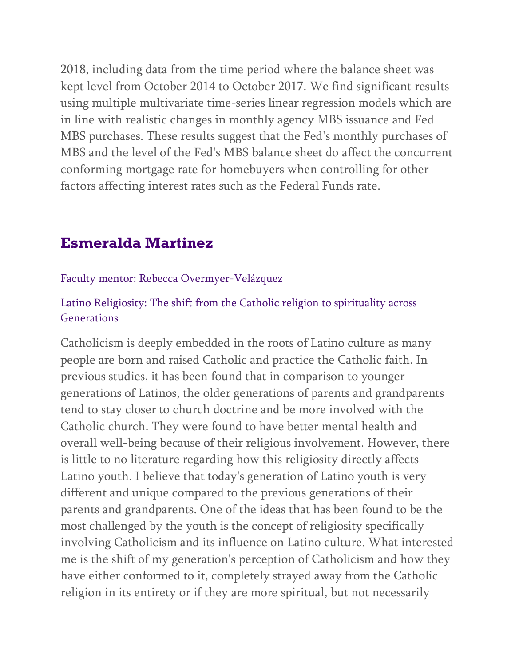2018, including data from the time period where the balance sheet was kept level from October 2014 to October 2017. We find significant results using multiple multivariate time-series linear regression models which are in line with realistic changes in monthly agency MBS issuance and Fed MBS purchases. These results suggest that the Fed's monthly purchases of MBS and the level of the Fed's MBS balance sheet do affect the concurrent conforming mortgage rate for homebuyers when controlling for other factors affecting interest rates such as the Federal Funds rate.

# **Esmeralda Martinez**

#### Faculty mentor: Rebecca Overmyer-Velázquez

## Latino Religiosity: The shift from the Catholic religion to spirituality across Generations

Catholicism is deeply embedded in the roots of Latino culture as many people are born and raised Catholic and practice the Catholic faith. In previous studies, it has been found that in comparison to younger generations of Latinos, the older generations of parents and grandparents tend to stay closer to church doctrine and be more involved with the Catholic church. They were found to have better mental health and overall well-being because of their religious involvement. However, there is little to no literature regarding how this religiosity directly affects Latino youth. I believe that today's generation of Latino youth is very different and unique compared to the previous generations of their parents and grandparents. One of the ideas that has been found to be the most challenged by the youth is the concept of religiosity specifically involving Catholicism and its influence on Latino culture. What interested me is the shift of my generation's perception of Catholicism and how they have either conformed to it, completely strayed away from the Catholic religion in its entirety or if they are more spiritual, but not necessarily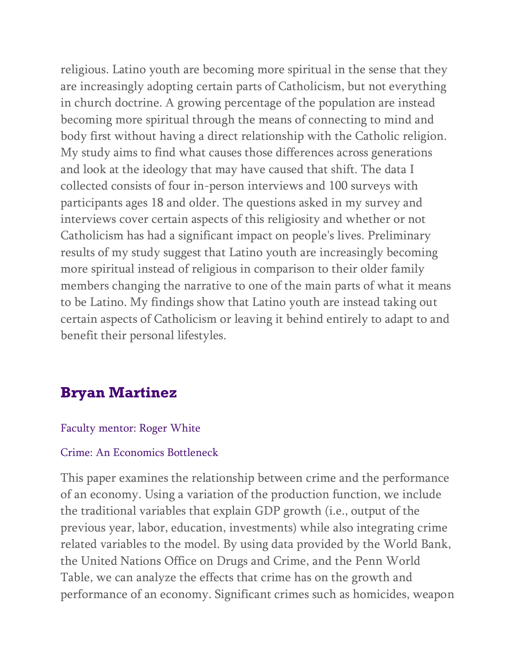religious. Latino youth are becoming more spiritual in the sense that they are increasingly adopting certain parts of Catholicism, but not everything in church doctrine. A growing percentage of the population are instead becoming more spiritual through the means of connecting to mind and body first without having a direct relationship with the Catholic religion. My study aims to find what causes those differences across generations and look at the ideology that may have caused that shift. The data I collected consists of four in-person interviews and 100 surveys with participants ages 18 and older. The questions asked in my survey and interviews cover certain aspects of this religiosity and whether or not Catholicism has had a significant impact on people's lives. Preliminary results of my study suggest that Latino youth are increasingly becoming more spiritual instead of religious in comparison to their older family members changing the narrative to one of the main parts of what it means to be Latino. My findings show that Latino youth are instead taking out certain aspects of Catholicism or leaving it behind entirely to adapt to and benefit their personal lifestyles.

# **Bryan Martinez**

#### Faculty mentor: Roger White

#### Crime: An Economics Bottleneck

This paper examines the relationship between crime and the performance of an economy. Using a variation of the production function, we include the traditional variables that explain GDP growth (i.e., output of the previous year, labor, education, investments) while also integrating crime related variables to the model. By using data provided by the World Bank, the United Nations Office on Drugs and Crime, and the Penn World Table, we can analyze the effects that crime has on the growth and performance of an economy. Significant crimes such as homicides, weapon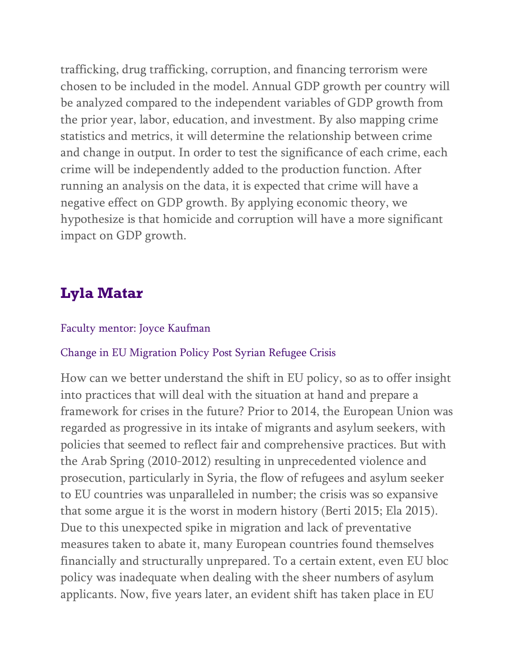trafficking, drug trafficking, corruption, and financing terrorism were chosen to be included in the model. Annual GDP growth per country will be analyzed compared to the independent variables of GDP growth from the prior year, labor, education, and investment. By also mapping crime statistics and metrics, it will determine the relationship between crime and change in output. In order to test the significance of each crime, each crime will be independently added to the production function. After running an analysis on the data, it is expected that crime will have a negative effect on GDP growth. By applying economic theory, we hypothesize is that homicide and corruption will have a more significant impact on GDP growth.

# **Lyla Matar**

#### Faculty mentor: Joyce Kaufman

#### Change in EU Migration Policy Post Syrian Refugee Crisis

How can we better understand the shift in EU policy, so as to offer insight into practices that will deal with the situation at hand and prepare a framework for crises in the future? Prior to 2014, the European Union was regarded as progressive in its intake of migrants and asylum seekers, with policies that seemed to reflect fair and comprehensive practices. But with the Arab Spring (2010-2012) resulting in unprecedented violence and prosecution, particularly in Syria, the flow of refugees and asylum seeker to EU countries was unparalleled in number; the crisis was so expansive that some argue it is the worst in modern history (Berti 2015; Ela 2015). Due to this unexpected spike in migration and lack of preventative measures taken to abate it, many European countries found themselves financially and structurally unprepared. To a certain extent, even EU bloc policy was inadequate when dealing with the sheer numbers of asylum applicants. Now, five years later, an evident shift has taken place in EU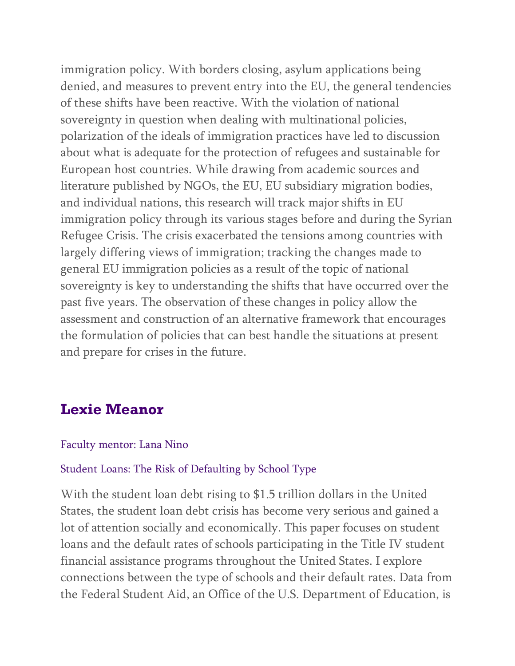immigration policy. With borders closing, asylum applications being denied, and measures to prevent entry into the EU, the general tendencies of these shifts have been reactive. With the violation of national sovereignty in question when dealing with multinational policies, polarization of the ideals of immigration practices have led to discussion about what is adequate for the protection of refugees and sustainable for European host countries. While drawing from academic sources and literature published by NGOs, the EU, EU subsidiary migration bodies, and individual nations, this research will track major shifts in EU immigration policy through its various stages before and during the Syrian Refugee Crisis. The crisis exacerbated the tensions among countries with largely differing views of immigration; tracking the changes made to general EU immigration policies as a result of the topic of national sovereignty is key to understanding the shifts that have occurred over the past five years. The observation of these changes in policy allow the assessment and construction of an alternative framework that encourages the formulation of policies that can best handle the situations at present and prepare for crises in the future.

## **Lexie Meanor**

#### Faculty mentor: Lana Nino

#### Student Loans: The Risk of Defaulting by School Type

With the student loan debt rising to \$1.5 trillion dollars in the United States, the student loan debt crisis has become very serious and gained a lot of attention socially and economically. This paper focuses on student loans and the default rates of schools participating in the Title IV student financial assistance programs throughout the United States. I explore connections between the type of schools and their default rates. Data from the Federal Student Aid, an Office of the U.S. Department of Education, is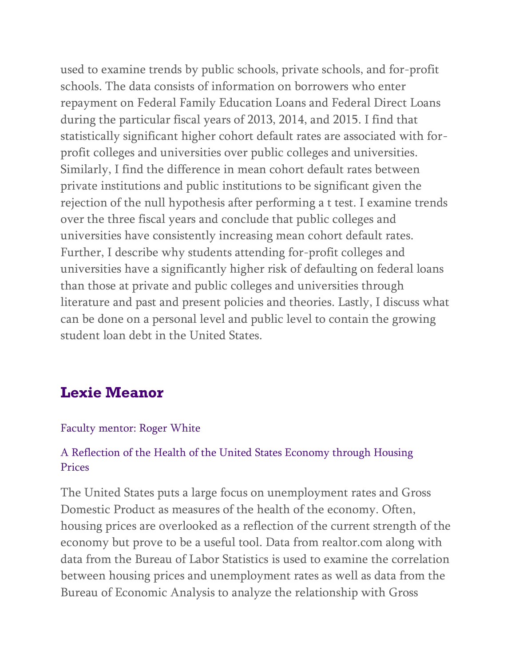used to examine trends by public schools, private schools, and for-profit schools. The data consists of information on borrowers who enter repayment on Federal Family Education Loans and Federal Direct Loans during the particular fiscal years of 2013, 2014, and 2015. I find that statistically significant higher cohort default rates are associated with forprofit colleges and universities over public colleges and universities. Similarly, I find the difference in mean cohort default rates between private institutions and public institutions to be significant given the rejection of the null hypothesis after performing a t test. I examine trends over the three fiscal years and conclude that public colleges and universities have consistently increasing mean cohort default rates. Further, I describe why students attending for-profit colleges and universities have a significantly higher risk of defaulting on federal loans than those at private and public colleges and universities through literature and past and present policies and theories. Lastly, I discuss what can be done on a personal level and public level to contain the growing student loan debt in the United States.

# **Lexie Meanor**

#### Faculty mentor: Roger White

## A Reflection of the Health of the United States Economy through Housing Prices

The United States puts a large focus on unemployment rates and Gross Domestic Product as measures of the health of the economy. Often, housing prices are overlooked as a reflection of the current strength of the economy but prove to be a useful tool. Data from realtor.com along with data from the Bureau of Labor Statistics is used to examine the correlation between housing prices and unemployment rates as well as data from the Bureau of Economic Analysis to analyze the relationship with Gross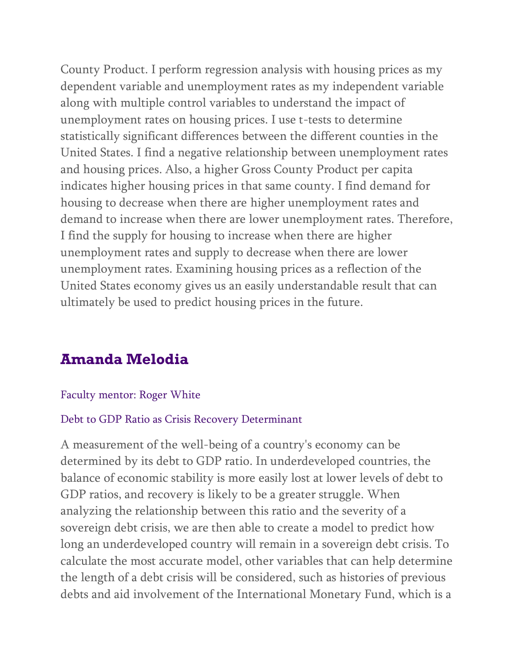County Product. I perform regression analysis with housing prices as my dependent variable and unemployment rates as my independent variable along with multiple control variables to understand the impact of unemployment rates on housing prices. I use t-tests to determine statistically significant differences between the different counties in the United States. I find a negative relationship between unemployment rates and housing prices. Also, a higher Gross County Product per capita indicates higher housing prices in that same county. I find demand for housing to decrease when there are higher unemployment rates and demand to increase when there are lower unemployment rates. Therefore, I find the supply for housing to increase when there are higher unemployment rates and supply to decrease when there are lower unemployment rates. Examining housing prices as a reflection of the United States economy gives us an easily understandable result that can ultimately be used to predict housing prices in the future.

# **Amanda Melodia**

#### Faculty mentor: Roger White

#### Debt to GDP Ratio as Crisis Recovery Determinant

A measurement of the well-being of a country's economy can be determined by its debt to GDP ratio. In underdeveloped countries, the balance of economic stability is more easily lost at lower levels of debt to GDP ratios, and recovery is likely to be a greater struggle. When analyzing the relationship between this ratio and the severity of a sovereign debt crisis, we are then able to create a model to predict how long an underdeveloped country will remain in a sovereign debt crisis. To calculate the most accurate model, other variables that can help determine the length of a debt crisis will be considered, such as histories of previous debts and aid involvement of the International Monetary Fund, which is a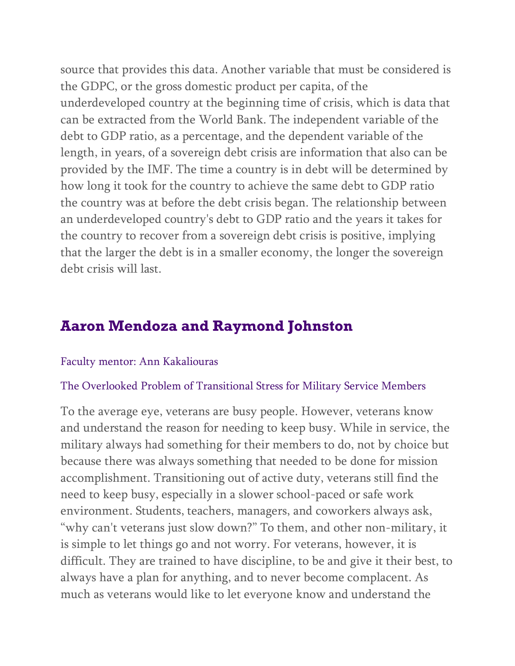source that provides this data. Another variable that must be considered is the GDPC, or the gross domestic product per capita, of the underdeveloped country at the beginning time of crisis, which is data that can be extracted from the World Bank. The independent variable of the debt to GDP ratio, as a percentage, and the dependent variable of the length, in years, of a sovereign debt crisis are information that also can be provided by the IMF. The time a country is in debt will be determined by how long it took for the country to achieve the same debt to GDP ratio the country was at before the debt crisis began. The relationship between an underdeveloped country's debt to GDP ratio and the years it takes for the country to recover from a sovereign debt crisis is positive, implying that the larger the debt is in a smaller economy, the longer the sovereign debt crisis will last.

# **Aaron Mendoza and Raymond Johnston**

#### Faculty mentor: Ann Kakaliouras

#### The Overlooked Problem of Transitional Stress for Military Service Members

To the average eye, veterans are busy people. However, veterans know and understand the reason for needing to keep busy. While in service, the military always had something for their members to do, not by choice but because there was always something that needed to be done for mission accomplishment. Transitioning out of active duty, veterans still find the need to keep busy, especially in a slower school-paced or safe work environment. Students, teachers, managers, and coworkers always ask, "why can't veterans just slow down?" To them, and other non-military, it is simple to let things go and not worry. For veterans, however, it is difficult. They are trained to have discipline, to be and give it their best, to always have a plan for anything, and to never become complacent. As much as veterans would like to let everyone know and understand the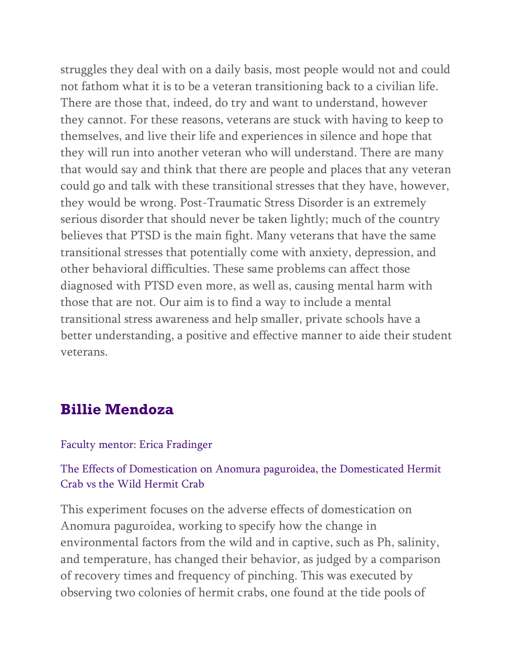struggles they deal with on a daily basis, most people would not and could not fathom what it is to be a veteran transitioning back to a civilian life. There are those that, indeed, do try and want to understand, however they cannot. For these reasons, veterans are stuck with having to keep to themselves, and live their life and experiences in silence and hope that they will run into another veteran who will understand. There are many that would say and think that there are people and places that any veteran could go and talk with these transitional stresses that they have, however, they would be wrong. Post-Traumatic Stress Disorder is an extremely serious disorder that should never be taken lightly; much of the country believes that PTSD is the main fight. Many veterans that have the same transitional stresses that potentially come with anxiety, depression, and other behavioral difficulties. These same problems can affect those diagnosed with PTSD even more, as well as, causing mental harm with those that are not. Our aim is to find a way to include a mental transitional stress awareness and help smaller, private schools have a better understanding, a positive and effective manner to aide their student veterans.

## **Billie Mendoza**

#### Faculty mentor: Erica Fradinger

### The Effects of Domestication on Anomura paguroidea, the Domesticated Hermit Crab vs the Wild Hermit Crab

This experiment focuses on the adverse effects of domestication on Anomura paguroidea, working to specify how the change in environmental factors from the wild and in captive, such as Ph, salinity, and temperature, has changed their behavior, as judged by a comparison of recovery times and frequency of pinching. This was executed by observing two colonies of hermit crabs, one found at the tide pools of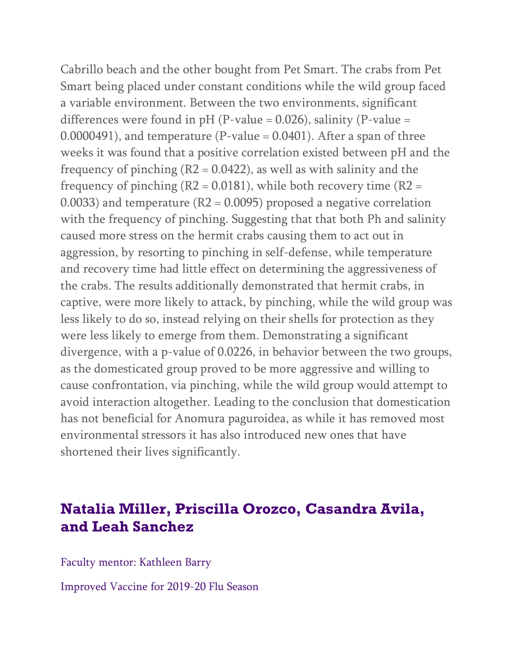Cabrillo beach and the other bought from Pet Smart. The crabs from Pet Smart being placed under constant conditions while the wild group faced a variable environment. Between the two environments, significant differences were found in  $pH$  (P-value = 0.026), salinity (P-value =  $0.0000491$ ), and temperature (P-value =  $0.0401$ ). After a span of three weeks it was found that a positive correlation existed between pH and the frequency of pinching  $(R2 = 0.0422)$ , as well as with salinity and the frequency of pinching  $(R2 = 0.0181)$ , while both recovery time  $(R2 = 0.0181)$ 0.0033) and temperature (R2 = 0.0095) proposed a negative correlation with the frequency of pinching. Suggesting that that both Ph and salinity caused more stress on the hermit crabs causing them to act out in aggression, by resorting to pinching in self-defense, while temperature and recovery time had little effect on determining the aggressiveness of the crabs. The results additionally demonstrated that hermit crabs, in captive, were more likely to attack, by pinching, while the wild group was less likely to do so, instead relying on their shells for protection as they were less likely to emerge from them. Demonstrating a significant divergence, with a p-value of 0.0226, in behavior between the two groups, as the domesticated group proved to be more aggressive and willing to cause confrontation, via pinching, while the wild group would attempt to avoid interaction altogether. Leading to the conclusion that domestication has not beneficial for Anomura paguroidea, as while it has removed most environmental stressors it has also introduced new ones that have shortened their lives significantly.

# **Natalia Miller, Priscilla Orozco, Casandra Avila, and Leah Sanchez**

Faculty mentor: Kathleen Barry

Improved Vaccine for 2019-20 Flu Season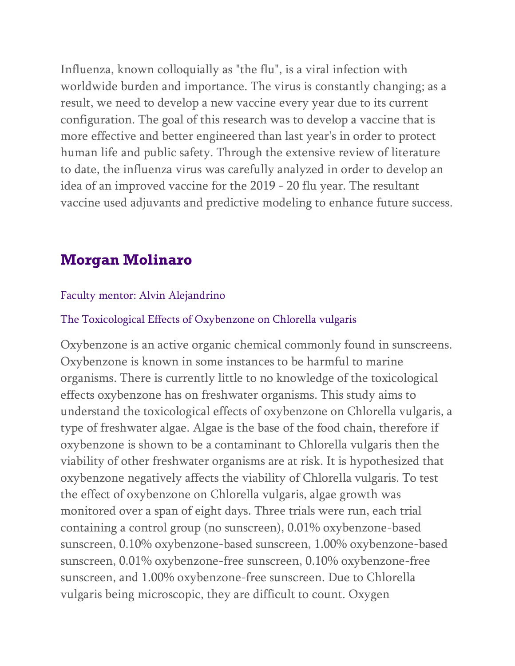Influenza, known colloquially as "the flu", is a viral infection with worldwide burden and importance. The virus is constantly changing; as a result, we need to develop a new vaccine every year due to its current configuration. The goal of this research was to develop a vaccine that is more effective and better engineered than last year's in order to protect human life and public safety. Through the extensive review of literature to date, the influenza virus was carefully analyzed in order to develop an idea of an improved vaccine for the 2019 - 20 flu year. The resultant vaccine used adjuvants and predictive modeling to enhance future success.

## **Morgan Molinaro**

#### Faculty mentor: Alvin Alejandrino

#### The Toxicological Effects of Oxybenzone on Chlorella vulgaris

Oxybenzone is an active organic chemical commonly found in sunscreens. Oxybenzone is known in some instances to be harmful to marine organisms. There is currently little to no knowledge of the toxicological effects oxybenzone has on freshwater organisms. This study aims to understand the toxicological effects of oxybenzone on Chlorella vulgaris, a type of freshwater algae. Algae is the base of the food chain, therefore if oxybenzone is shown to be a contaminant to Chlorella vulgaris then the viability of other freshwater organisms are at risk. It is hypothesized that oxybenzone negatively affects the viability of Chlorella vulgaris. To test the effect of oxybenzone on Chlorella vulgaris, algae growth was monitored over a span of eight days. Three trials were run, each trial containing a control group (no sunscreen), 0.01% oxybenzone-based sunscreen, 0.10% oxybenzone-based sunscreen, 1.00% oxybenzone-based sunscreen, 0.01% oxybenzone-free sunscreen, 0.10% oxybenzone-free sunscreen, and 1.00% oxybenzone-free sunscreen. Due to Chlorella vulgaris being microscopic, they are difficult to count. Oxygen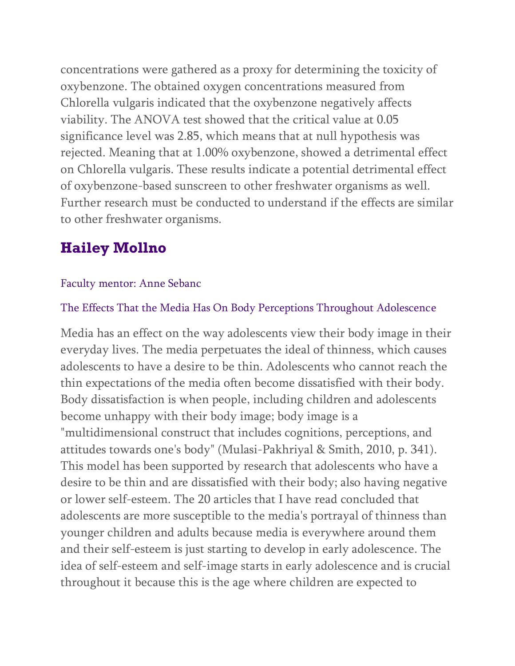concentrations were gathered as a proxy for determining the toxicity of oxybenzone. The obtained oxygen concentrations measured from Chlorella vulgaris indicated that the oxybenzone negatively affects viability. The ANOVA test showed that the critical value at 0.05 significance level was 2.85, which means that at null hypothesis was rejected. Meaning that at 1.00% oxybenzone, showed a detrimental effect on Chlorella vulgaris. These results indicate a potential detrimental effect of oxybenzone-based sunscreen to other freshwater organisms as well. Further research must be conducted to understand if the effects are similar to other freshwater organisms.

# **Hailey Mollno**

## Faculty mentor: Anne Sebanc

## The Effects That the Media Has On Body Perceptions Throughout Adolescence

Media has an effect on the way adolescents view their body image in their everyday lives. The media perpetuates the ideal of thinness, which causes adolescents to have a desire to be thin. Adolescents who cannot reach the thin expectations of the media often become dissatisfied with their body. Body dissatisfaction is when people, including children and adolescents become unhappy with their body image; body image is a "multidimensional construct that includes cognitions, perceptions, and attitudes towards one's body" (Mulasi-Pakhriyal & Smith, 2010, p. 341). This model has been supported by research that adolescents who have a desire to be thin and are dissatisfied with their body; also having negative or lower self-esteem. The 20 articles that I have read concluded that adolescents are more susceptible to the media's portrayal of thinness than younger children and adults because media is everywhere around them and their self-esteem is just starting to develop in early adolescence. The idea of self-esteem and self-image starts in early adolescence and is crucial throughout it because this is the age where children are expected to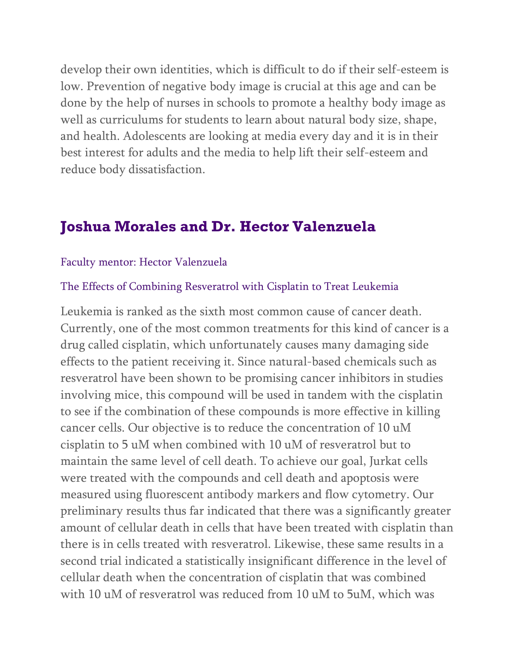develop their own identities, which is difficult to do if their self-esteem is low. Prevention of negative body image is crucial at this age and can be done by the help of nurses in schools to promote a healthy body image as well as curriculums for students to learn about natural body size, shape, and health. Adolescents are looking at media every day and it is in their best interest for adults and the media to help lift their self-esteem and reduce body dissatisfaction.

## **Joshua Morales and Dr. Hector Valenzuela**

#### Faculty mentor: Hector Valenzuela

#### The Effects of Combining Resveratrol with Cisplatin to Treat Leukemia

Leukemia is ranked as the sixth most common cause of cancer death. Currently, one of the most common treatments for this kind of cancer is a drug called cisplatin, which unfortunately causes many damaging side effects to the patient receiving it. Since natural-based chemicals such as resveratrol have been shown to be promising cancer inhibitors in studies involving mice, this compound will be used in tandem with the cisplatin to see if the combination of these compounds is more effective in killing cancer cells. Our objective is to reduce the concentration of 10 uM cisplatin to 5 uM when combined with 10 uM of resveratrol but to maintain the same level of cell death. To achieve our goal, Jurkat cells were treated with the compounds and cell death and apoptosis were measured using fluorescent antibody markers and flow cytometry. Our preliminary results thus far indicated that there was a significantly greater amount of cellular death in cells that have been treated with cisplatin than there is in cells treated with resveratrol. Likewise, these same results in a second trial indicated a statistically insignificant difference in the level of cellular death when the concentration of cisplatin that was combined with 10 uM of resveratrol was reduced from 10 uM to 5uM, which was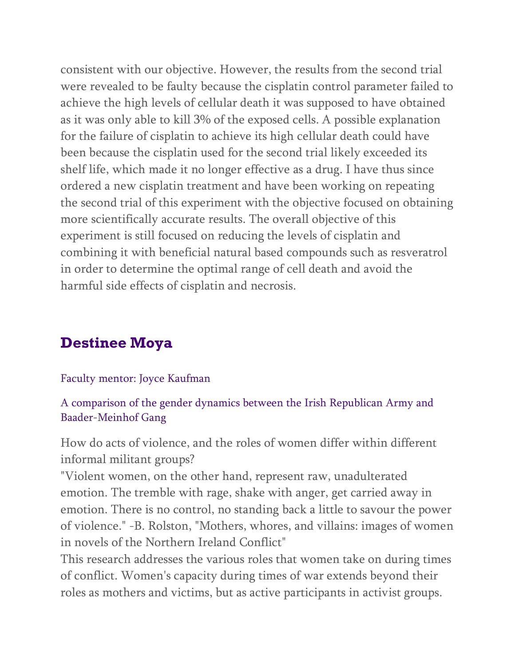consistent with our objective. However, the results from the second trial were revealed to be faulty because the cisplatin control parameter failed to achieve the high levels of cellular death it was supposed to have obtained as it was only able to kill 3% of the exposed cells. A possible explanation for the failure of cisplatin to achieve its high cellular death could have been because the cisplatin used for the second trial likely exceeded its shelf life, which made it no longer effective as a drug. I have thus since ordered a new cisplatin treatment and have been working on repeating the second trial of this experiment with the objective focused on obtaining more scientifically accurate results. The overall objective of this experiment is still focused on reducing the levels of cisplatin and combining it with beneficial natural based compounds such as resveratrol in order to determine the optimal range of cell death and avoid the harmful side effects of cisplatin and necrosis.

# **Destinee Moya**

### Faculty mentor: Joyce Kaufman

A comparison of the gender dynamics between the Irish Republican Army and Baader-Meinhof Gang

How do acts of violence, and the roles of women differ within different informal militant groups?

"Violent women, on the other hand, represent raw, unadulterated emotion. The tremble with rage, shake with anger, get carried away in emotion. There is no control, no standing back a little to savour the power of violence." -B. Rolston, "Mothers, whores, and villains: images of women in novels of the Northern Ireland Conflict"

This research addresses the various roles that women take on during times of conflict. Women's capacity during times of war extends beyond their roles as mothers and victims, but as active participants in activist groups.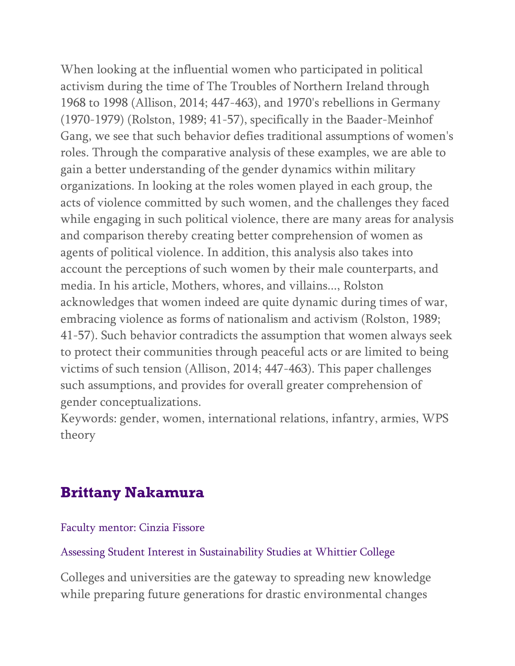When looking at the influential women who participated in political activism during the time of The Troubles of Northern Ireland through 1968 to 1998 (Allison, 2014; 447-463), and 1970's rebellions in Germany (1970-1979) (Rolston, 1989; 41-57), specifically in the Baader-Meinhof Gang, we see that such behavior defies traditional assumptions of women's roles. Through the comparative analysis of these examples, we are able to gain a better understanding of the gender dynamics within military organizations. In looking at the roles women played in each group, the acts of violence committed by such women, and the challenges they faced while engaging in such political violence, there are many areas for analysis and comparison thereby creating better comprehension of women as agents of political violence. In addition, this analysis also takes into account the perceptions of such women by their male counterparts, and media. In his article, Mothers, whores, and villains..., Rolston acknowledges that women indeed are quite dynamic during times of war, embracing violence as forms of nationalism and activism (Rolston, 1989; 41-57). Such behavior contradicts the assumption that women always seek to protect their communities through peaceful acts or are limited to being victims of such tension (Allison, 2014; 447-463). This paper challenges such assumptions, and provides for overall greater comprehension of gender conceptualizations.

Keywords: gender, women, international relations, infantry, armies, WPS theory

# **Brittany Nakamura**

Faculty mentor: Cinzia Fissore

Assessing Student Interest in Sustainability Studies at Whittier College

Colleges and universities are the gateway to spreading new knowledge while preparing future generations for drastic environmental changes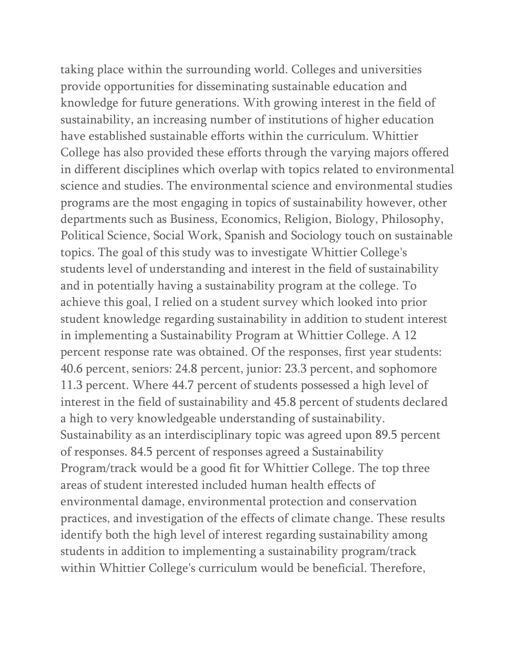taking place within the surrounding world. Colleges and universities provide opportunities for disseminating sustainable education and knowledge for future generations. With growing interest in the field of sustainability, an increasing number of institutions of higher education have established sustainable efforts within the curriculum. Whittier College has also provided these efforts through the varying majors offered in different disciplines which overlap with topics related to environmental science and studies. The environmental science and environmental studies programs are the most engaging in topics of sustainability however, other departments such as Business, Economics, Religion, Biology, Philosophy, Political Science, Social Work, Spanish and Sociology touch on sustainable topics. The goal of this study was to investigate Whittier College's students level of understanding and interest in the field of sustainability and in potentially having a sustainability program at the college. To achieve this goal, I relied on a student survey which looked into prior student knowledge regarding sustainability in addition to student interest in implementing a Sustainability Program at Whittier College. A 12 percent response rate was obtained. Of the responses, first year students: 40.6 percent, seniors: 24.8 percent, junior: 23.3 percent, and sophomore 11.3 percent. Where 44.7 percent of students possessed a high level of interest in the field of sustainability and 45.8 percent of students declared a high to very knowledgeable understanding of sustainability. Sustainability as an interdisciplinary topic was agreed upon 89.5 percent of responses. 84.5 percent of responses agreed a Sustainability Program/track would be a good fit for Whittier College. The top three areas of student interested included human health effects of environmental damage, environmental protection and conservation practices, and investigation of the effects of climate change. These results identify both the high level of interest regarding sustainability among students in addition to implementing a sustainability program/track within Whittier College's curriculum would be beneficial. Therefore,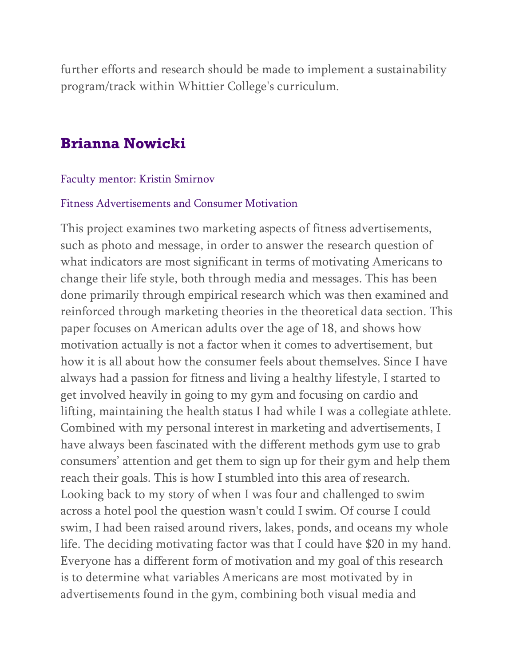further efforts and research should be made to implement a sustainability program/track within Whittier College's curriculum.

## **Brianna Nowicki**

#### Faculty mentor: Kristin Smirnov

#### Fitness Advertisements and Consumer Motivation

This project examines two marketing aspects of fitness advertisements, such as photo and message, in order to answer the research question of what indicators are most significant in terms of motivating Americans to change their life style, both through media and messages. This has been done primarily through empirical research which was then examined and reinforced through marketing theories in the theoretical data section. This paper focuses on American adults over the age of 18, and shows how motivation actually is not a factor when it comes to advertisement, but how it is all about how the consumer feels about themselves. Since I have always had a passion for fitness and living a healthy lifestyle, I started to get involved heavily in going to my gym and focusing on cardio and lifting, maintaining the health status I had while I was a collegiate athlete. Combined with my personal interest in marketing and advertisements, I have always been fascinated with the different methods gym use to grab consumers' attention and get them to sign up for their gym and help them reach their goals. This is how I stumbled into this area of research. Looking back to my story of when I was four and challenged to swim across a hotel pool the question wasn't could I swim. Of course I could swim, I had been raised around rivers, lakes, ponds, and oceans my whole life. The deciding motivating factor was that I could have \$20 in my hand. Everyone has a different form of motivation and my goal of this research is to determine what variables Americans are most motivated by in advertisements found in the gym, combining both visual media and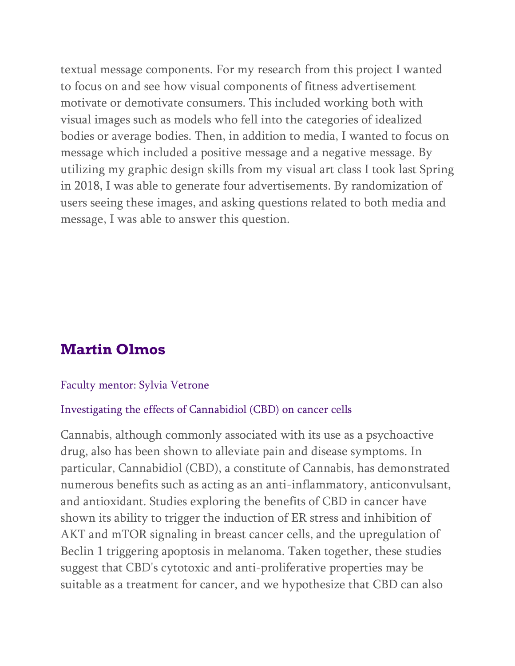textual message components. For my research from this project I wanted to focus on and see how visual components of fitness advertisement motivate or demotivate consumers. This included working both with visual images such as models who fell into the categories of idealized bodies or average bodies. Then, in addition to media, I wanted to focus on message which included a positive message and a negative message. By utilizing my graphic design skills from my visual art class I took last Spring in 2018, I was able to generate four advertisements. By randomization of users seeing these images, and asking questions related to both media and message, I was able to answer this question.

# **Martin Olmos**

#### Faculty mentor: Sylvia Vetrone

#### Investigating the effects of Cannabidiol (CBD) on cancer cells

Cannabis, although commonly associated with its use as a psychoactive drug, also has been shown to alleviate pain and disease symptoms. In particular, Cannabidiol (CBD), a constitute of Cannabis, has demonstrated numerous benefits such as acting as an anti-inflammatory, anticonvulsant, and antioxidant. Studies exploring the benefits of CBD in cancer have shown its ability to trigger the induction of ER stress and inhibition of AKT and mTOR signaling in breast cancer cells, and the upregulation of Beclin 1 triggering apoptosis in melanoma. Taken together, these studies suggest that CBD's cytotoxic and anti-proliferative properties may be suitable as a treatment for cancer, and we hypothesize that CBD can also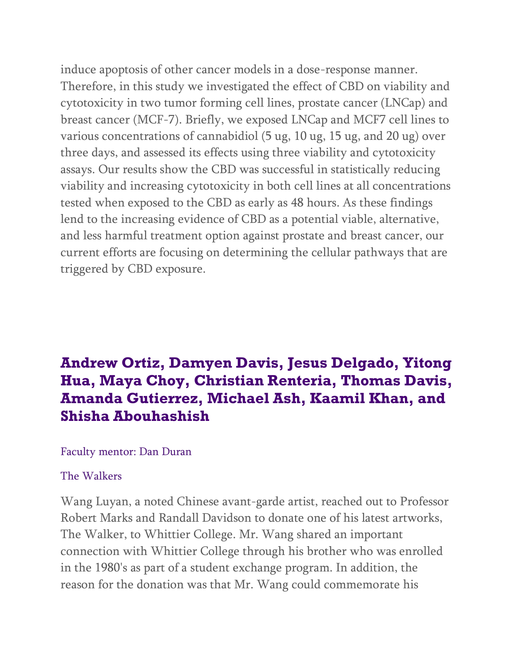induce apoptosis of other cancer models in a dose-response manner. Therefore, in this study we investigated the effect of CBD on viability and cytotoxicity in two tumor forming cell lines, prostate cancer (LNCap) and breast cancer (MCF-7). Briefly, we exposed LNCap and MCF7 cell lines to various concentrations of cannabidiol (5 ug, 10 ug, 15 ug, and 20 ug) over three days, and assessed its effects using three viability and cytotoxicity assays. Our results show the CBD was successful in statistically reducing viability and increasing cytotoxicity in both cell lines at all concentrations tested when exposed to the CBD as early as 48 hours. As these findings lend to the increasing evidence of CBD as a potential viable, alternative, and less harmful treatment option against prostate and breast cancer, our current efforts are focusing on determining the cellular pathways that are triggered by CBD exposure.

# **Andrew Ortiz, Damyen Davis, Jesus Delgado, Yitong Hua, Maya Choy, Christian Renteria, Thomas Davis, Amanda Gutierrez, Michael Ash, Kaamil Khan, and Shisha Abouhashish**

#### Faculty mentor: Dan Duran

#### The Walkers

Wang Luyan, a noted Chinese avant-garde artist, reached out to Professor Robert Marks and Randall Davidson to donate one of his latest artworks, The Walker, to Whittier College. Mr. Wang shared an important connection with Whittier College through his brother who was enrolled in the 1980's as part of a student exchange program. In addition, the reason for the donation was that Mr. Wang could commemorate his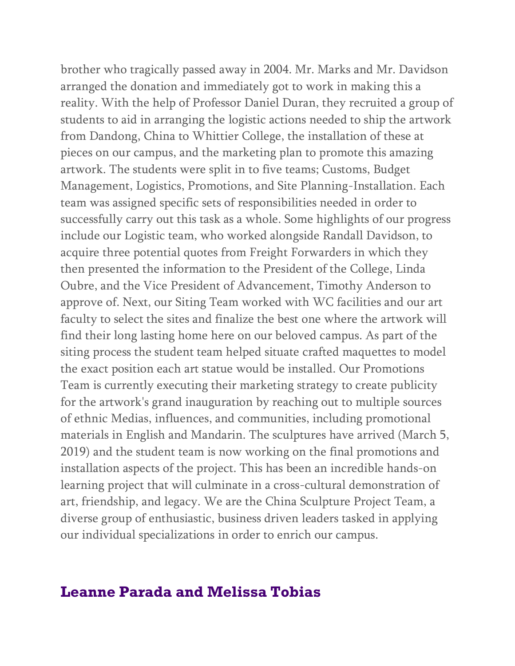brother who tragically passed away in 2004. Mr. Marks and Mr. Davidson arranged the donation and immediately got to work in making this a reality. With the help of Professor Daniel Duran, they recruited a group of students to aid in arranging the logistic actions needed to ship the artwork from Dandong, China to Whittier College, the installation of these at pieces on our campus, and the marketing plan to promote this amazing artwork. The students were split in to five teams; Customs, Budget Management, Logistics, Promotions, and Site Planning-Installation. Each team was assigned specific sets of responsibilities needed in order to successfully carry out this task as a whole. Some highlights of our progress include our Logistic team, who worked alongside Randall Davidson, to acquire three potential quotes from Freight Forwarders in which they then presented the information to the President of the College, Linda Oubre, and the Vice President of Advancement, Timothy Anderson to approve of. Next, our Siting Team worked with WC facilities and our art faculty to select the sites and finalize the best one where the artwork will find their long lasting home here on our beloved campus. As part of the siting process the student team helped situate crafted maquettes to model the exact position each art statue would be installed. Our Promotions Team is currently executing their marketing strategy to create publicity for the artwork's grand inauguration by reaching out to multiple sources of ethnic Medias, influences, and communities, including promotional materials in English and Mandarin. The sculptures have arrived (March 5, 2019) and the student team is now working on the final promotions and installation aspects of the project. This has been an incredible hands-on learning project that will culminate in a cross-cultural demonstration of art, friendship, and legacy. We are the China Sculpture Project Team, a diverse group of enthusiastic, business driven leaders tasked in applying our individual specializations in order to enrich our campus.

## **Leanne Parada and Melissa Tobias**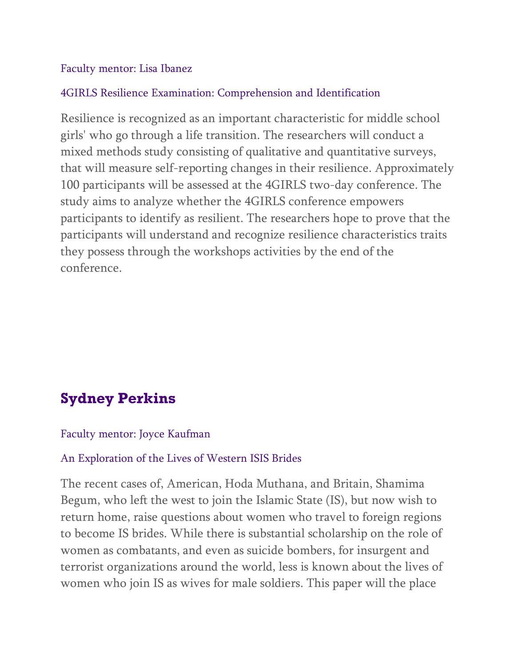### Faculty mentor: Lisa Ibanez

### 4GIRLS Resilience Examination: Comprehension and Identification

Resilience is recognized as an important characteristic for middle school girls' who go through a life transition. The researchers will conduct a mixed methods study consisting of qualitative and quantitative surveys, that will measure self-reporting changes in their resilience. Approximately 100 participants will be assessed at the 4GIRLS two-day conference. The study aims to analyze whether the 4GIRLS conference empowers participants to identify as resilient. The researchers hope to prove that the participants will understand and recognize resilience characteristics traits they possess through the workshops activities by the end of the conference.

# **Sydney Perkins**

#### Faculty mentor: Joyce Kaufman

### An Exploration of the Lives of Western ISIS Brides

The recent cases of, American, Hoda Muthana, and Britain, Shamima Begum, who left the west to join the Islamic State (IS), but now wish to return home, raise questions about women who travel to foreign regions to become IS brides. While there is substantial scholarship on the role of women as combatants, and even as suicide bombers, for insurgent and terrorist organizations around the world, less is known about the lives of women who join IS as wives for male soldiers. This paper will the place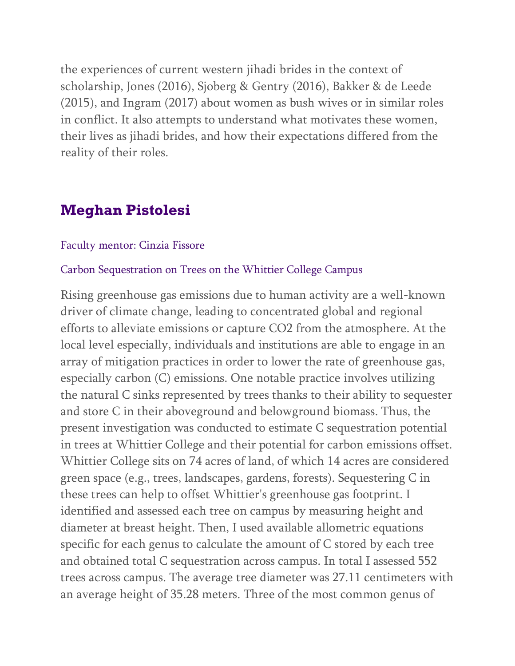the experiences of current western jihadi brides in the context of scholarship, Jones (2016), Sjoberg & Gentry (2016), Bakker & de Leede (2015), and Ingram (2017) about women as bush wives or in similar roles in conflict. It also attempts to understand what motivates these women, their lives as jihadi brides, and how their expectations differed from the reality of their roles.

# **Meghan Pistolesi**

#### Faculty mentor: Cinzia Fissore

#### Carbon Sequestration on Trees on the Whittier College Campus

Rising greenhouse gas emissions due to human activity are a well-known driver of climate change, leading to concentrated global and regional efforts to alleviate emissions or capture CO2 from the atmosphere. At the local level especially, individuals and institutions are able to engage in an array of mitigation practices in order to lower the rate of greenhouse gas, especially carbon (C) emissions. One notable practice involves utilizing the natural C sinks represented by trees thanks to their ability to sequester and store C in their aboveground and belowground biomass. Thus, the present investigation was conducted to estimate C sequestration potential in trees at Whittier College and their potential for carbon emissions offset. Whittier College sits on 74 acres of land, of which 14 acres are considered green space (e.g., trees, landscapes, gardens, forests). Sequestering C in these trees can help to offset Whittier's greenhouse gas footprint. I identified and assessed each tree on campus by measuring height and diameter at breast height. Then, I used available allometric equations specific for each genus to calculate the amount of C stored by each tree and obtained total C sequestration across campus. In total I assessed 552 trees across campus. The average tree diameter was 27.11 centimeters with an average height of 35.28 meters. Three of the most common genus of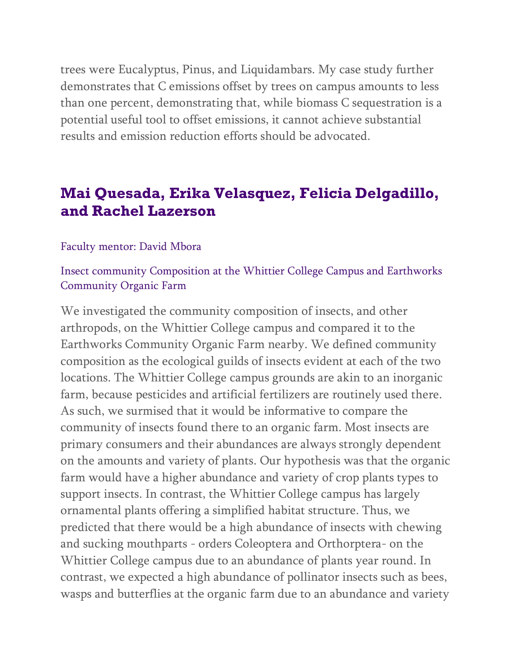trees were Eucalyptus, Pinus, and Liquidambars. My case study further demonstrates that C emissions offset by trees on campus amounts to less than one percent, demonstrating that, while biomass C sequestration is a potential useful tool to offset emissions, it cannot achieve substantial results and emission reduction efforts should be advocated.

# **Mai Quesada, Erika Velasquez, Felicia Delgadillo, and Rachel Lazerson**

#### Faculty mentor: David Mbora

### Insect community Composition at the Whittier College Campus and Earthworks Community Organic Farm

We investigated the community composition of insects, and other arthropods, on the Whittier College campus and compared it to the Earthworks Community Organic Farm nearby. We defined community composition as the ecological guilds of insects evident at each of the two locations. The Whittier College campus grounds are akin to an inorganic farm, because pesticides and artificial fertilizers are routinely used there. As such, we surmised that it would be informative to compare the community of insects found there to an organic farm. Most insects are primary consumers and their abundances are always strongly dependent on the amounts and variety of plants. Our hypothesis was that the organic farm would have a higher abundance and variety of crop plants types to support insects. In contrast, the Whittier College campus has largely ornamental plants offering a simplified habitat structure. Thus, we predicted that there would be a high abundance of insects with chewing and sucking mouthparts - orders Coleoptera and Orthorptera- on the Whittier College campus due to an abundance of plants year round. In contrast, we expected a high abundance of pollinator insects such as bees, wasps and butterflies at the organic farm due to an abundance and variety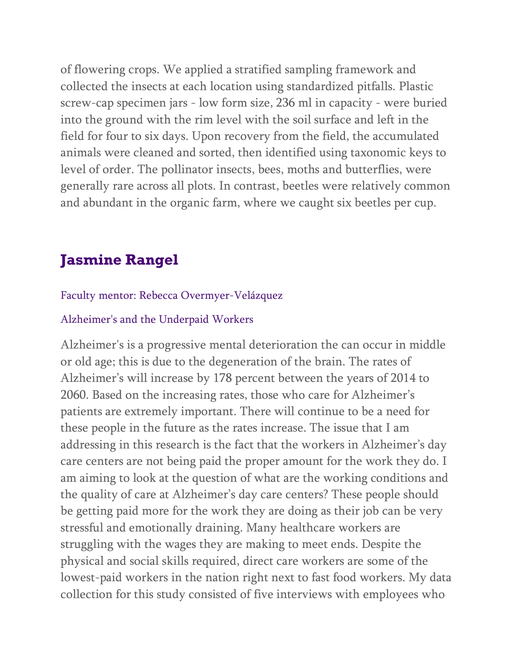of flowering crops. We applied a stratified sampling framework and collected the insects at each location using standardized pitfalls. Plastic screw-cap specimen jars - low form size, 236 ml in capacity - were buried into the ground with the rim level with the soil surface and left in the field for four to six days. Upon recovery from the field, the accumulated animals were cleaned and sorted, then identified using taxonomic keys to level of order. The pollinator insects, bees, moths and butterflies, were generally rare across all plots. In contrast, beetles were relatively common and abundant in the organic farm, where we caught six beetles per cup.

# **Jasmine Rangel**

#### Faculty mentor: Rebecca Overmyer-Velázquez

#### Alzheimer's and the Underpaid Workers

Alzheimer's is a progressive mental deterioration the can occur in middle or old age; this is due to the degeneration of the brain. The rates of Alzheimer's will increase by 178 percent between the years of 2014 to 2060. Based on the increasing rates, those who care for Alzheimer's patients are extremely important. There will continue to be a need for these people in the future as the rates increase. The issue that I am addressing in this research is the fact that the workers in Alzheimer's day care centers are not being paid the proper amount for the work they do. I am aiming to look at the question of what are the working conditions and the quality of care at Alzheimer's day care centers? These people should be getting paid more for the work they are doing as their job can be very stressful and emotionally draining. Many healthcare workers are struggling with the wages they are making to meet ends. Despite the physical and social skills required, direct care workers are some of the lowest-paid workers in the nation right next to fast food workers. My data collection for this study consisted of five interviews with employees who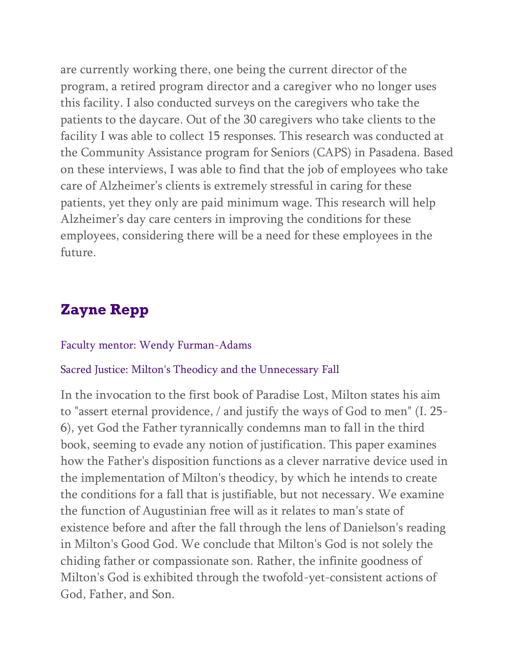are currently working there, one being the current director of the program, a retired program director and a caregiver who no longer uses this facility. I also conducted surveys on the caregivers who take the patients to the daycare. Out of the 30 caregivers who take clients to the facility I was able to collect 15 responses. This research was conducted at the Community Assistance program for Seniors (CAPS) in Pasadena. Based on these interviews, I was able to find that the job of employees who take care of Alzheimer's clients is extremely stressful in caring for these patients, yet they only are paid minimum wage. This research will help Alzheimer's day care centers in improving the conditions for these employees, considering there will be a need for these employees in the future.

# **Zayne Repp**

#### Faculty mentor: Wendy Furman-Adams

#### Sacred Justice: Milton's Theodicy and the Unnecessary Fall

In the invocation to the first book of Paradise Lost, Milton states his aim to "assert eternal providence, / and justify the ways of God to men" (I. 25- 6), yet God the Father tyrannically condemns man to fall in the third book, seeming to evade any notion of justification. This paper examines how the Father's disposition functions as a clever narrative device used in the implementation of Milton's theodicy, by which he intends to create the conditions for a fall that is justifiable, but not necessary. We examine the function of Augustinian free will as it relates to man's state of existence before and after the fall through the lens of Danielson's reading in Milton's Good God. We conclude that Milton's God is not solely the chiding father or compassionate son. Rather, the infinite goodness of Milton's God is exhibited through the twofold-yet-consistent actions of God, Father, and Son.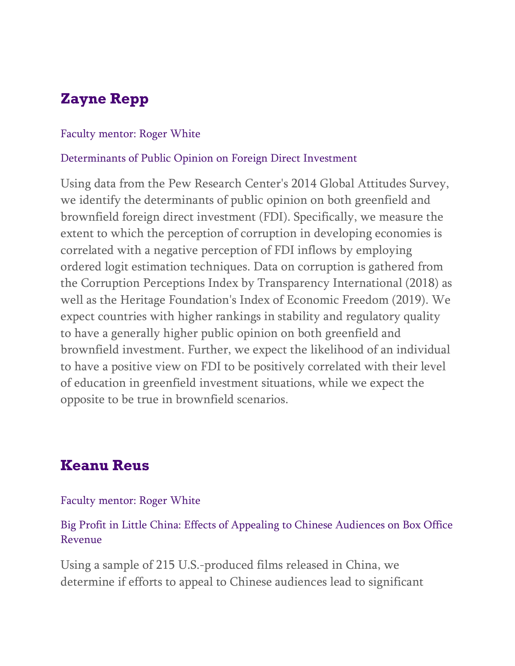# **Zayne Repp**

#### Faculty mentor: Roger White

#### Determinants of Public Opinion on Foreign Direct Investment

Using data from the Pew Research Center's 2014 Global Attitudes Survey, we identify the determinants of public opinion on both greenfield and brownfield foreign direct investment (FDI). Specifically, we measure the extent to which the perception of corruption in developing economies is correlated with a negative perception of FDI inflows by employing ordered logit estimation techniques. Data on corruption is gathered from the Corruption Perceptions Index by Transparency International (2018) as well as the Heritage Foundation's Index of Economic Freedom (2019). We expect countries with higher rankings in stability and regulatory quality to have a generally higher public opinion on both greenfield and brownfield investment. Further, we expect the likelihood of an individual to have a positive view on FDI to be positively correlated with their level of education in greenfield investment situations, while we expect the opposite to be true in brownfield scenarios.

# **Keanu Reus**

#### Faculty mentor: Roger White

Big Profit in Little China: Effects of Appealing to Chinese Audiences on Box Office Revenue

Using a sample of 215 U.S.-produced films released in China, we determine if efforts to appeal to Chinese audiences lead to significant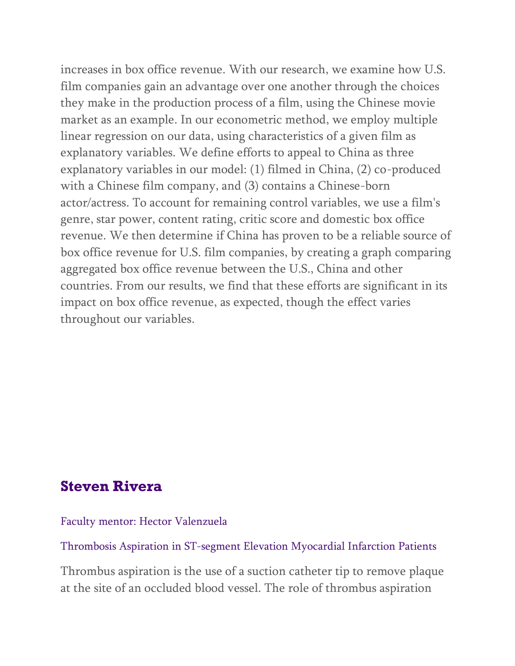increases in box office revenue. With our research, we examine how U.S. film companies gain an advantage over one another through the choices they make in the production process of a film, using the Chinese movie market as an example. In our econometric method, we employ multiple linear regression on our data, using characteristics of a given film as explanatory variables. We define efforts to appeal to China as three explanatory variables in our model: (1) filmed in China, (2) co-produced with a Chinese film company, and (3) contains a Chinese-born actor/actress. To account for remaining control variables, we use a film's genre, star power, content rating, critic score and domestic box office revenue. We then determine if China has proven to be a reliable source of box office revenue for U.S. film companies, by creating a graph comparing aggregated box office revenue between the U.S., China and other countries. From our results, we find that these efforts are significant in its impact on box office revenue, as expected, though the effect varies throughout our variables.

## **Steven Rivera**

Faculty mentor: Hector Valenzuela

Thrombosis Aspiration in ST-segment Elevation Myocardial Infarction Patients

Thrombus aspiration is the use of a suction catheter tip to remove plaque at the site of an occluded blood vessel. The role of thrombus aspiration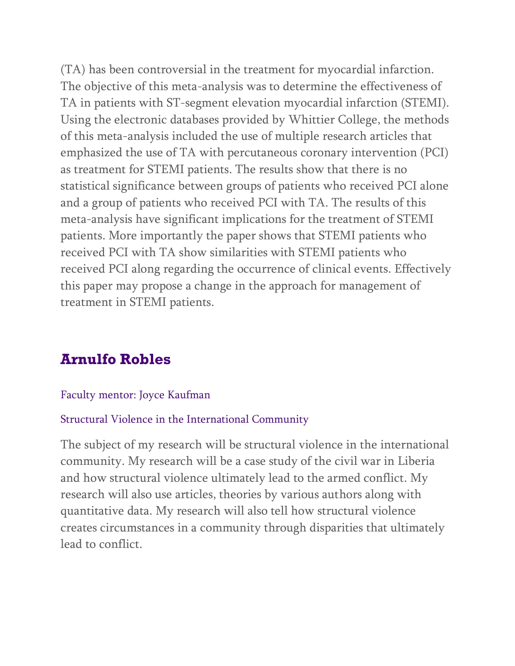(TA) has been controversial in the treatment for myocardial infarction. The objective of this meta-analysis was to determine the effectiveness of TA in patients with ST-segment elevation myocardial infarction (STEMI). Using the electronic databases provided by Whittier College, the methods of this meta-analysis included the use of multiple research articles that emphasized the use of TA with percutaneous coronary intervention (PCI) as treatment for STEMI patients. The results show that there is no statistical significance between groups of patients who received PCI alone and a group of patients who received PCI with TA. The results of this meta-analysis have significant implications for the treatment of STEMI patients. More importantly the paper shows that STEMI patients who received PCI with TA show similarities with STEMI patients who received PCI along regarding the occurrence of clinical events. Effectively this paper may propose a change in the approach for management of treatment in STEMI patients.

# **Arnulfo Robles**

### Faculty mentor: Joyce Kaufman

#### Structural Violence in the International Community

The subject of my research will be structural violence in the international community. My research will be a case study of the civil war in Liberia and how structural violence ultimately lead to the armed conflict. My research will also use articles, theories by various authors along with quantitative data. My research will also tell how structural violence creates circumstances in a community through disparities that ultimately lead to conflict.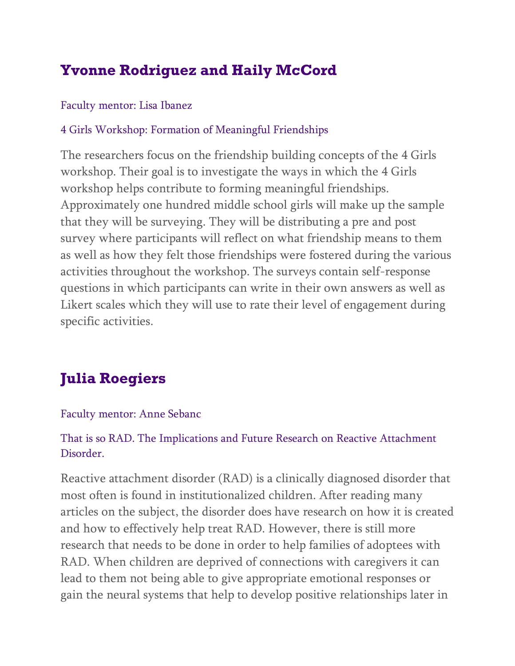# **Yvonne Rodriguez and Haily McCord**

## Faculty mentor: Lisa Ibanez

## 4 Girls Workshop: Formation of Meaningful Friendships

The researchers focus on the friendship building concepts of the 4 Girls workshop. Their goal is to investigate the ways in which the 4 Girls workshop helps contribute to forming meaningful friendships. Approximately one hundred middle school girls will make up the sample that they will be surveying. They will be distributing a pre and post survey where participants will reflect on what friendship means to them as well as how they felt those friendships were fostered during the various activities throughout the workshop. The surveys contain self-response questions in which participants can write in their own answers as well as Likert scales which they will use to rate their level of engagement during specific activities.

# **Julia Roegiers**

### Faculty mentor: Anne Sebanc

## That is so RAD. The Implications and Future Research on Reactive Attachment Disorder.

Reactive attachment disorder (RAD) is a clinically diagnosed disorder that most often is found in institutionalized children. After reading many articles on the subject, the disorder does have research on how it is created and how to effectively help treat RAD. However, there is still more research that needs to be done in order to help families of adoptees with RAD. When children are deprived of connections with caregivers it can lead to them not being able to give appropriate emotional responses or gain the neural systems that help to develop positive relationships later in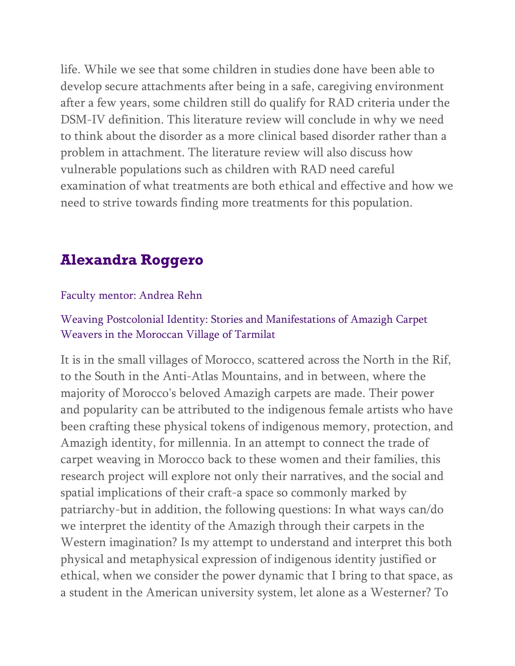life. While we see that some children in studies done have been able to develop secure attachments after being in a safe, caregiving environment after a few years, some children still do qualify for RAD criteria under the DSM-IV definition. This literature review will conclude in why we need to think about the disorder as a more clinical based disorder rather than a problem in attachment. The literature review will also discuss how vulnerable populations such as children with RAD need careful examination of what treatments are both ethical and effective and how we need to strive towards finding more treatments for this population.

## **Alexandra Roggero**

#### Faculty mentor: Andrea Rehn

### Weaving Postcolonial Identity: Stories and Manifestations of Amazigh Carpet Weavers in the Moroccan Village of Tarmilat

It is in the small villages of Morocco, scattered across the North in the Rif, to the South in the Anti-Atlas Mountains, and in between, where the majority of Morocco's beloved Amazigh carpets are made. Their power and popularity can be attributed to the indigenous female artists who have been crafting these physical tokens of indigenous memory, protection, and Amazigh identity, for millennia. In an attempt to connect the trade of carpet weaving in Morocco back to these women and their families, this research project will explore not only their narratives, and the social and spatial implications of their craft-a space so commonly marked by patriarchy-but in addition, the following questions: In what ways can/do we interpret the identity of the Amazigh through their carpets in the Western imagination? Is my attempt to understand and interpret this both physical and metaphysical expression of indigenous identity justified or ethical, when we consider the power dynamic that I bring to that space, as a student in the American university system, let alone as a Westerner? To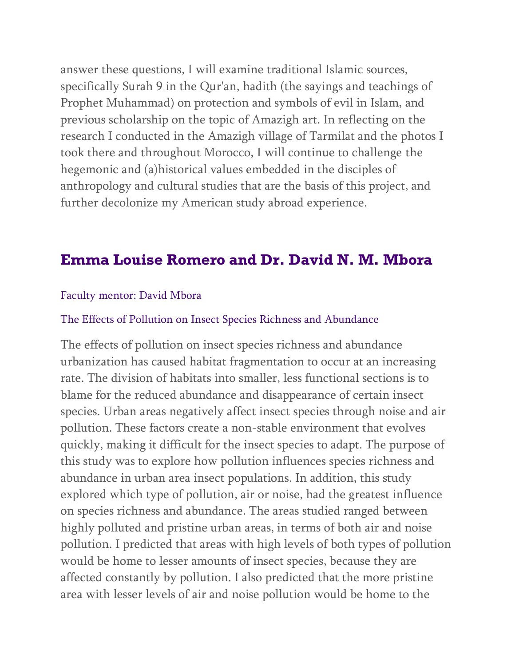answer these questions, I will examine traditional Islamic sources, specifically Surah 9 in the Qur'an, hadith (the sayings and teachings of Prophet Muhammad) on protection and symbols of evil in Islam, and previous scholarship on the topic of Amazigh art. In reflecting on the research I conducted in the Amazigh village of Tarmilat and the photos I took there and throughout Morocco, I will continue to challenge the hegemonic and (a)historical values embedded in the disciples of anthropology and cultural studies that are the basis of this project, and further decolonize my American study abroad experience.

# **Emma Louise Romero and Dr. David N. M. Mbora**

#### Faculty mentor: David Mbora

#### The Effects of Pollution on Insect Species Richness and Abundance

The effects of pollution on insect species richness and abundance urbanization has caused habitat fragmentation to occur at an increasing rate. The division of habitats into smaller, less functional sections is to blame for the reduced abundance and disappearance of certain insect species. Urban areas negatively affect insect species through noise and air pollution. These factors create a non-stable environment that evolves quickly, making it difficult for the insect species to adapt. The purpose of this study was to explore how pollution influences species richness and abundance in urban area insect populations. In addition, this study explored which type of pollution, air or noise, had the greatest influence on species richness and abundance. The areas studied ranged between highly polluted and pristine urban areas, in terms of both air and noise pollution. I predicted that areas with high levels of both types of pollution would be home to lesser amounts of insect species, because they are affected constantly by pollution. I also predicted that the more pristine area with lesser levels of air and noise pollution would be home to the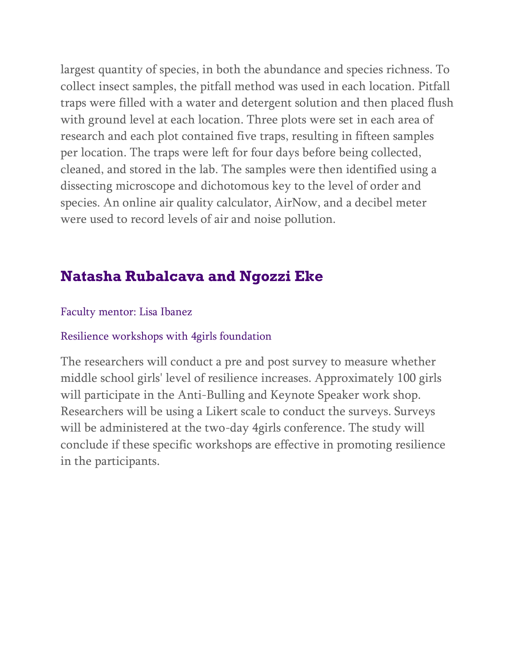largest quantity of species, in both the abundance and species richness. To collect insect samples, the pitfall method was used in each location. Pitfall traps were filled with a water and detergent solution and then placed flush with ground level at each location. Three plots were set in each area of research and each plot contained five traps, resulting in fifteen samples per location. The traps were left for four days before being collected, cleaned, and stored in the lab. The samples were then identified using a dissecting microscope and dichotomous key to the level of order and species. An online air quality calculator, AirNow, and a decibel meter were used to record levels of air and noise pollution.

# **Natasha Rubalcava and Ngozzi Eke**

#### Faculty mentor: Lisa Ibanez

#### Resilience workshops with 4girls foundation

The researchers will conduct a pre and post survey to measure whether middle school girls' level of resilience increases. Approximately 100 girls will participate in the Anti-Bulling and Keynote Speaker work shop. Researchers will be using a Likert scale to conduct the surveys. Surveys will be administered at the two-day 4girls conference. The study will conclude if these specific workshops are effective in promoting resilience in the participants.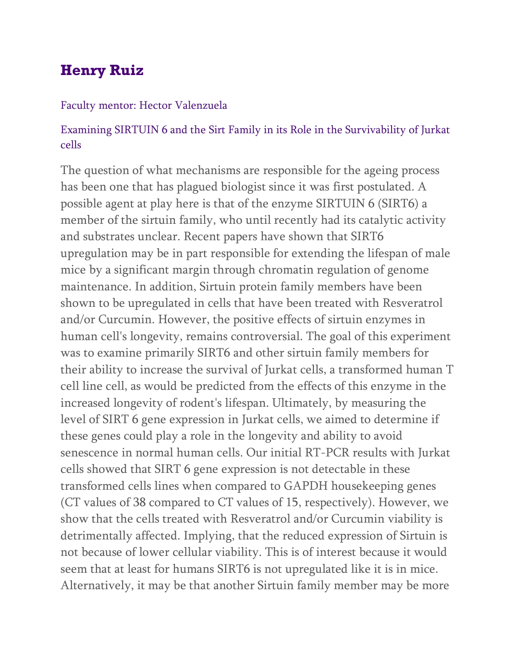# **Henry Ruiz**

#### Faculty mentor: Hector Valenzuela

## Examining SIRTUIN 6 and the Sirt Family in its Role in the Survivability of Jurkat cells

The question of what mechanisms are responsible for the ageing process has been one that has plagued biologist since it was first postulated. A possible agent at play here is that of the enzyme SIRTUIN 6 (SIRT6) a member of the sirtuin family, who until recently had its catalytic activity and substrates unclear. Recent papers have shown that SIRT6 upregulation may be in part responsible for extending the lifespan of male mice by a significant margin through chromatin regulation of genome maintenance. In addition, Sirtuin protein family members have been shown to be upregulated in cells that have been treated with Resveratrol and/or Curcumin. However, the positive effects of sirtuin enzymes in human cell's longevity, remains controversial. The goal of this experiment was to examine primarily SIRT6 and other sirtuin family members for their ability to increase the survival of Jurkat cells, a transformed human T cell line cell, as would be predicted from the effects of this enzyme in the increased longevity of rodent's lifespan. Ultimately, by measuring the level of SIRT 6 gene expression in Jurkat cells, we aimed to determine if these genes could play a role in the longevity and ability to avoid senescence in normal human cells. Our initial RT-PCR results with Jurkat cells showed that SIRT 6 gene expression is not detectable in these transformed cells lines when compared to GAPDH housekeeping genes (CT values of 38 compared to CT values of 15, respectively). However, we show that the cells treated with Resveratrol and/or Curcumin viability is detrimentally affected. Implying, that the reduced expression of Sirtuin is not because of lower cellular viability. This is of interest because it would seem that at least for humans SIRT6 is not upregulated like it is in mice. Alternatively, it may be that another Sirtuin family member may be more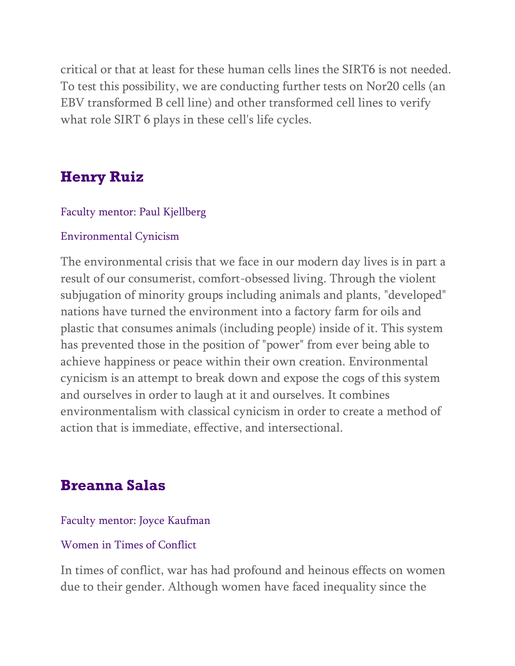critical or that at least for these human cells lines the SIRT6 is not needed. To test this possibility, we are conducting further tests on Nor20 cells (an EBV transformed B cell line) and other transformed cell lines to verify what role SIRT 6 plays in these cell's life cycles.

# **Henry Ruiz**

### Faculty mentor: Paul Kjellberg

#### Environmental Cynicism

The environmental crisis that we face in our modern day lives is in part a result of our consumerist, comfort-obsessed living. Through the violent subjugation of minority groups including animals and plants, "developed" nations have turned the environment into a factory farm for oils and plastic that consumes animals (including people) inside of it. This system has prevented those in the position of "power" from ever being able to achieve happiness or peace within their own creation. Environmental cynicism is an attempt to break down and expose the cogs of this system and ourselves in order to laugh at it and ourselves. It combines environmentalism with classical cynicism in order to create a method of action that is immediate, effective, and intersectional.

## **Breanna Salas**

#### Faculty mentor: Joyce Kaufman

#### Women in Times of Conflict

In times of conflict, war has had profound and heinous effects on women due to their gender. Although women have faced inequality since the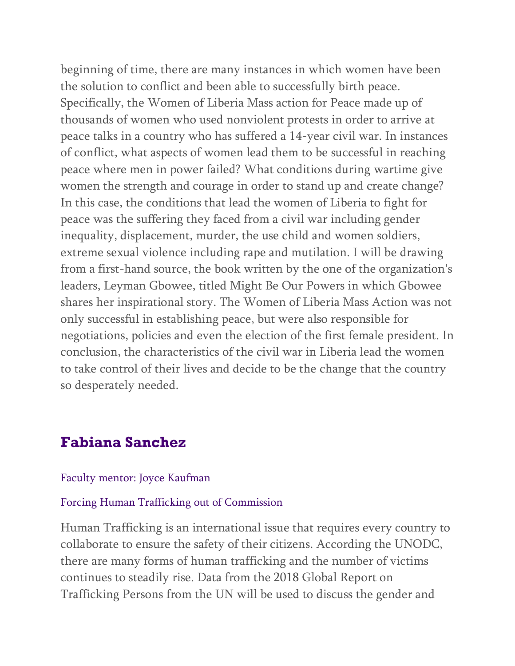beginning of time, there are many instances in which women have been the solution to conflict and been able to successfully birth peace. Specifically, the Women of Liberia Mass action for Peace made up of thousands of women who used nonviolent protests in order to arrive at peace talks in a country who has suffered a 14-year civil war. In instances of conflict, what aspects of women lead them to be successful in reaching peace where men in power failed? What conditions during wartime give women the strength and courage in order to stand up and create change? In this case, the conditions that lead the women of Liberia to fight for peace was the suffering they faced from a civil war including gender inequality, displacement, murder, the use child and women soldiers, extreme sexual violence including rape and mutilation. I will be drawing from a first-hand source, the book written by the one of the organization's leaders, Leyman Gbowee, titled Might Be Our Powers in which Gbowee shares her inspirational story. The Women of Liberia Mass Action was not only successful in establishing peace, but were also responsible for negotiations, policies and even the election of the first female president. In conclusion, the characteristics of the civil war in Liberia lead the women to take control of their lives and decide to be the change that the country so desperately needed.

## **Fabiana Sanchez**

#### Faculty mentor: Joyce Kaufman

#### Forcing Human Trafficking out of Commission

Human Trafficking is an international issue that requires every country to collaborate to ensure the safety of their citizens. According the UNODC, there are many forms of human trafficking and the number of victims continues to steadily rise. Data from the 2018 Global Report on Trafficking Persons from the UN will be used to discuss the gender and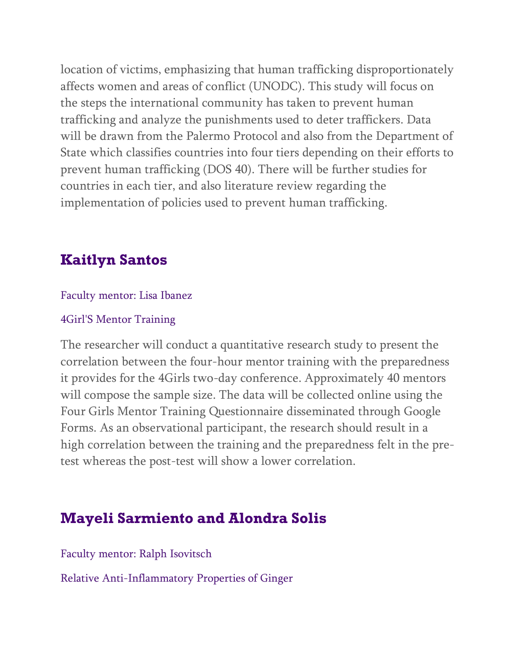location of victims, emphasizing that human trafficking disproportionately affects women and areas of conflict (UNODC). This study will focus on the steps the international community has taken to prevent human trafficking and analyze the punishments used to deter traffickers. Data will be drawn from the Palermo Protocol and also from the Department of State which classifies countries into four tiers depending on their efforts to prevent human trafficking (DOS 40). There will be further studies for countries in each tier, and also literature review regarding the implementation of policies used to prevent human trafficking.

## **Kaitlyn Santos**

### Faculty mentor: Lisa Ibanez

### 4Girl'S Mentor Training

The researcher will conduct a quantitative research study to present the correlation between the four-hour mentor training with the preparedness it provides for the 4Girls two-day conference. Approximately 40 mentors will compose the sample size. The data will be collected online using the Four Girls Mentor Training Questionnaire disseminated through Google Forms. As an observational participant, the research should result in a high correlation between the training and the preparedness felt in the pretest whereas the post-test will show a lower correlation.

# **Mayeli Sarmiento and Alondra Solis**

Faculty mentor: Ralph Isovitsch

Relative Anti-Inflammatory Properties of Ginger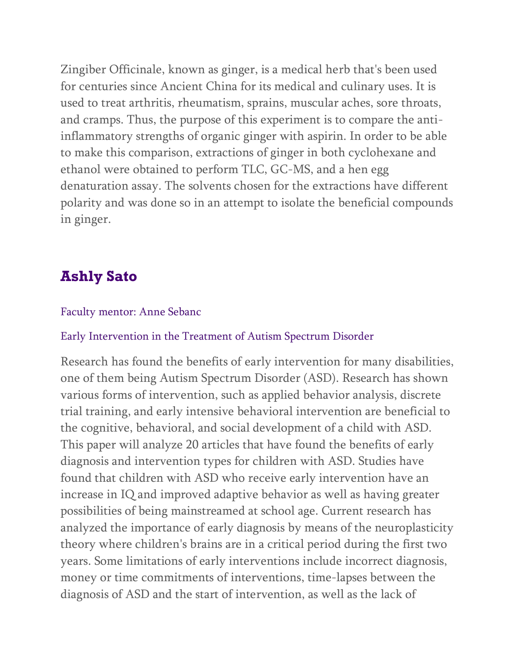Zingiber Officinale, known as ginger, is a medical herb that's been used for centuries since Ancient China for its medical and culinary uses. It is used to treat arthritis, rheumatism, sprains, muscular aches, sore throats, and cramps. Thus, the purpose of this experiment is to compare the antiinflammatory strengths of organic ginger with aspirin. In order to be able to make this comparison, extractions of ginger in both cyclohexane and ethanol were obtained to perform TLC, GC-MS, and a hen egg denaturation assay. The solvents chosen for the extractions have different polarity and was done so in an attempt to isolate the beneficial compounds in ginger.

# **Ashly Sato**

#### Faculty mentor: Anne Sebanc

#### Early Intervention in the Treatment of Autism Spectrum Disorder

Research has found the benefits of early intervention for many disabilities, one of them being Autism Spectrum Disorder (ASD). Research has shown various forms of intervention, such as applied behavior analysis, discrete trial training, and early intensive behavioral intervention are beneficial to the cognitive, behavioral, and social development of a child with ASD. This paper will analyze 20 articles that have found the benefits of early diagnosis and intervention types for children with ASD. Studies have found that children with ASD who receive early intervention have an increase in IQ and improved adaptive behavior as well as having greater possibilities of being mainstreamed at school age. Current research has analyzed the importance of early diagnosis by means of the neuroplasticity theory where children's brains are in a critical period during the first two years. Some limitations of early interventions include incorrect diagnosis, money or time commitments of interventions, time-lapses between the diagnosis of ASD and the start of intervention, as well as the lack of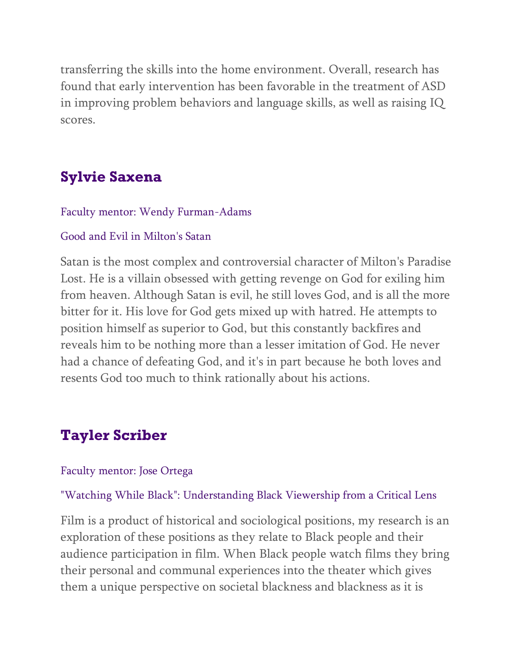transferring the skills into the home environment. Overall, research has found that early intervention has been favorable in the treatment of ASD in improving problem behaviors and language skills, as well as raising IQ scores.

# **Sylvie Saxena**

#### Faculty mentor: Wendy Furman-Adams

#### Good and Evil in Milton's Satan

Satan is the most complex and controversial character of Milton's Paradise Lost. He is a villain obsessed with getting revenge on God for exiling him from heaven. Although Satan is evil, he still loves God, and is all the more bitter for it. His love for God gets mixed up with hatred. He attempts to position himself as superior to God, but this constantly backfires and reveals him to be nothing more than a lesser imitation of God. He never had a chance of defeating God, and it's in part because he both loves and resents God too much to think rationally about his actions.

# **Tayler Scriber**

#### Faculty mentor: Jose Ortega

#### "Watching While Black": Understanding Black Viewership from a Critical Lens

Film is a product of historical and sociological positions, my research is an exploration of these positions as they relate to Black people and their audience participation in film. When Black people watch films they bring their personal and communal experiences into the theater which gives them a unique perspective on societal blackness and blackness as it is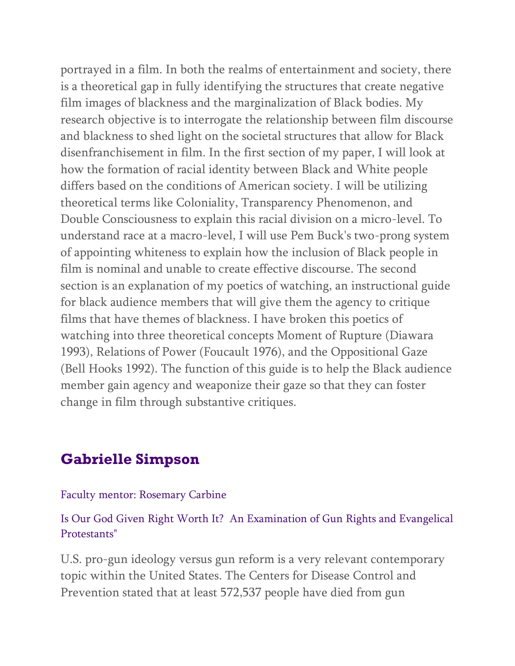portrayed in a film. In both the realms of entertainment and society, there is a theoretical gap in fully identifying the structures that create negative film images of blackness and the marginalization of Black bodies. My research objective is to interrogate the relationship between film discourse and blackness to shed light on the societal structures that allow for Black disenfranchisement in film. In the first section of my paper, I will look at how the formation of racial identity between Black and White people differs based on the conditions of American society. I will be utilizing theoretical terms like Coloniality, Transparency Phenomenon, and Double Consciousness to explain this racial division on a micro-level. To understand race at a macro-level, I will use Pem Buck's two-prong system of appointing whiteness to explain how the inclusion of Black people in film is nominal and unable to create effective discourse. The second section is an explanation of my poetics of watching, an instructional guide for black audience members that will give them the agency to critique films that have themes of blackness. I have broken this poetics of watching into three theoretical concepts Moment of Rupture (Diawara 1993), Relations of Power (Foucault 1976), and the Oppositional Gaze (Bell Hooks 1992). The function of this guide is to help the Black audience member gain agency and weaponize their gaze so that they can foster change in film through substantive critiques.

## **Gabrielle Simpson**

#### Faculty mentor: Rosemary Carbine

### Is Our God Given Right Worth It? An Examination of Gun Rights and Evangelical Protestants"

U.S. pro-gun ideology versus gun reform is a very relevant contemporary topic within the United States. The Centers for Disease Control and Prevention stated that at least 572,537 people have died from gun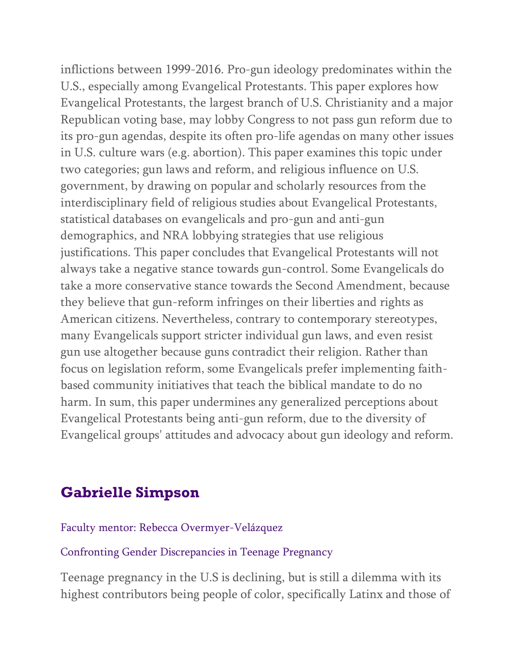inflictions between 1999-2016. Pro-gun ideology predominates within the U.S., especially among Evangelical Protestants. This paper explores how Evangelical Protestants, the largest branch of U.S. Christianity and a major Republican voting base, may lobby Congress to not pass gun reform due to its pro-gun agendas, despite its often pro-life agendas on many other issues in U.S. culture wars (e.g. abortion). This paper examines this topic under two categories; gun laws and reform, and religious influence on U.S. government, by drawing on popular and scholarly resources from the interdisciplinary field of religious studies about Evangelical Protestants, statistical databases on evangelicals and pro-gun and anti-gun demographics, and NRA lobbying strategies that use religious justifications. This paper concludes that Evangelical Protestants will not always take a negative stance towards gun-control. Some Evangelicals do take a more conservative stance towards the Second Amendment, because they believe that gun-reform infringes on their liberties and rights as American citizens. Nevertheless, contrary to contemporary stereotypes, many Evangelicals support stricter individual gun laws, and even resist gun use altogether because guns contradict their religion. Rather than focus on legislation reform, some Evangelicals prefer implementing faithbased community initiatives that teach the biblical mandate to do no harm. In sum, this paper undermines any generalized perceptions about Evangelical Protestants being anti-gun reform, due to the diversity of Evangelical groups' attitudes and advocacy about gun ideology and reform.

# **Gabrielle Simpson**

#### Faculty mentor: Rebecca Overmyer-Velázquez

#### Confronting Gender Discrepancies in Teenage Pregnancy

Teenage pregnancy in the U.S is declining, but is still a dilemma with its highest contributors being people of color, specifically Latinx and those of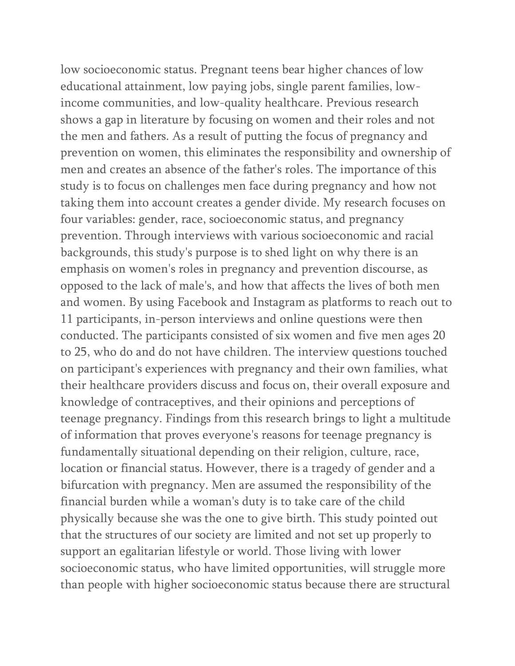low socioeconomic status. Pregnant teens bear higher chances of low educational attainment, low paying jobs, single parent families, lowincome communities, and low-quality healthcare. Previous research shows a gap in literature by focusing on women and their roles and not the men and fathers. As a result of putting the focus of pregnancy and prevention on women, this eliminates the responsibility and ownership of men and creates an absence of the father's roles. The importance of this study is to focus on challenges men face during pregnancy and how not taking them into account creates a gender divide. My research focuses on four variables: gender, race, socioeconomic status, and pregnancy prevention. Through interviews with various socioeconomic and racial backgrounds, this study's purpose is to shed light on why there is an emphasis on women's roles in pregnancy and prevention discourse, as opposed to the lack of male's, and how that affects the lives of both men and women. By using Facebook and Instagram as platforms to reach out to 11 participants, in-person interviews and online questions were then conducted. The participants consisted of six women and five men ages 20 to 25, who do and do not have children. The interview questions touched on participant's experiences with pregnancy and their own families, what their healthcare providers discuss and focus on, their overall exposure and knowledge of contraceptives, and their opinions and perceptions of teenage pregnancy. Findings from this research brings to light a multitude of information that proves everyone's reasons for teenage pregnancy is fundamentally situational depending on their religion, culture, race, location or financial status. However, there is a tragedy of gender and a bifurcation with pregnancy. Men are assumed the responsibility of the financial burden while a woman's duty is to take care of the child physically because she was the one to give birth. This study pointed out that the structures of our society are limited and not set up properly to support an egalitarian lifestyle or world. Those living with lower socioeconomic status, who have limited opportunities, will struggle more than people with higher socioeconomic status because there are structural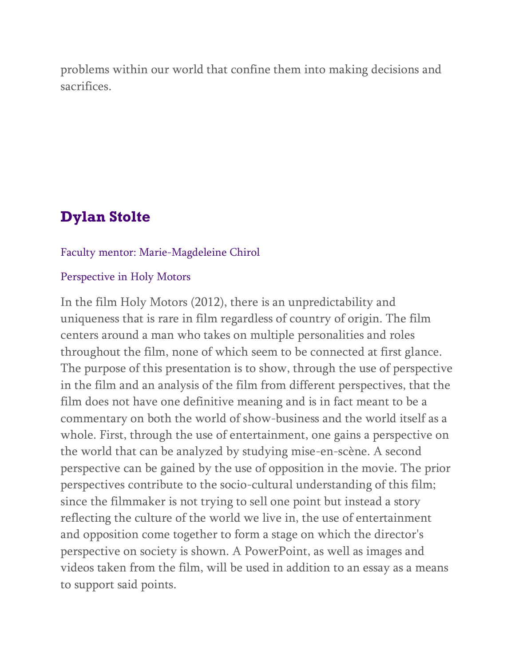problems within our world that confine them into making decisions and sacrifices.

# **Dylan Stolte**

#### Faculty mentor: Marie-Magdeleine Chirol

#### Perspective in Holy Motors

In the film Holy Motors (2012), there is an unpredictability and uniqueness that is rare in film regardless of country of origin. The film centers around a man who takes on multiple personalities and roles throughout the film, none of which seem to be connected at first glance. The purpose of this presentation is to show, through the use of perspective in the film and an analysis of the film from different perspectives, that the film does not have one definitive meaning and is in fact meant to be a commentary on both the world of show-business and the world itself as a whole. First, through the use of entertainment, one gains a perspective on the world that can be analyzed by studying mise-en-scène. A second perspective can be gained by the use of opposition in the movie. The prior perspectives contribute to the socio-cultural understanding of this film; since the filmmaker is not trying to sell one point but instead a story reflecting the culture of the world we live in, the use of entertainment and opposition come together to form a stage on which the director's perspective on society is shown. A PowerPoint, as well as images and videos taken from the film, will be used in addition to an essay as a means to support said points.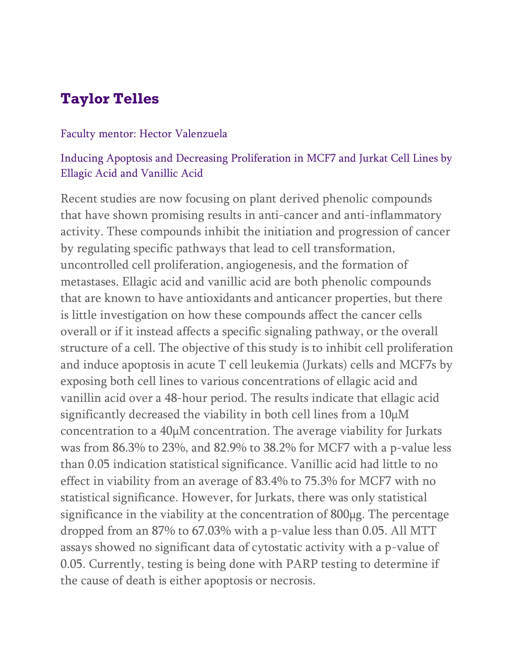# **Taylor Telles**

#### Faculty mentor: Hector Valenzuela

### Inducing Apoptosis and Decreasing Proliferation in MCF7 and Jurkat Cell Lines by Ellagic Acid and Vanillic Acid

Recent studies are now focusing on plant derived phenolic compounds that have shown promising results in anti-cancer and anti-inflammatory activity. These compounds inhibit the initiation and progression of cancer by regulating specific pathways that lead to cell transformation, uncontrolled cell proliferation, angiogenesis, and the formation of metastases. Ellagic acid and vanillic acid are both phenolic compounds that are known to have antioxidants and anticancer properties, but there is little investigation on how these compounds affect the cancer cells overall or if it instead affects a specific signaling pathway, or the overall structure of a cell. The objective of this study is to inhibit cell proliferation and induce apoptosis in acute T cell leukemia (Jurkats) cells and MCF7s by exposing both cell lines to various concentrations of ellagic acid and vanillin acid over a 48-hour period. The results indicate that ellagic acid significantly decreased the viability in both cell lines from a  $10 \mu$ M concentration to a 40µM concentration. The average viability for Jurkats was from 86.3% to 23%, and 82.9% to 38.2% for MCF7 with a p-value less than 0.05 indication statistical significance. Vanillic acid had little to no effect in viability from an average of 83.4% to 75.3% for MCF7 with no statistical significance. However, for Jurkats, there was only statistical significance in the viability at the concentration of 800µg. The percentage dropped from an 87% to 67.03% with a p-value less than 0.05. All MTT assays showed no significant data of cytostatic activity with a p-value of 0.05. Currently, testing is being done with PARP testing to determine if the cause of death is either apoptosis or necrosis.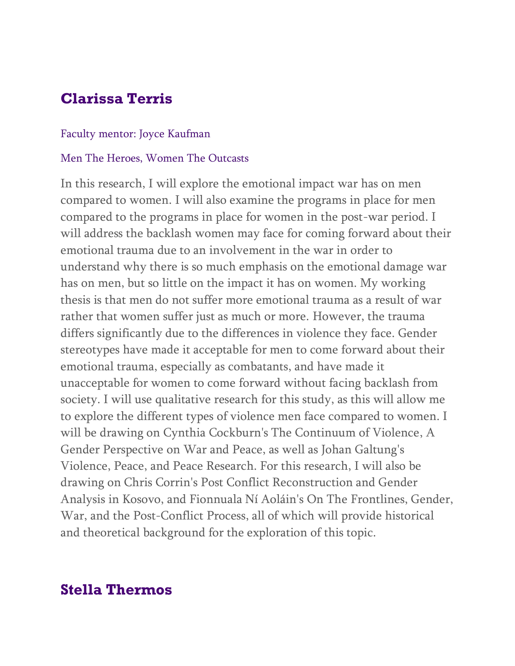# **Clarissa Terris**

#### Faculty mentor: Joyce Kaufman

#### Men The Heroes, Women The Outcasts

In this research, I will explore the emotional impact war has on men compared to women. I will also examine the programs in place for men compared to the programs in place for women in the post-war period. I will address the backlash women may face for coming forward about their emotional trauma due to an involvement in the war in order to understand why there is so much emphasis on the emotional damage war has on men, but so little on the impact it has on women. My working thesis is that men do not suffer more emotional trauma as a result of war rather that women suffer just as much or more. However, the trauma differs significantly due to the differences in violence they face. Gender stereotypes have made it acceptable for men to come forward about their emotional trauma, especially as combatants, and have made it unacceptable for women to come forward without facing backlash from society. I will use qualitative research for this study, as this will allow me to explore the different types of violence men face compared to women. I will be drawing on Cynthia Cockburn's The Continuum of Violence, A Gender Perspective on War and Peace, as well as Johan Galtung's Violence, Peace, and Peace Research. For this research, I will also be drawing on Chris Corrin's Post Conflict Reconstruction and Gender Analysis in Kosovo, and Fionnuala Ní Aoláin's On The Frontlines, Gender, War, and the Post-Conflict Process, all of which will provide historical and theoretical background for the exploration of this topic.

## **Stella Thermos**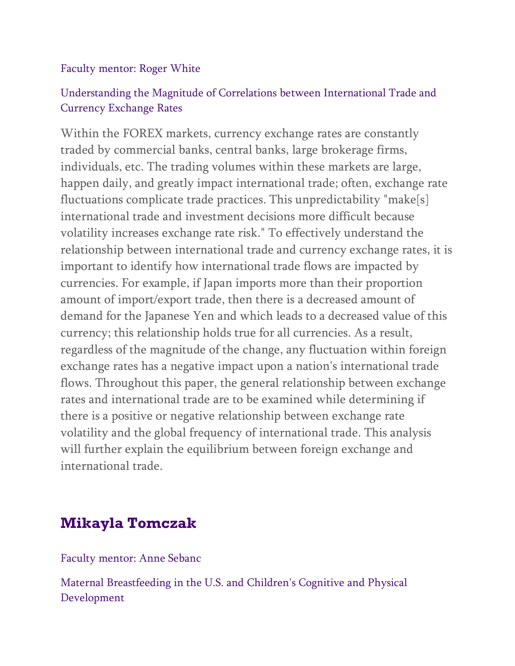### Faculty mentor: Roger White

## Understanding the Magnitude of Correlations between International Trade and Currency Exchange Rates

Within the FOREX markets, currency exchange rates are constantly traded by commercial banks, central banks, large brokerage firms, individuals, etc. The trading volumes within these markets are large, happen daily, and greatly impact international trade; often, exchange rate fluctuations complicate trade practices. This unpredictability "make[s] international trade and investment decisions more difficult because volatility increases exchange rate risk." To effectively understand the relationship between international trade and currency exchange rates, it is important to identify how international trade flows are impacted by currencies. For example, if Japan imports more than their proportion amount of import/export trade, then there is a decreased amount of demand for the Japanese Yen and which leads to a decreased value of this currency; this relationship holds true for all currencies. As a result, regardless of the magnitude of the change, any fluctuation within foreign exchange rates has a negative impact upon a nation's international trade flows. Throughout this paper, the general relationship between exchange rates and international trade are to be examined while determining if there is a positive or negative relationship between exchange rate volatility and the global frequency of international trade. This analysis will further explain the equilibrium between foreign exchange and international trade.

# **Mikayla Tomczak**

Faculty mentor: Anne Sebanc

Maternal Breastfeeding in the U.S. and Children's Cognitive and Physical Development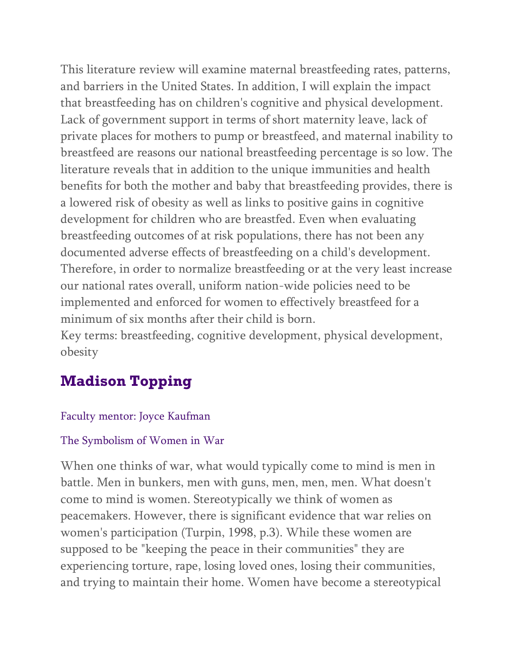This literature review will examine maternal breastfeeding rates, patterns, and barriers in the United States. In addition, I will explain the impact that breastfeeding has on children's cognitive and physical development. Lack of government support in terms of short maternity leave, lack of private places for mothers to pump or breastfeed, and maternal inability to breastfeed are reasons our national breastfeeding percentage is so low. The literature reveals that in addition to the unique immunities and health benefits for both the mother and baby that breastfeeding provides, there is a lowered risk of obesity as well as links to positive gains in cognitive development for children who are breastfed. Even when evaluating breastfeeding outcomes of at risk populations, there has not been any documented adverse effects of breastfeeding on a child's development. Therefore, in order to normalize breastfeeding or at the very least increase our national rates overall, uniform nation-wide policies need to be implemented and enforced for women to effectively breastfeed for a minimum of six months after their child is born.

Key terms: breastfeeding, cognitive development, physical development, obesity

# **Madison Topping**

### Faculty mentor: Joyce Kaufman

### The Symbolism of Women in War

When one thinks of war, what would typically come to mind is men in battle. Men in bunkers, men with guns, men, men, men. What doesn't come to mind is women. Stereotypically we think of women as peacemakers. However, there is significant evidence that war relies on women's participation (Turpin, 1998, p.3). While these women are supposed to be "keeping the peace in their communities" they are experiencing torture, rape, losing loved ones, losing their communities, and trying to maintain their home. Women have become a stereotypical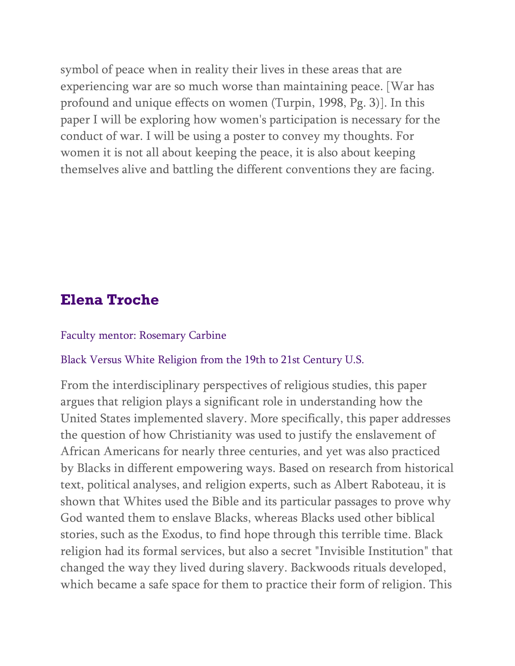symbol of peace when in reality their lives in these areas that are experiencing war are so much worse than maintaining peace. [War has profound and unique effects on women (Turpin, 1998, Pg. 3)]. In this paper I will be exploring how women's participation is necessary for the conduct of war. I will be using a poster to convey my thoughts. For women it is not all about keeping the peace, it is also about keeping themselves alive and battling the different conventions they are facing.

## **Elena Troche**

#### Faculty mentor: Rosemary Carbine

#### Black Versus White Religion from the 19th to 21st Century U.S.

From the interdisciplinary perspectives of religious studies, this paper argues that religion plays a significant role in understanding how the United States implemented slavery. More specifically, this paper addresses the question of how Christianity was used to justify the enslavement of African Americans for nearly three centuries, and yet was also practiced by Blacks in different empowering ways. Based on research from historical text, political analyses, and religion experts, such as Albert Raboteau, it is shown that Whites used the Bible and its particular passages to prove why God wanted them to enslave Blacks, whereas Blacks used other biblical stories, such as the Exodus, to find hope through this terrible time. Black religion had its formal services, but also a secret "Invisible Institution" that changed the way they lived during slavery. Backwoods rituals developed, which became a safe space for them to practice their form of religion. This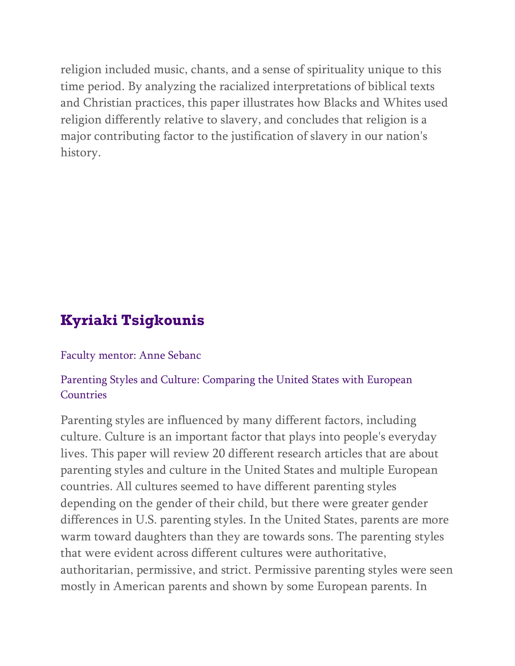religion included music, chants, and a sense of spirituality unique to this time period. By analyzing the racialized interpretations of biblical texts and Christian practices, this paper illustrates how Blacks and Whites used religion differently relative to slavery, and concludes that religion is a major contributing factor to the justification of slavery in our nation's history.

# **Kyriaki Tsigkounis**

#### Faculty mentor: Anne Sebanc

### Parenting Styles and Culture: Comparing the United States with European **Countries**

Parenting styles are influenced by many different factors, including culture. Culture is an important factor that plays into people's everyday lives. This paper will review 20 different research articles that are about parenting styles and culture in the United States and multiple European countries. All cultures seemed to have different parenting styles depending on the gender of their child, but there were greater gender differences in U.S. parenting styles. In the United States, parents are more warm toward daughters than they are towards sons. The parenting styles that were evident across different cultures were authoritative, authoritarian, permissive, and strict. Permissive parenting styles were seen mostly in American parents and shown by some European parents. In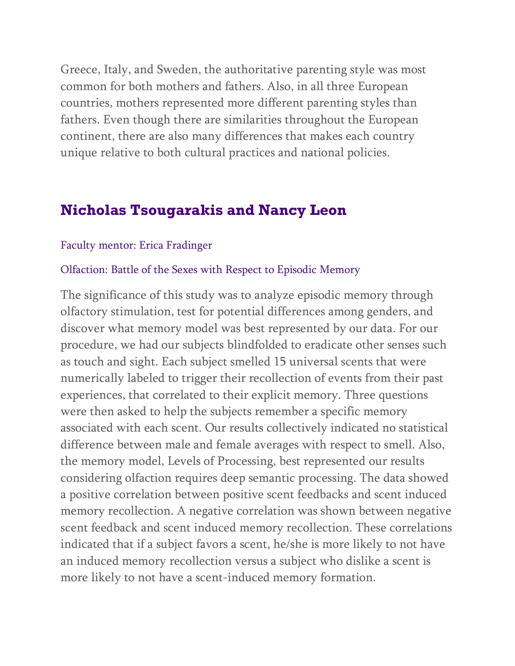Greece, Italy, and Sweden, the authoritative parenting style was most common for both mothers and fathers. Also, in all three European countries, mothers represented more different parenting styles than fathers. Even though there are similarities throughout the European continent, there are also many differences that makes each country unique relative to both cultural practices and national policies.

## **Nicholas Tsougarakis and Nancy Leon**

#### Faculty mentor: Erica Fradinger

#### Olfaction: Battle of the Sexes with Respect to Episodic Memory

The significance of this study was to analyze episodic memory through olfactory stimulation, test for potential differences among genders, and discover what memory model was best represented by our data. For our procedure, we had our subjects blindfolded to eradicate other senses such as touch and sight. Each subject smelled 15 universal scents that were numerically labeled to trigger their recollection of events from their past experiences, that correlated to their explicit memory. Three questions were then asked to help the subjects remember a specific memory associated with each scent. Our results collectively indicated no statistical difference between male and female averages with respect to smell. Also, the memory model, Levels of Processing, best represented our results considering olfaction requires deep semantic processing. The data showed a positive correlation between positive scent feedbacks and scent induced memory recollection. A negative correlation was shown between negative scent feedback and scent induced memory recollection. These correlations indicated that if a subject favors a scent, he/she is more likely to not have an induced memory recollection versus a subject who dislike a scent is more likely to not have a scent-induced memory formation.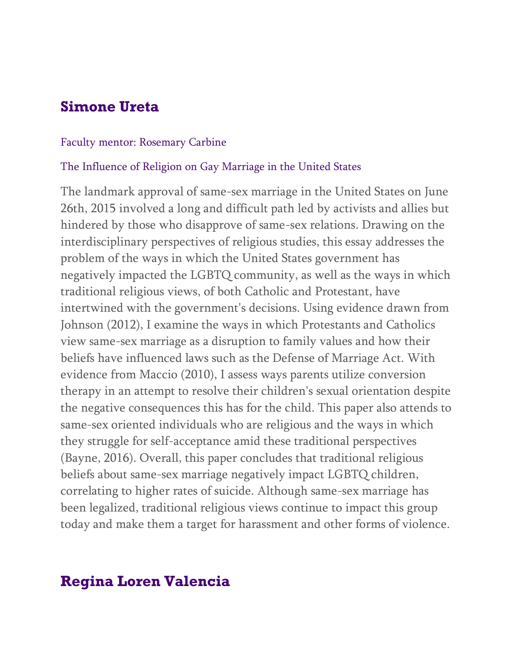# **Simone Ureta**

#### Faculty mentor: Rosemary Carbine

### The Influence of Religion on Gay Marriage in the United States

The landmark approval of same-sex marriage in the United States on June 26th, 2015 involved a long and difficult path led by activists and allies but hindered by those who disapprove of same-sex relations. Drawing on the interdisciplinary perspectives of religious studies, this essay addresses the problem of the ways in which the United States government has negatively impacted the LGBTQ community, as well as the ways in which traditional religious views, of both Catholic and Protestant, have intertwined with the government's decisions. Using evidence drawn from Johnson (2012), I examine the ways in which Protestants and Catholics view same-sex marriage as a disruption to family values and how their beliefs have influenced laws such as the Defense of Marriage Act. With evidence from Maccio (2010), I assess ways parents utilize conversion therapy in an attempt to resolve their children's sexual orientation despite the negative consequences this has for the child. This paper also attends to same-sex oriented individuals who are religious and the ways in which they struggle for self-acceptance amid these traditional perspectives (Bayne, 2016). Overall, this paper concludes that traditional religious beliefs about same-sex marriage negatively impact LGBTQ children, correlating to higher rates of suicide. Although same-sex marriage has been legalized, traditional religious views continue to impact this group today and make them a target for harassment and other forms of violence.

# **Regina Loren Valencia**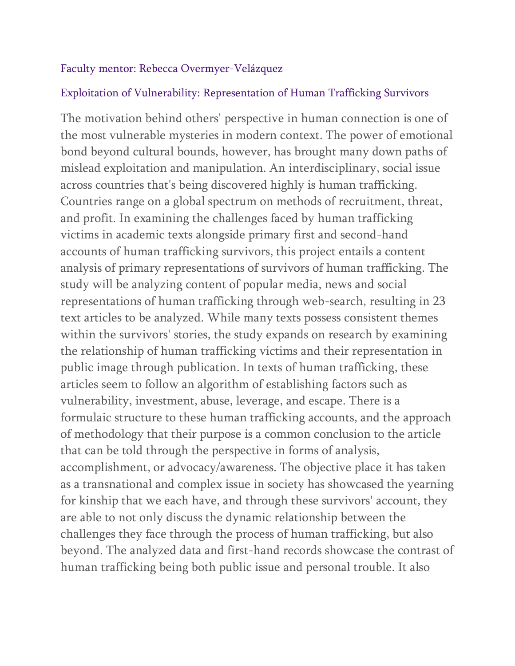### Faculty mentor: Rebecca Overmyer-Velázquez

### Exploitation of Vulnerability: Representation of Human Trafficking Survivors

The motivation behind others' perspective in human connection is one of the most vulnerable mysteries in modern context. The power of emotional bond beyond cultural bounds, however, has brought many down paths of mislead exploitation and manipulation. An interdisciplinary, social issue across countries that's being discovered highly is human trafficking. Countries range on a global spectrum on methods of recruitment, threat, and profit. In examining the challenges faced by human trafficking victims in academic texts alongside primary first and second-hand accounts of human trafficking survivors, this project entails a content analysis of primary representations of survivors of human trafficking. The study will be analyzing content of popular media, news and social representations of human trafficking through web-search, resulting in 23 text articles to be analyzed. While many texts possess consistent themes within the survivors' stories, the study expands on research by examining the relationship of human trafficking victims and their representation in public image through publication. In texts of human trafficking, these articles seem to follow an algorithm of establishing factors such as vulnerability, investment, abuse, leverage, and escape. There is a formulaic structure to these human trafficking accounts, and the approach of methodology that their purpose is a common conclusion to the article that can be told through the perspective in forms of analysis, accomplishment, or advocacy/awareness. The objective place it has taken as a transnational and complex issue in society has showcased the yearning for kinship that we each have, and through these survivors' account, they are able to not only discuss the dynamic relationship between the challenges they face through the process of human trafficking, but also beyond. The analyzed data and first-hand records showcase the contrast of human trafficking being both public issue and personal trouble. It also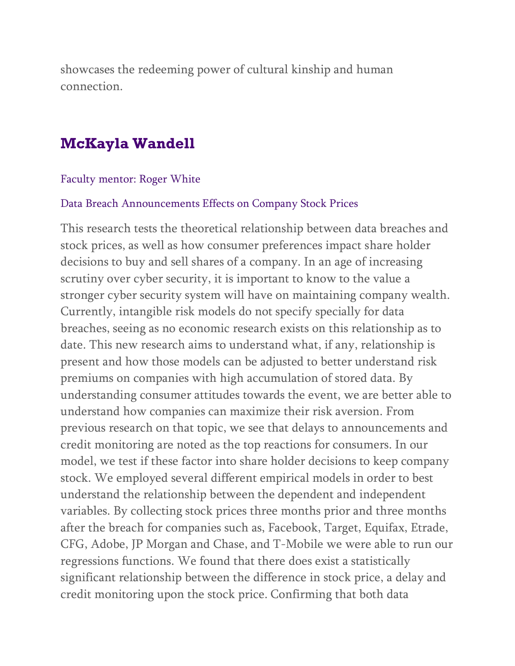showcases the redeeming power of cultural kinship and human connection.

## **McKayla Wandell**

#### Faculty mentor: Roger White

#### Data Breach Announcements Effects on Company Stock Prices

This research tests the theoretical relationship between data breaches and stock prices, as well as how consumer preferences impact share holder decisions to buy and sell shares of a company. In an age of increasing scrutiny over cyber security, it is important to know to the value a stronger cyber security system will have on maintaining company wealth. Currently, intangible risk models do not specify specially for data breaches, seeing as no economic research exists on this relationship as to date. This new research aims to understand what, if any, relationship is present and how those models can be adjusted to better understand risk premiums on companies with high accumulation of stored data. By understanding consumer attitudes towards the event, we are better able to understand how companies can maximize their risk aversion. From previous research on that topic, we see that delays to announcements and credit monitoring are noted as the top reactions for consumers. In our model, we test if these factor into share holder decisions to keep company stock. We employed several different empirical models in order to best understand the relationship between the dependent and independent variables. By collecting stock prices three months prior and three months after the breach for companies such as, Facebook, Target, Equifax, Etrade, CFG, Adobe, JP Morgan and Chase, and T-Mobile we were able to run our regressions functions. We found that there does exist a statistically significant relationship between the difference in stock price, a delay and credit monitoring upon the stock price. Confirming that both data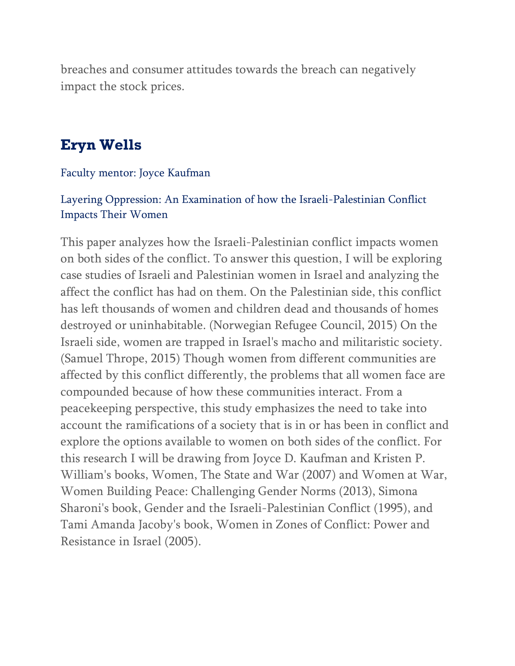breaches and consumer attitudes towards the breach can negatively impact the stock prices.

## **Eryn Wells**

### Faculty mentor: Joyce Kaufman

### Layering Oppression: An Examination of how the Israeli-Palestinian Conflict Impacts Their Women

This paper analyzes how the Israeli-Palestinian conflict impacts women on both sides of the conflict. To answer this question, I will be exploring case studies of Israeli and Palestinian women in Israel and analyzing the affect the conflict has had on them. On the Palestinian side, this conflict has left thousands of women and children dead and thousands of homes destroyed or uninhabitable. (Norwegian Refugee Council, 2015) On the Israeli side, women are trapped in Israel's macho and militaristic society. (Samuel Thrope, 2015) Though women from different communities are affected by this conflict differently, the problems that all women face are compounded because of how these communities interact. From a peacekeeping perspective, this study emphasizes the need to take into account the ramifications of a society that is in or has been in conflict and explore the options available to women on both sides of the conflict. For this research I will be drawing from Joyce D. Kaufman and Kristen P. William's books, Women, The State and War (2007) and Women at War, Women Building Peace: Challenging Gender Norms (2013), Simona Sharoni's book, Gender and the Israeli-Palestinian Conflict (1995), and Tami Amanda Jacoby's book, Women in Zones of Conflict: Power and Resistance in Israel (2005).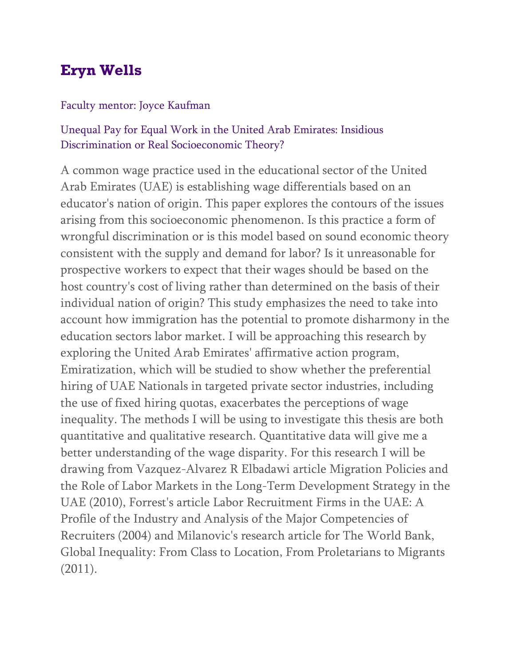# **Eryn Wells**

### Faculty mentor: Joyce Kaufman

### Unequal Pay for Equal Work in the United Arab Emirates: Insidious Discrimination or Real Socioeconomic Theory?

A common wage practice used in the educational sector of the United Arab Emirates (UAE) is establishing wage differentials based on an educator's nation of origin. This paper explores the contours of the issues arising from this socioeconomic phenomenon. Is this practice a form of wrongful discrimination or is this model based on sound economic theory consistent with the supply and demand for labor? Is it unreasonable for prospective workers to expect that their wages should be based on the host country's cost of living rather than determined on the basis of their individual nation of origin? This study emphasizes the need to take into account how immigration has the potential to promote disharmony in the education sectors labor market. I will be approaching this research by exploring the United Arab Emirates' affirmative action program, Emiratization, which will be studied to show whether the preferential hiring of UAE Nationals in targeted private sector industries, including the use of fixed hiring quotas, exacerbates the perceptions of wage inequality. The methods I will be using to investigate this thesis are both quantitative and qualitative research. Quantitative data will give me a better understanding of the wage disparity. For this research I will be drawing from Vazquez-Alvarez R Elbadawi article Migration Policies and the Role of Labor Markets in the Long-Term Development Strategy in the UAE (2010), Forrest's article Labor Recruitment Firms in the UAE: A Profile of the Industry and Analysis of the Major Competencies of Recruiters (2004) and Milanovic's research article for The World Bank, Global Inequality: From Class to Location, From Proletarians to Migrants (2011).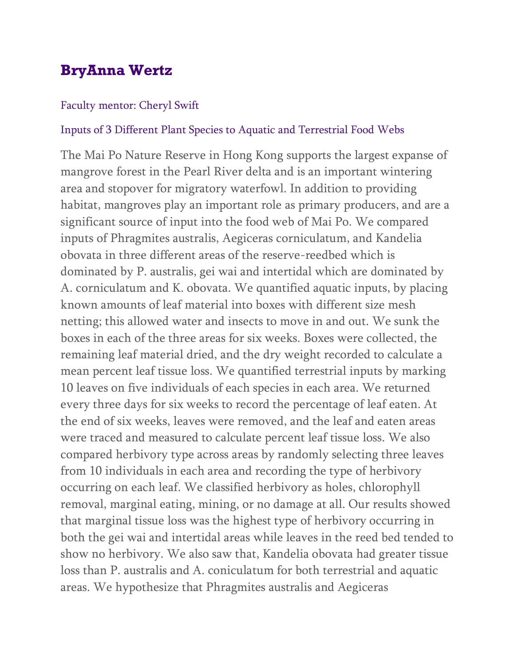# **BryAnna Wertz**

#### Faculty mentor: Cheryl Swift

#### Inputs of 3 Different Plant Species to Aquatic and Terrestrial Food Webs

The Mai Po Nature Reserve in Hong Kong supports the largest expanse of mangrove forest in the Pearl River delta and is an important wintering area and stopover for migratory waterfowl. In addition to providing habitat, mangroves play an important role as primary producers, and are a significant source of input into the food web of Mai Po. We compared inputs of Phragmites australis, Aegiceras corniculatum, and Kandelia obovata in three different areas of the reserve-reedbed which is dominated by P. australis, gei wai and intertidal which are dominated by A. corniculatum and K. obovata. We quantified aquatic inputs, by placing known amounts of leaf material into boxes with different size mesh netting; this allowed water and insects to move in and out. We sunk the boxes in each of the three areas for six weeks. Boxes were collected, the remaining leaf material dried, and the dry weight recorded to calculate a mean percent leaf tissue loss. We quantified terrestrial inputs by marking 10 leaves on five individuals of each species in each area. We returned every three days for six weeks to record the percentage of leaf eaten. At the end of six weeks, leaves were removed, and the leaf and eaten areas were traced and measured to calculate percent leaf tissue loss. We also compared herbivory type across areas by randomly selecting three leaves from 10 individuals in each area and recording the type of herbivory occurring on each leaf. We classified herbivory as holes, chlorophyll removal, marginal eating, mining, or no damage at all. Our results showed that marginal tissue loss was the highest type of herbivory occurring in both the gei wai and intertidal areas while leaves in the reed bed tended to show no herbivory. We also saw that, Kandelia obovata had greater tissue loss than P. australis and A. coniculatum for both terrestrial and aquatic areas. We hypothesize that Phragmites australis and Aegiceras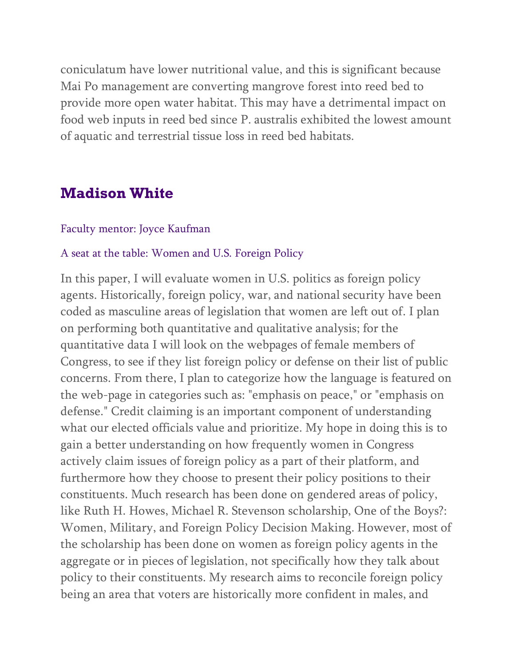coniculatum have lower nutritional value, and this is significant because Mai Po management are converting mangrove forest into reed bed to provide more open water habitat. This may have a detrimental impact on food web inputs in reed bed since P. australis exhibited the lowest amount of aquatic and terrestrial tissue loss in reed bed habitats.

## **Madison White**

#### Faculty mentor: Joyce Kaufman

#### A seat at the table: Women and U.S. Foreign Policy

In this paper, I will evaluate women in U.S. politics as foreign policy agents. Historically, foreign policy, war, and national security have been coded as masculine areas of legislation that women are left out of. I plan on performing both quantitative and qualitative analysis; for the quantitative data I will look on the webpages of female members of Congress, to see if they list foreign policy or defense on their list of public concerns. From there, I plan to categorize how the language is featured on the web-page in categories such as: "emphasis on peace," or "emphasis on defense." Credit claiming is an important component of understanding what our elected officials value and prioritize. My hope in doing this is to gain a better understanding on how frequently women in Congress actively claim issues of foreign policy as a part of their platform, and furthermore how they choose to present their policy positions to their constituents. Much research has been done on gendered areas of policy, like Ruth H. Howes, Michael R. Stevenson scholarship, One of the Boys?: Women, Military, and Foreign Policy Decision Making. However, most of the scholarship has been done on women as foreign policy agents in the aggregate or in pieces of legislation, not specifically how they talk about policy to their constituents. My research aims to reconcile foreign policy being an area that voters are historically more confident in males, and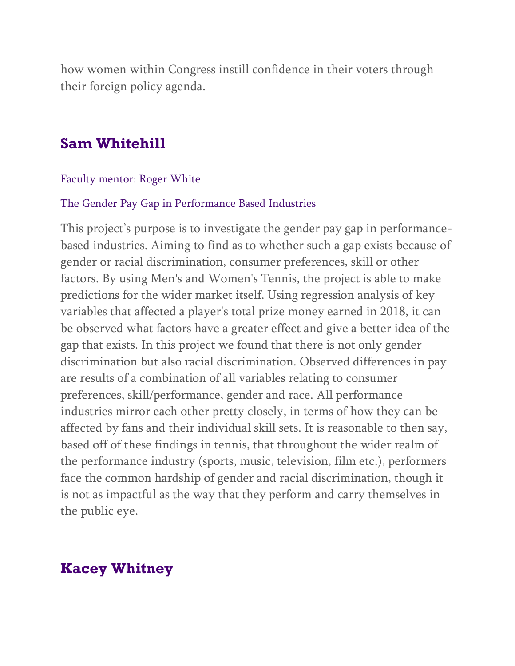how women within Congress instill confidence in their voters through their foreign policy agenda.

## **Sam Whitehill**

#### Faculty mentor: Roger White

#### The Gender Pay Gap in Performance Based Industries

This project's purpose is to investigate the gender pay gap in performancebased industries. Aiming to find as to whether such a gap exists because of gender or racial discrimination, consumer preferences, skill or other factors. By using Men's and Women's Tennis, the project is able to make predictions for the wider market itself. Using regression analysis of key variables that affected a player's total prize money earned in 2018, it can be observed what factors have a greater effect and give a better idea of the gap that exists. In this project we found that there is not only gender discrimination but also racial discrimination. Observed differences in pay are results of a combination of all variables relating to consumer preferences, skill/performance, gender and race. All performance industries mirror each other pretty closely, in terms of how they can be affected by fans and their individual skill sets. It is reasonable to then say, based off of these findings in tennis, that throughout the wider realm of the performance industry (sports, music, television, film etc.), performers face the common hardship of gender and racial discrimination, though it is not as impactful as the way that they perform and carry themselves in the public eye.

## **Kacey Whitney**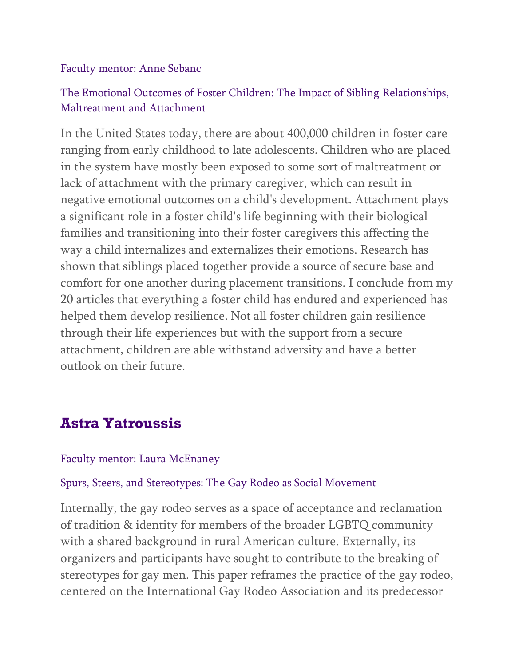### Faculty mentor: Anne Sebanc

## The Emotional Outcomes of Foster Children: The Impact of Sibling Relationships, Maltreatment and Attachment

In the United States today, there are about 400,000 children in foster care ranging from early childhood to late adolescents. Children who are placed in the system have mostly been exposed to some sort of maltreatment or lack of attachment with the primary caregiver, which can result in negative emotional outcomes on a child's development. Attachment plays a significant role in a foster child's life beginning with their biological families and transitioning into their foster caregivers this affecting the way a child internalizes and externalizes their emotions. Research has shown that siblings placed together provide a source of secure base and comfort for one another during placement transitions. I conclude from my 20 articles that everything a foster child has endured and experienced has helped them develop resilience. Not all foster children gain resilience through their life experiences but with the support from a secure attachment, children are able withstand adversity and have a better outlook on their future.

# **Astra Yatroussis**

### Faculty mentor: Laura McEnaney

#### Spurs, Steers, and Stereotypes: The Gay Rodeo as Social Movement

Internally, the gay rodeo serves as a space of acceptance and reclamation of tradition & identity for members of the broader LGBTQ community with a shared background in rural American culture. Externally, its organizers and participants have sought to contribute to the breaking of stereotypes for gay men. This paper reframes the practice of the gay rodeo, centered on the International Gay Rodeo Association and its predecessor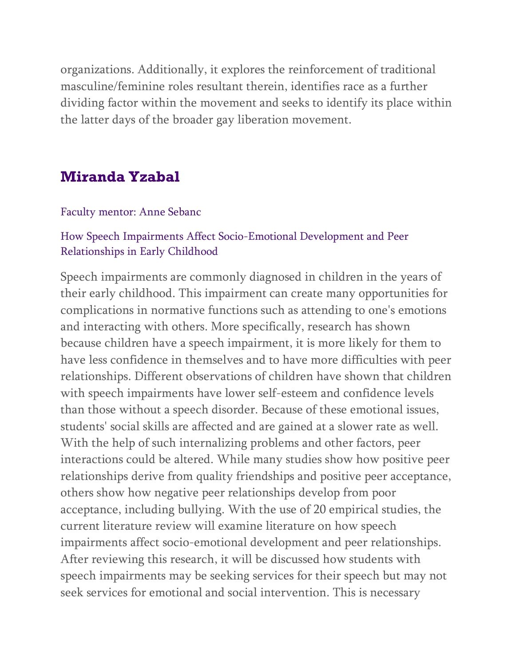organizations. Additionally, it explores the reinforcement of traditional masculine/feminine roles resultant therein, identifies race as a further dividing factor within the movement and seeks to identify its place within the latter days of the broader gay liberation movement.

## **Miranda Yzabal**

Faculty mentor: Anne Sebanc

### How Speech Impairments Affect Socio-Emotional Development and Peer Relationships in Early Childhood

Speech impairments are commonly diagnosed in children in the years of their early childhood. This impairment can create many opportunities for complications in normative functions such as attending to one's emotions and interacting with others. More specifically, research has shown because children have a speech impairment, it is more likely for them to have less confidence in themselves and to have more difficulties with peer relationships. Different observations of children have shown that children with speech impairments have lower self-esteem and confidence levels than those without a speech disorder. Because of these emotional issues, students' social skills are affected and are gained at a slower rate as well. With the help of such internalizing problems and other factors, peer interactions could be altered. While many studies show how positive peer relationships derive from quality friendships and positive peer acceptance, others show how negative peer relationships develop from poor acceptance, including bullying. With the use of 20 empirical studies, the current literature review will examine literature on how speech impairments affect socio-emotional development and peer relationships. After reviewing this research, it will be discussed how students with speech impairments may be seeking services for their speech but may not seek services for emotional and social intervention. This is necessary